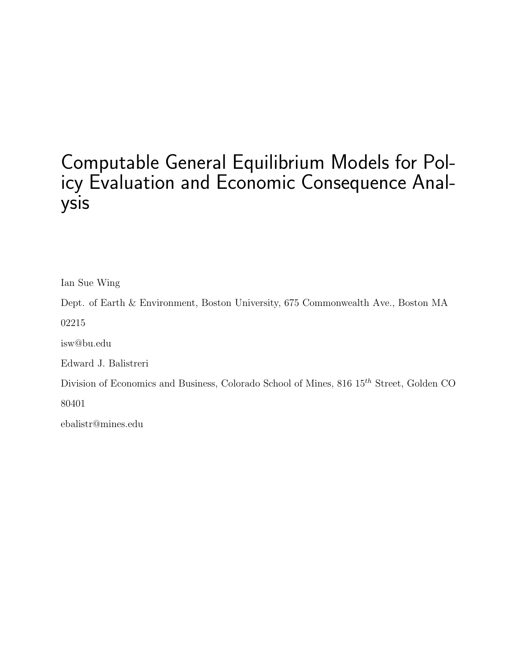# Computable General Equilibrium Models for Policy Evaluation and Economic Consequence Analysis

Ian Sue Wing

Dept. of Earth & Environment, Boston University, 675 Commonwealth Ave., Boston MA

02215

isw@bu.edu

Edward J. Balistreri

Division of Economics and Business, Colorado School of Mines,  $816 \; 15^{th}$  Street, Golden CO

80401

ebalistr@mines.edu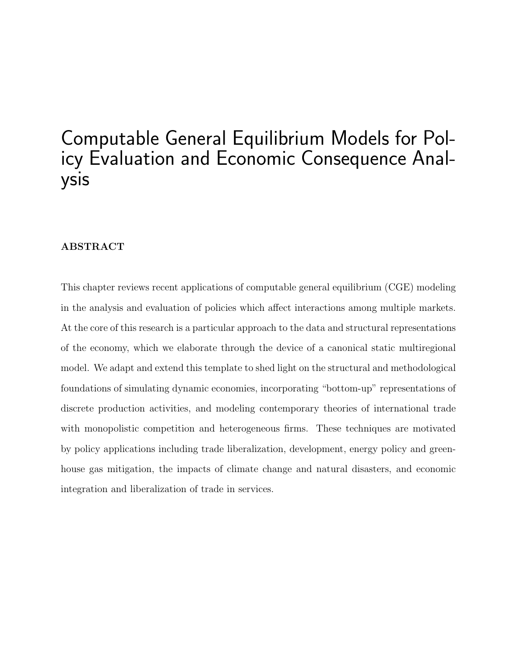# Computable General Equilibrium Models for Policy Evaluation and Economic Consequence Analysis

#### ABSTRACT

This chapter reviews recent applications of computable general equilibrium (CGE) modeling in the analysis and evaluation of policies which affect interactions among multiple markets. At the core of this research is a particular approach to the data and structural representations of the economy, which we elaborate through the device of a canonical static multiregional model. We adapt and extend this template to shed light on the structural and methodological foundations of simulating dynamic economies, incorporating "bottom-up" representations of discrete production activities, and modeling contemporary theories of international trade with monopolistic competition and heterogeneous firms. These techniques are motivated by policy applications including trade liberalization, development, energy policy and greenhouse gas mitigation, the impacts of climate change and natural disasters, and economic integration and liberalization of trade in services.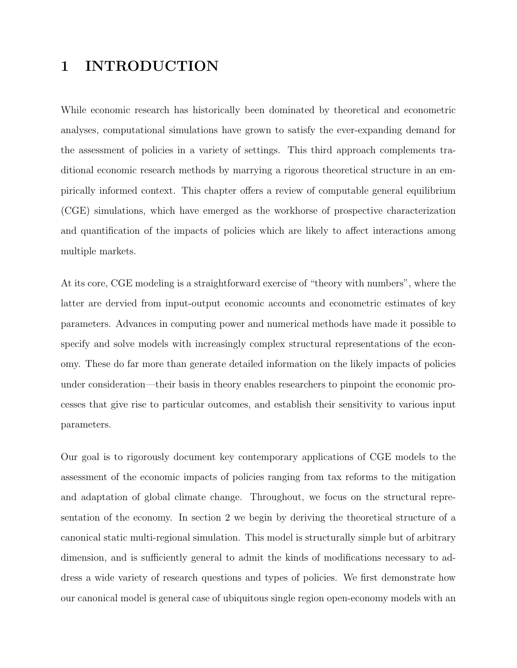### 1 INTRODUCTION

While economic research has historically been dominated by theoretical and econometric analyses, computational simulations have grown to satisfy the ever-expanding demand for the assessment of policies in a variety of settings. This third approach complements traditional economic research methods by marrying a rigorous theoretical structure in an empirically informed context. This chapter offers a review of computable general equilibrium (CGE) simulations, which have emerged as the workhorse of prospective characterization and quantification of the impacts of policies which are likely to affect interactions among multiple markets.

At its core, CGE modeling is a straightforward exercise of "theory with numbers", where the latter are dervied from input-output economic accounts and econometric estimates of key parameters. Advances in computing power and numerical methods have made it possible to specify and solve models with increasingly complex structural representations of the economy. These do far more than generate detailed information on the likely impacts of policies under consideration—their basis in theory enables researchers to pinpoint the economic processes that give rise to particular outcomes, and establish their sensitivity to various input parameters.

Our goal is to rigorously document key contemporary applications of CGE models to the assessment of the economic impacts of policies ranging from tax reforms to the mitigation and adaptation of global climate change. Throughout, we focus on the structural representation of the economy. In section 2 we begin by deriving the theoretical structure of a canonical static multi-regional simulation. This model is structurally simple but of arbitrary dimension, and is sufficiently general to admit the kinds of modifications necessary to address a wide variety of research questions and types of policies. We first demonstrate how our canonical model is general case of ubiquitous single region open-economy models with an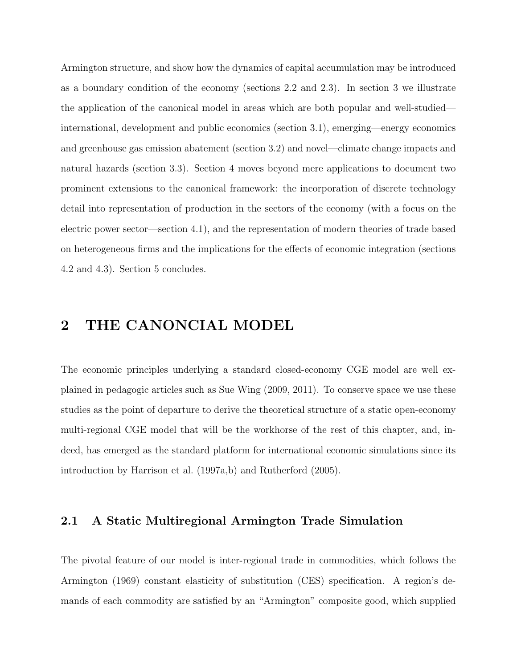Armington structure, and show how the dynamics of capital accumulation may be introduced as a boundary condition of the economy (sections 2.2 and 2.3). In section 3 we illustrate the application of the canonical model in areas which are both popular and well-studied international, development and public economics (section 3.1), emerging—energy economics and greenhouse gas emission abatement (section 3.2) and novel—climate change impacts and natural hazards (section 3.3). Section 4 moves beyond mere applications to document two prominent extensions to the canonical framework: the incorporation of discrete technology detail into representation of production in the sectors of the economy (with a focus on the electric power sector—section 4.1), and the representation of modern theories of trade based on heterogeneous firms and the implications for the effects of economic integration (sections 4.2 and 4.3). Section 5 concludes.

### 2 THE CANONCIAL MODEL

The economic principles underlying a standard closed-economy CGE model are well explained in pedagogic articles such as Sue Wing (2009, 2011). To conserve space we use these studies as the point of departure to derive the theoretical structure of a static open-economy multi-regional CGE model that will be the workhorse of the rest of this chapter, and, indeed, has emerged as the standard platform for international economic simulations since its introduction by Harrison et al. (1997a,b) and Rutherford (2005).

#### 2.1 A Static Multiregional Armington Trade Simulation

The pivotal feature of our model is inter-regional trade in commodities, which follows the Armington (1969) constant elasticity of substitution (CES) specification. A region's demands of each commodity are satisfied by an "Armington" composite good, which supplied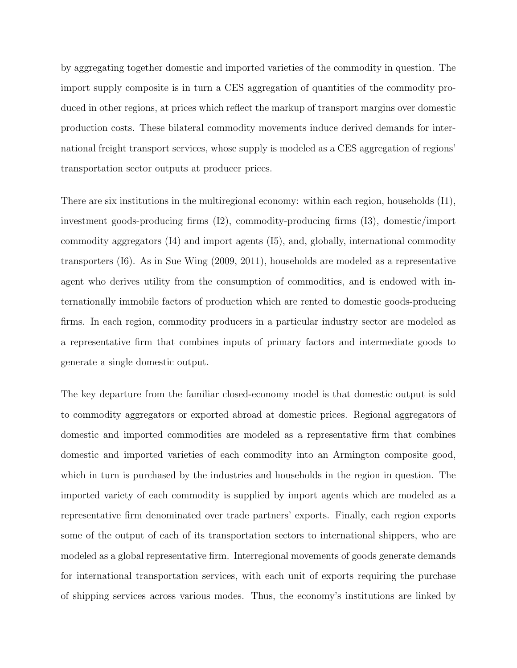by aggregating together domestic and imported varieties of the commodity in question. The import supply composite is in turn a CES aggregation of quantities of the commodity produced in other regions, at prices which reflect the markup of transport margins over domestic production costs. These bilateral commodity movements induce derived demands for international freight transport services, whose supply is modeled as a CES aggregation of regions' transportation sector outputs at producer prices.

There are six institutions in the multiregional economy: within each region, households (I1), investment goods-producing firms (I2), commodity-producing firms (I3), domestic/import commodity aggregators (I4) and import agents (I5), and, globally, international commodity transporters (I6). As in Sue Wing (2009, 2011), households are modeled as a representative agent who derives utility from the consumption of commodities, and is endowed with internationally immobile factors of production which are rented to domestic goods-producing firms. In each region, commodity producers in a particular industry sector are modeled as a representative firm that combines inputs of primary factors and intermediate goods to generate a single domestic output.

The key departure from the familiar closed-economy model is that domestic output is sold to commodity aggregators or exported abroad at domestic prices. Regional aggregators of domestic and imported commodities are modeled as a representative firm that combines domestic and imported varieties of each commodity into an Armington composite good, which in turn is purchased by the industries and households in the region in question. The imported variety of each commodity is supplied by import agents which are modeled as a representative firm denominated over trade partners' exports. Finally, each region exports some of the output of each of its transportation sectors to international shippers, who are modeled as a global representative firm. Interregional movements of goods generate demands for international transportation services, with each unit of exports requiring the purchase of shipping services across various modes. Thus, the economy's institutions are linked by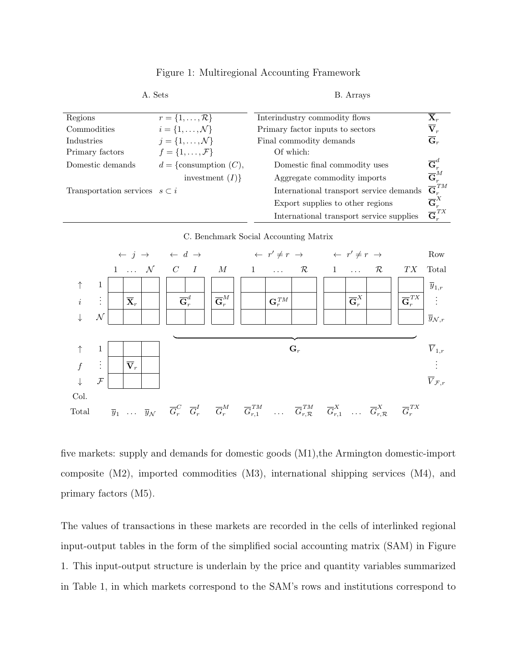| Regions                               | $r = \{1, \ldots, \mathcal{R}\}\$ | Interindustry commodity flows            | $\overline{\mathbf{X}}_r$           |
|---------------------------------------|-----------------------------------|------------------------------------------|-------------------------------------|
| Commodities                           | $i=\{1,\ldots,\mathcal{N}\}\$     | Primary factor inputs to sectors         | $\overline{\mathbf{V}}_r$           |
| Industries                            | $j = \{1, \ldots, \mathcal{N}\}\$ | Final commodity demands                  | $\overline{\mathbf{G}}_r$           |
| Primary factors                       | $f = \{1, \ldots, \mathcal{F}\}\$ | Of which:                                |                                     |
| Domestic demands                      | $d = \{$ consumption $(C)$ ,      | Domestic final commodity uses            | $\overline{\mathbf{G}}^d_r$         |
|                                       | investment $(I)$                  | Aggregate commodity imports              | $\overline{\mathbf{G}}^{M}_{r}$     |
| Transportation services $s \subset i$ |                                   | International transport service demands  | $\overline{\mathbf{G}}_{r}^{ \;TM}$ |
|                                       |                                   | Export supplies to other regions         | $\overline{\mathbf{G}}^{X}_{r}$     |
|                                       |                                   | International transport service supplies | $\overline{\mathbf{G}}^{TX}_{r}$    |

#### Figure 1: Multiregional Accounting Framework

A. Sets B. Arrays

C. Benchmark Social Accounting Matrix



five markets: supply and demands for domestic goods (M1),the Armington domestic-import composite (M2), imported commodities (M3), international shipping services (M4), and primary factors (M5).

The values of transactions in these markets are recorded in the cells of interlinked regional input-output tables in the form of the simplified social accounting matrix (SAM) in Figure 1. This input-output structure is underlain by the price and quantity variables summarized in Table 1, in which markets correspond to the SAM's rows and institutions correspond to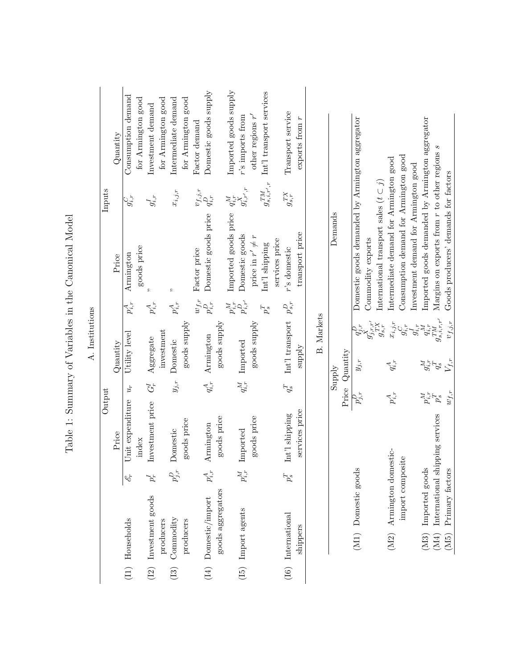|                                                      |                 |        | Quantity | Consumption demand | for Armington good | Investment demand     | for Armington good | Intermediate demand | for Armington good | Factor demand          | Domestic goods supply |                   | Imported goods supply            | $r$ 's imports from  | other regions $r'$   | Int'l transport services     |                | Transport service    | exports from $r$ |                   |         |                |
|------------------------------------------------------|-----------------|--------|----------|--------------------|--------------------|-----------------------|--------------------|---------------------|--------------------|------------------------|-----------------------|-------------------|----------------------------------|----------------------|----------------------|------------------------------|----------------|----------------------|------------------|-------------------|---------|----------------|
|                                                      |                 | Inputs |          | $g_{i,r}^C$        |                    | $g_{i,r}^I$           |                    | $x_{i,j,r}$         |                    | $v_{f,j,r}$            | $q_{i,r}^D$           |                   |                                  | $g^X_{i,r^\prime,r}$ |                      | $g_{s,i,r^{\prime },r}^{TM}$ |                | $g_{s,r}^{TX}$       |                  |                   |         |                |
| Table 1: Summary of Variables in the Canonical Model |                 |        | Price    | Armington          | goods price        |                       |                    | R                   |                    | $w_{f,r}$ Factor price | Domestic goods price  |                   | Imported goods price $q_{i,r}^M$ | Domestic goods       | price in $r' \neq r$ | Int'l shipping               | services price | $r$ 's domestic      | transport price  |                   | Demands |                |
|                                                      |                 |        |          | $p_{i,r}^A$        |                    | $p_{i,r}^A$           |                    | $p_{i,r}^A$         |                    |                        | $p_{i,r}^D$           |                   | $p_{i,r}^M$                      | $p_{i,r^{\prime}}^D$ |                      | $p_s^T$                      |                | $p_{s,r}^D$          |                  |                   |         |                |
|                                                      | A. Institutions |        | Quantity | Utility level      |                    | Aggregate             | investment         | Domestic            | goods supply       |                        | Armington             | goods supply      |                                  | Imported             | goods supply         |                              |                | Int'l transport      | ylddns           | <b>B.</b> Markets |         | Price Quantity |
|                                                      |                 |        |          | $u_r$              |                    | $G_r^I$               |                    | $y_{j,r}$           |                    |                        | $q_{i,r}^A$           |                   |                                  | $q_{i,r}^M$          |                      |                              |                | $q_s^T$              |                  |                   | Supply  |                |
|                                                      |                 | Output | Price    | nit expenditure    | index              | Investment price      |                    | Domestic            | goods price        |                        | Armington             | goods price       |                                  | Imported             | goods price          |                              |                | Int'l shipping       | services price   |                   |         |                |
|                                                      |                 |        |          | ۹Ś                 |                    |                       |                    |                     |                    |                        |                       |                   |                                  | $p_{i,r}^M$          |                      |                              |                |                      |                  |                   |         |                |
|                                                      |                 |        |          | (I1) Households    |                    | (I2) Investment goods | producers          | (I3) Commodity      | producers          |                        | (I4) Domestic/import  | goods aggregators |                                  | (15) Import agents   |                      |                              |                | $(16)$ International | shippers         |                   |         |                |
|                                                      |                 |        |          |                    |                    |                       |                    |                     |                    |                        |                       |                   |                                  |                      |                      |                              |                |                      |                  |                   |         |                |

| l                                         |
|-------------------------------------------|
| くうこう<br>Ì                                 |
| $\frac{1}{2}$<br>į                        |
| i                                         |
| .<br>.<br>.<br>.<br>.                     |
|                                           |
| $\sim$ $\sim$ $\sim$ $\sim$ $+$<br>ì<br>J |
|                                           |
|                                           |

|                                                                                                                             |             | <b>Ziddne</b>       |                               | Demands                                          |
|-----------------------------------------------------------------------------------------------------------------------------|-------------|---------------------|-------------------------------|--------------------------------------------------|
|                                                                                                                             |             | Price Quantity      |                               |                                                  |
| (M1) Domestic goods                                                                                                         |             | $y_{j,r}$           |                               | Domestic goods demanded by Armington aggregator  |
|                                                                                                                             |             |                     |                               | Commodity exports                                |
|                                                                                                                             |             |                     | $g_{j,r,r^\prime}^{\tau,r,r}$ | International transport sales $(t \subset j)$    |
| domestic-<br>(M2) Armington                                                                                                 | $p_{i,r}^A$ | $q_{i,r}^{\rm A}$   | $\dot{u}_{i,j,r}$             | Intermediate demand for Armington good           |
| import composite                                                                                                            |             |                     |                               | Consumption demand for Armington good            |
|                                                                                                                             |             |                     |                               | Investment demand for Armington good             |
| (M3) Imported goods                                                                                                         |             |                     |                               | imported goods demanded by Armington aggregator  |
|                                                                                                                             |             |                     | $g_{s,i,r,r^{\prime}}^{TM}$   | Margins on exports from $r$ to other regions $s$ |
| $\begin{array}{ll} \text{(M4)} & \text{International shipping services}\\ \text{(M5)} & \text{Primary factors} \end{array}$ |             | $w_{f,r}$ $V_{f,r}$ |                               | $v_{f,j,r}$ Goods producers' demands for factors |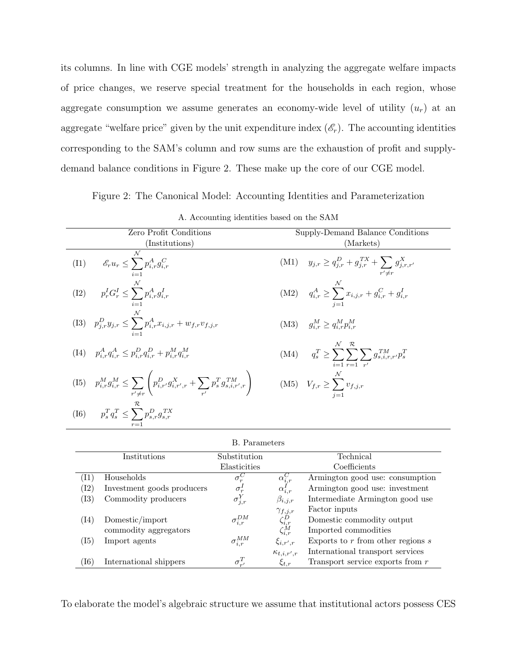its columns. In line with CGE models' strength in analyzing the aggregate welfare impacts of price changes, we reserve special treatment for the households in each region, whose aggregate consumption we assume generates an economy-wide level of utility  $(u_r)$  at an aggregate "welfare price" given by the unit expenditure index  $(\mathscr{E}_r)$ . The accounting identities corresponding to the SAM's column and row sums are the exhaustion of profit and supplydemand balance conditions in Figure 2. These make up the core of our CGE model.

Figure 2: The Canonical Model: Accounting Identities and Parameterization

| Zero Profit Conditions                                                                                                                                                         | Supply-Demand Balance Conditions                                            |
|--------------------------------------------------------------------------------------------------------------------------------------------------------------------------------|-----------------------------------------------------------------------------|
| (Institutions)                                                                                                                                                                 | (Markets)                                                                   |
| $\mathcal N$<br>(I1) $\mathscr{E}_r u_r \leq \sum_{\cdot} p_{i,r}^A g_{i,r}^C$                                                                                                 | (M1) $y_{j,r} \ge q_{j,r}^D + g_{j,r}^{TX} + \sum g_{j,r,r'}^X$             |
| (I2) $p_r^I G_r^I \le \sum_{l}^{\mathcal{N}} p_{i,r}^A g_{i,r}^I$                                                                                                              | (M2) $q_{i,r}^A \ge \sum_{i,j,r} x_{i,j,r} + g_{i,r}^C + g_{i,r}^I$         |
| $\text{(I3)} \quad p_{j,r}^D y_{j,r} \leq \sum^\mathcal{N} p_{i,r}^A x_{i,j,r} + w_{f,r} v_{f,j,r}$                                                                            | $(M3)$ $q_{i,r}^M \geq q_{i,r}^M p_{i,r}^M$                                 |
| (14) $p_{i,r}^A q_{i,r}^A \leq p_{i,r}^D q_{i,r}^D + p_{i,r}^M q_{i,r}^M$                                                                                                      | (M4) $q_s^T \ge \sum \sum \sum g_{s,i,r,r'}^{TM} p_s^T$<br>$i=1$ $r=1$ $r'$ |
| (I5) $p_{i,r}^M g_{i,r}^M \le \sum_{r' \ne r} \left( p_{i,r'}^D g_{i,r',r}^X + \sum_{r'} p_s^T g_{s,i,r',r}^{TM} \right)$ (M5) $V_{f,r} \ge \sum_{r'}^{\mathcal{N}} v_{f,j,r}$ |                                                                             |
| (I6) $p_s^T q_s^T \le \sum_{s}^{\mathcal{R}} p_{s,r}^D g_{s,r}^{TX}$                                                                                                           |                                                                             |
|                                                                                                                                                                                |                                                                             |

|  | A. Accounting identities based on the SAM |  |  |  |  |  |
|--|-------------------------------------------|--|--|--|--|--|
|--|-------------------------------------------|--|--|--|--|--|

|                    |                            | B. Parameters       |                                                                                |                                       |
|--------------------|----------------------------|---------------------|--------------------------------------------------------------------------------|---------------------------------------|
|                    | Institutions               | Substitution        |                                                                                | Technical                             |
|                    |                            | Elasticities        |                                                                                | Coefficients                          |
| $\left(11\right)$  | Households                 | $\sigma_r^C$        |                                                                                | Armington good use: consumption       |
| $^{(\mathrm{I2})}$ | Investment goods producers | $\sigma_r^I$        | $\alpha_{i,r}^{C}$<br>$\alpha_{i,r}^{I'}$                                      | Armington good use: investment        |
| $\rm (I3)$         | Commodity producers        | $\sigma_{j,r}^Y$    | $\beta_{i,j,r}$                                                                | Intermediate Armington good use       |
|                    |                            |                     |                                                                                | Factor inputs                         |
| (14)               | Domestic/import            | $\sigma^{DM}_{i,r}$ |                                                                                | Domestic commodity output             |
|                    | commodity aggregators      |                     | $\begin{array}{c}\gamma_{f,j,r} \\ \zeta^D_{i,r} \\ \zeta^M_{i,r} \end{array}$ | Imported commodities                  |
| $\rm (I5)$         | Import agents              | $\sigma^{MM}_{i,r}$ | $\xi_{i,r',r}$                                                                 | Exports to $r$ from other regions $s$ |
|                    |                            |                     | $\kappa_{t,i,r',r}$                                                            | International transport services      |
| $\left(16\right)$  | International shippers     | $\sigma_{r}^T$      | $\xi_{t,r}$                                                                    | Transport service exports from $r$    |

To elaborate the model's algebraic structure we assume that institutional actors possess CES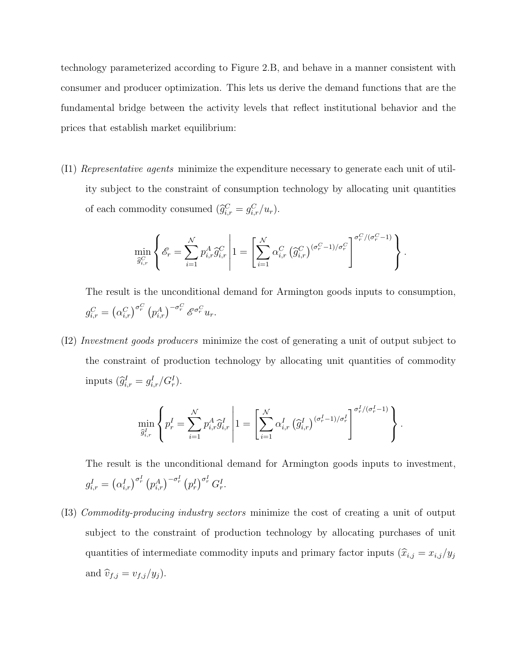technology parameterized according to Figure 2.B, and behave in a manner consistent with consumer and producer optimization. This lets us derive the demand functions that are the fundamental bridge between the activity levels that reflect institutional behavior and the prices that establish market equilibrium:

(I1) Representative agents minimize the expenditure necessary to generate each unit of utility subject to the constraint of consumption technology by allocating unit quantities of each commodity consumed  $(\hat{g}_{i,r}^C = g_{i,r}^C/u_r)$ .

$$
\min_{\widehat{g}_{i,r}^C} \left\{ \mathcal{E}_r = \sum_{i=1}^N p_{i,r}^A \widehat{g}_{i,r}^C \middle| 1 = \left[ \sum_{i=1}^N \alpha_{i,r}^C \left( \widehat{g}_{i,r}^C \right)^{(\sigma_r^C - 1)/\sigma_r^C} \right]^{\sigma_r^C/(\sigma_r^C - 1)} \right\}.
$$

The result is the unconditional demand for Armington goods inputs to consumption,  $g_{i,r}^C = \left(\alpha_{i,r}^C\right)^{\sigma_r^C} \left(p_{i,r}^A\right)^{-\sigma_r^C} \mathscr{E}^{\sigma_r^C} u_r.$ 

(I2) Investment goods producers minimize the cost of generating a unit of output subject to the constraint of production technology by allocating unit quantities of commodity inputs  $(\widehat{g}_{i,r}^I = g_{i,r}^I / G_r^I).$ 

$$
\min_{\widehat{g}_{i,r}^I} \left\{ p_r^I = \sum_{i=1}^{\mathcal{N}} p_{i,r}^A \widehat{g}_{i,r}^I \left| 1 = \left[ \sum_{i=1}^{\mathcal{N}} \alpha_{i,r}^I \left( \widehat{g}_{i,r}^I \right)^{(\sigma_r^I - 1)/\sigma_r^I} \right]^{\sigma_r^I/(\sigma_r^I - 1)} \right\}.
$$

The result is the unconditional demand for Armington goods inputs to investment,  $g_{i,r}^I = \left(\alpha_{i,r}^I\right)^{\sigma_r^I} \left(p_{i,r}^A\right)^{-\sigma_r^I} \left(p_r^I\right)^{\sigma_r^I} G_r^I.$ 

(I3) Commodity-producing industry sectors minimize the cost of creating a unit of output subject to the constraint of production technology by allocating purchases of unit quantities of intermediate commodity inputs and primary factor inputs  $(\hat{x}_{i,j} = x_{i,j}/y_j)$ and  $\hat{v}_{f,j} = v_{f,j}/y_j$ .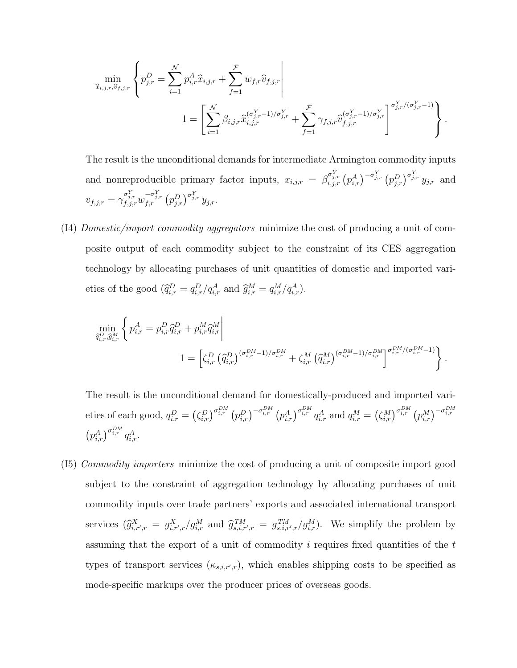$$
\min_{\hat{x}_{i,j,r},\hat{v}_{f,j,r}} \left\{ p_{j,r}^D = \sum_{i=1}^N p_{i,r}^A \hat{x}_{i,j,r} + \sum_{f=1}^{\mathcal{F}} w_{f,r} \hat{v}_{f,j,r} \right\} \n1 = \left[ \sum_{i=1}^N \beta_{i,j,r} \hat{x}_{i,j,r}^{(\sigma_{j,r}^Y - 1)/\sigma_{j,r}^Y} + \sum_{f=1}^{\mathcal{F}} \gamma_{f,j,r} \hat{v}_{f,j,r}^{(\sigma_{j,r}^Y - 1)/\sigma_{j,r}^Y} \right]^{\sigma_{j,r}^Y/(\sigma_{j,r}^Y - 1)} \right\}.
$$

The result is the unconditional demands for intermediate Armington commodity inputs and nonreproducible primary factor inputs,  $x_{i,j,r} = \beta_{i,j,r}^{\sigma_{j,r}^Y} (p_{i,r}^A)^{-\sigma_{j,r}^Y} (p_{j,r}^D)^{\sigma_{j,r}^Y} y_{j,r}$  and  $v_{f,j,r} = \gamma_{f,j,r}^{\sigma_{j,r}^Y} w_{f,r}^{-\sigma_{j,r}^Y} (p_{j,r}^D)^{\sigma_{j,r}^Y} y_{j,r}.$ 

(I4) Domestic/import commodity aggregators minimize the cost of producing a unit of composite output of each commodity subject to the constraint of its CES aggregation technology by allocating purchases of unit quantities of domestic and imported varieties of the good  $(\widehat{q}_{i,r}^D = q_{i,r}^D/q_{i,r}^A \text{ and } \widehat{g}_{i,r}^M = q_{i,r}^M/q_{i,r}^A).$ 

$$
\min_{\tilde{q}_{i,r}^{D},\tilde{g}_{i,r}^{M}}\left\{p_{i,r}^{A}=p_{i,r}^{D}\tilde{q}_{i,r}^{D}+p_{i,r}^{M}\tilde{q}_{i,r}^{M}\right\}
$$
\n
$$
1=\left[\zeta_{i,r}^{D}\left(\tilde{q}_{i,r}^{D}\right)^{(\sigma_{i,r}^{DM}-1)/\sigma_{i,r}^{DM}}+\zeta_{i,r}^{M}\left(\tilde{q}_{i,r}^{M}\right)^{(\sigma_{i,r}^{DM}-1)/\sigma_{i,r}^{DM}}\right]^{\sigma_{i,r}^{DM}/(\sigma_{i,r}^{DM}-1)}\right\}.
$$

The result is the unconditional demand for domestically-produced and imported varieties of each good,  $q_{i,r}^D = (\zeta_{i,r}^D)^{\sigma_{i,r}^{DM}} (p_{i,r}^D)^{-\sigma_{i,r}^{DM}} (p_{i,r}^A)^{\sigma_{i,r}^{DM}} q_{i,r}^A$  and  $q_{i,r}^M = (\zeta_{i,r}^M)^{\sigma_{i,r}^{DM}} (p_{i,r}^M)^{-\sigma_{i,r}^{DM}}$  $\left(p_{i,r}^{A}\right)^{\sigma_{i,r}^{DM}} q_{i,r}^{A}.$ 

(I5) Commodity importers minimize the cost of producing a unit of composite import good subject to the constraint of aggregation technology by allocating purchases of unit commodity inputs over trade partners' exports and associated international transport services  $(\widehat{g}_{i,r',r}^X = g_{i,r',r}^X/g_{i,r}^M$  and  $\widehat{g}_{s,i,r',r}^{TM} = g_{s,i,r',r}^{TM}/g_{i,r}^M$ . We simplify the problem by assuming that the export of a unit of commodity  $i$  requires fixed quantities of the  $t$ types of transport services  $(\kappa_{s,i,r',r})$ , which enables shipping costs to be specified as mode-specific markups over the producer prices of overseas goods.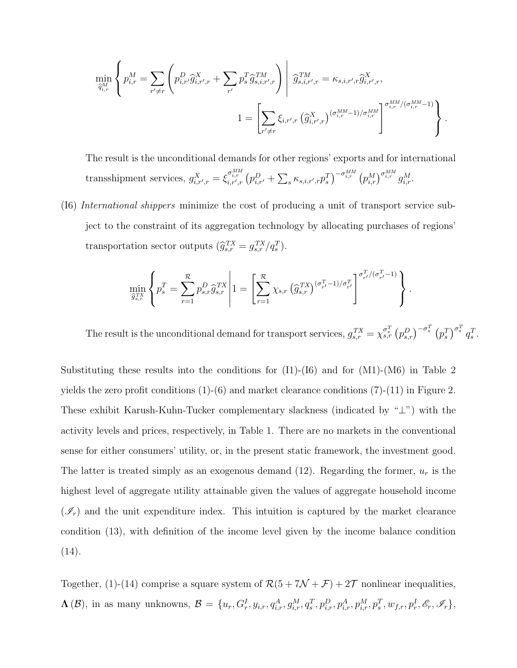$$
\min_{\widehat{q}_{i,r}^M} \left\{ p_{i,r}^M = \sum_{r' \neq r} \left( p_{i,r'}^D \widehat{g}_{i,r',r}^X + \sum_{r'} p_s^T \widehat{g}_{s,i,r',r}^{TM} \right) \middle| \ \widehat{g}_{s,i,r',r}^{TM} = \kappa_{s,i,r',r} \widehat{g}_{i,r',r}^X,
$$
\n
$$
1 = \left[ \sum_{r' \neq r} \xi_{i,r',r} \left( \widehat{g}_{i,r',r}^X \right)^{(\sigma_{i,r}^{MM} - 1)/\sigma_{i,r}^{MM}} \right]^{\sigma_{i,r}^{MM}/(\sigma_{i,r}^{MM} - 1)} \right\}.
$$

The result is the unconditional demands for other regions' exports and for international transshipment services,  $g_{i,r',r}^X = \xi_{i,r',r}^{\sigma_{i,r}^{MM}} (p_{i,r'}^D + \sum_s \kappa_{s,i,r',r} p_s^T)^{-\sigma_{i,r}^{MM}} (p_{i,r}^M)^{\sigma_{i,r}^{MM}} g_{i,r}^M$ .

(I6) International shippers minimize the cost of producing a unit of transport service subject to the constraint of its aggregation technology by allocating purchases of regions' transportation sector outputs  $(\widehat{g}_{s,r}^{TX} = g_{s,r}^{TX}/q_s^T)$ .

$$
\min_{\widehat{g}_{s,r}^{TX}}\left\{p_s^T=\sum_{r=1}^{\mathcal{R}}p_{s,r}^D\widehat{g}_{s,r}^{TX}\middle|1=\left[\sum_{r=1}^{\mathcal{R}}\chi_{s,r}\left(\widehat{g}_{s,r}^{TX}\right)^{(\sigma_{r'}^T-1)/\sigma_{r'}^T}\right]^{\sigma_{r'}^T/(\sigma_{r'}^T-1)}\right\}.
$$

The result is the unconditional demand for transport services,  $g_{s,r}^{TX} = \chi_{s,r}^{\sigma_s^T} (p_{s,r}^D)^{-\sigma_s^T} (p_s^T)^{\sigma_s^T} q_s^T$ .

Substituting these results into the conditions for  $(11)-(16)$  and for  $(M1)-(M6)$  in Table 2 yields the zero profit conditions  $(1)-(6)$  and market clearance conditions  $(7)-(11)$  in Figure 2. These exhibit Karush-Kuhn-Tucker complementary slackness (indicated by "⊥") with the activity levels and prices, respectively, in Table 1. There are no markets in the conventional sense for either consumers' utility, or, in the present static framework, the investment good. The latter is treated simply as an exogenous demand (12). Regarding the former,  $u_r$  is the highest level of aggregate utility attainable given the values of aggregate household income  $(\mathscr{I}_r)$  and the unit expenditure index. This intuition is captured by the market clearance condition (13), with definition of the income level given by the income balance condition  $(14).$ 

Together, (1)-(14) comprise a square system of  $\mathcal{R}(5 + 7\mathcal{N} + \mathcal{F}) + 2\mathcal{T}$  nonlinear inequalities,  $\Lambda(\mathcal{B})$ , in as many unknowns,  $\mathcal{B} = \{u_r, G^I_r, y_{i,r}, q^A_{i,r}, g^M_{i,r}, q^T_s, p^D_{i,r}, p^A_{i,r}, p^M_{i,r}, p^T_s, w_{f,r}, p^I_r, \mathscr{E}_r, \mathscr{I}_r\},$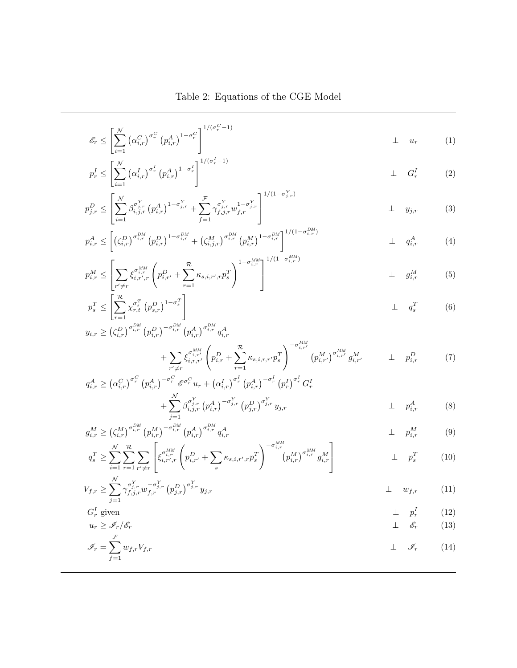Table 2: Equations of the CGE Model

$$
\mathcal{E}_r \le \left[ \sum_{i=1}^N \left( \alpha_{i,r}^C \right)^{\sigma_r^C} \left( p_{i,r}^A \right)^{1-\sigma_r^C} \right]^{1/(\sigma_r^C - 1)} \perp u_r \qquad (1)
$$

$$
p_r^I \le \left[ \sum_{i=1}^N \left( \alpha_{i,r}^I \right)^{\sigma_r^I} \left( p_{i,r}^A \right)^{1 - \sigma_r^I} \right]^{1/(0_r - 1)} \qquad \qquad \perp \qquad G_r^I \tag{2}
$$

$$
p_{j,r}^D \le \left[ \sum_{i=1}^{\mathcal{N}} \beta_{i,j,r}^{\sigma_{j,r}^Y} \left( p_{i,r}^A \right)^{1-\sigma_{j,r}^Y} + \sum_{f=1}^{\mathcal{F}} \gamma_{j,j,r}^{\sigma_{j,r}^Y} u_{f,r}^{1-\sigma_{j,r}^Y} \right]^{1/(1-\sigma_{j,r}^Y)} \perp y_{j,r} \qquad (3)
$$

$$
p_{i,r}^{A} \leq \left[ \left( \zeta_{i,r}^{D} \right)^{\sigma_{i,r}^{DM}} \left( p_{i,r}^{D} \right)^{1-\sigma_{i,r}^{DM}} + \left( \zeta_{i,j,r}^{M} \right)^{\sigma_{i,r}^{DM}} \left( p_{i,r}^{M} \right)^{1-\sigma_{i,r}^{DM}} \right]^{1/(1-\sigma_{i,r}^{DM})} \qquad \qquad \perp \qquad q_{i,r}^{A} \tag{4}
$$

$$
p_{i,r}^M \leq \left[ \sum_{r' \neq r} \xi_{i,r',r}^{\sigma_{i,r}^M} \left( p_{i,r'}^D + \sum_{r=1}^R \kappa_{s,i,r',r} p_s^T \right)^{1 - \sigma_{i,r}^{MM}} \right]^{1/(1 - \sigma_{i,r}^{MM})} \perp g_{i,r}^M \qquad (5)
$$

$$
p_s^T \le \left[ \sum_{r=1}^{\mathcal{R}} \chi_{r,t}^{\sigma_s^T} (p_{s,r}^D)^{1-\sigma_s^T} \right] \qquad \qquad \perp \qquad q_s^T \qquad \qquad (6)
$$

$$
y_{i,r} \geq (\zeta_{i,r}^{D})^{\sigma_{i,r}^{DM}} (p_{i,r}^{D})^{-\sigma_{i,r}^{DM}} (p_{i,r}^{A})^{\sigma_{i,r}^{DM}} q_{i,r}^{A} + \sum_{r' \neq r} \xi_{i,r,r'}^{\sigma_{i,r'}^{MM}} \left( p_{i,r}^{D} + \sum_{r=1}^{\mathcal{R}} \kappa_{s,i,r,r'} p_{s}^{T} \right)^{-\sigma_{i,r'}^{MM}} (p_{i,r'}^{M})^{\sigma_{i,r'}^{MM}} g_{i,r'}^{M} \qquad \perp \qquad p_{i,r}^{D} \tag{7}
$$

$$
q_{i,r}^{A} \geq (\alpha_{i,r}^{C})^{\sigma_r^{C}} (p_{i,r}^{A})^{-\sigma_r^{C}} \mathscr{E}^{\sigma_r^{C}} u_r + (\alpha_{i,r}^{I})^{\sigma_r^{I}} (p_{i,r}^{A})^{-\sigma_r^{I}} (p_r^{I})^{\sigma_r^{I}} G_r^{I} + \sum_{j=1}^{N} \beta_{i,j,r}^{\sigma_{j,r}^{Y}} (p_{i,r}^{A})^{-\sigma_{j,r}^{Y}} (p_{j,r}^{D})^{\sigma_{j,r}^{Y}} y_{j,r} \perp p_{i,r}^{A} \qquad (8)
$$

$$
g_{i,r}^M \geq \left(\zeta_{i,r}^M\right)^{\sigma_{i,r}^{DM}} \left(p_{i,r}^M\right)^{-\sigma_{i,r}^{DM}} \left(p_{i,r}^A\right)^{\sigma_{i,r}^{DM}} q_{i,r}^A \qquad \qquad \perp \qquad p_{i,r}^M \qquad (9)
$$

$$
q_s^T \ge \sum_{i=1}^N \sum_{r=1}^R \sum_{r' \ne r} \left[ \xi_{i,r',r}^{q_{M}} \left( p_{i,r'}^D + \sum_s \kappa_{s,i,r',r} p_s^T \right)^{-\sigma_{i,r}^{MM}} (p_{i,r}^M)^{\sigma_{i,r}^{MM}} g_{i,r}^M \right] \qquad \qquad \perp \quad p_s^T \qquad (10)
$$

$$
V_{f,r} \geq \sum_{j=1}^{\mathcal{N}} \gamma_{f,j,r}^{\sigma_{j,r}^{Y}} w_{f,r}^{-\sigma_{j,r}^{Y}} (p_{j,r}^{D})^{\sigma_{j,r}^{Y}} y_{j,r} \qquad \qquad \perp \qquad w_{f,r} \qquad (11)
$$

 $G_r^I$ 

$$
G_r^I \text{ given } \perp p_r^I \qquad (12)
$$
  
\n
$$
u_r \ge \mathscr{I}_r/\mathscr{E}_r \qquad \perp \qquad \mathscr{E}_r \qquad (13)
$$

$$
\mathscr{I}_r = \sum_{r=0}^{r} w_{f,r} V_{f,r} \tag{14}
$$

$$
f=1
$$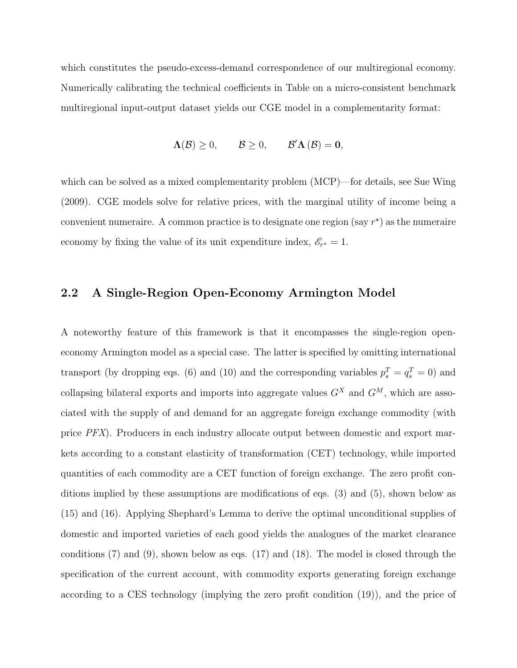which constitutes the pseudo-excess-demand correspondence of our multiregional economy. Numerically calibrating the technical coefficients in Table on a micro-consistent benchmark multiregional input-output dataset yields our CGE model in a complementarity format:

$$
\Lambda(\mathcal{B}) \geq 0, \qquad \mathcal{B} \geq 0, \qquad \mathcal{B}' \Lambda(\mathcal{B}) = 0,
$$

which can be solved as a mixed complementarity problem  $(MCP)$ —for details, see Sue Wing (2009). CGE models solve for relative prices, with the marginal utility of income being a convenient numeraire. A common practice is to designate one region (say  $r^*$ ) as the numeraire economy by fixing the value of its unit expenditure index,  $\mathscr{E}_{r^*} = 1$ .

#### 2.2 A Single-Region Open-Economy Armington Model

A noteworthy feature of this framework is that it encompasses the single-region openeconomy Armington model as a special case. The latter is specified by omitting international transport (by dropping eqs. (6) and (10) and the corresponding variables  $p_s^T = q_s^T = 0$ ) and collapsing bilateral exports and imports into aggregate values  $G^X$  and  $G^M$ , which are associated with the supply of and demand for an aggregate foreign exchange commodity (with price PFX). Producers in each industry allocate output between domestic and export markets according to a constant elasticity of transformation (CET) technology, while imported quantities of each commodity are a CET function of foreign exchange. The zero profit conditions implied by these assumptions are modifications of eqs. (3) and (5), shown below as (15) and (16). Applying Shephard's Lemma to derive the optimal unconditional supplies of domestic and imported varieties of each good yields the analogues of the market clearance conditions (7) and (9), shown below as eqs. (17) and (18). The model is closed through the specification of the current account, with commodity exports generating foreign exchange according to a CES technology (implying the zero profit condition (19)), and the price of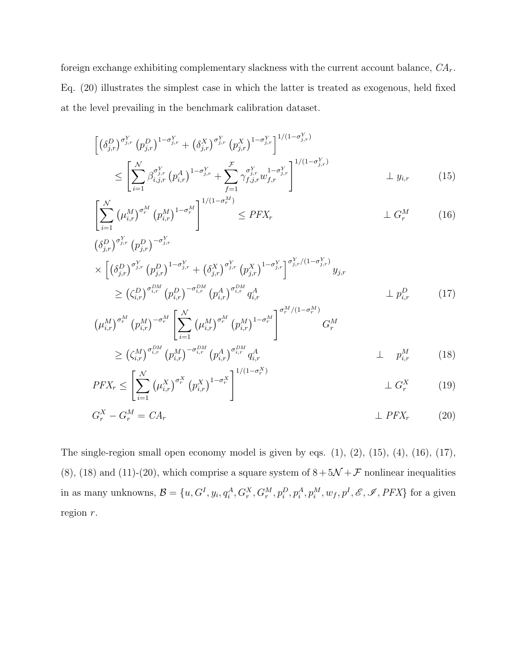foreign exchange exhibiting complementary slackness with the current account balance,  $CA_r$ . Eq. (20) illustrates the simplest case in which the latter is treated as exogenous, held fixed at the level prevailing in the benchmark calibration dataset.

$$
\begin{split}\n\left[ \left( \delta_{j,r}^{D} \right)^{\sigma_{j,r}^{Y}} \left( p_{j,r}^{D} \right)^{1-\sigma_{j,r}^{Y}} + \left( \delta_{j,r}^{X} \right)^{\sigma_{j,r}^{Y}} \left( p_{j,r}^{X} \right)^{1-\sigma_{j,r}^{Y}} \right]^{1/(1-\sigma_{j,r}^{Y})} \\
&\leq \left[ \sum_{i=1}^{N} \beta_{i,j,r}^{\sigma_{j,r}^{Y}} \left( p_{i,r}^{A} \right)^{1-\sigma_{j,r}^{Y}} + \sum_{f=1}^{F} \gamma_{f,j,r}^{\sigma_{j,r}^{Y}} u_{f,r}^{1-\sigma_{j,r}^{Y}} \right]^{1/(1-\sigma_{j,r}^{Y})} \perp y_{i,r} \qquad (15)\n\end{split}
$$

$$
\left[\sum_{i=1}^{N} \left(\mu_{i,r}^{M}\right)^{\sigma_r^M} \left(p_{i,r}^{M}\right)^{1-\sigma_r^M}\right]^{1/(1-\sigma_r^M)} \le PFX_r \qquad \qquad \perp G_r^M \qquad (16)
$$

$$
\begin{split}\n&\left(\delta_{j,r}^{D}\right)^{\sigma_{j,r}^{Y}}\left(p_{j,r}^{D}\right)^{-\sigma_{j,r}^{Y}} \\
&\times\left[\left(\delta_{j,r}^{D}\right)^{\sigma_{j,r}^{Y}}\left(p_{j,r}^{D}\right)^{1-\sigma_{j,r}^{Y}}+\left(\delta_{j,r}^{X}\right)^{\sigma_{j,r}^{Y}}\left(p_{j,r}^{X}\right)^{1-\sigma_{j,r}^{Y}}\right]^{\sigma_{j,r}^{Y}/(1-\sigma_{j,r}^{Y})}y_{j,r} \\
&\geq\left(\zeta_{i,r}^{D}\right)^{\sigma_{i,r}^{DM}}\left(p_{i,r}^{D}\right)^{-\sigma_{i,r}^{DM}}\left(p_{i,r}^{A}\right)^{\sigma_{i,r}^{DM}}q_{i,r}^{A} \qquad\qquad\perp p_{i,r}^{D}\n\end{split} \tag{17}
$$

$$
\left(\mu_{i,r}^{M}\right)^{\sigma_{r}^{M}}\left(p_{i,r}^{M}\right)^{-\sigma_{r}^{M}}\left[\sum_{i=1}^{N}\left(\mu_{i,r}^{M}\right)^{\sigma_{r}^{M}}\left(p_{i,r}^{M}\right)^{1-\sigma_{r}^{M}}\right]^{\sigma_{r}^{M}/(1-\sigma_{r}^{M})}\nG_{r}^{M}\n\geq \left(\zeta_{i,r}^{M}\right)^{\sigma_{i,r}^{DM}}\left(p_{i,r}^{M}\right)^{-\sigma_{i,r}^{DM}}\left(p_{i,r}^{A}\right)^{\sigma_{i,r}^{DM}}q_{i,r}^{A}\n\perp p_{i,r}^{M}\n\tag{18}
$$

$$
PFX_r \le \left[ \sum_{i=1}^{N} \left( \mu_{i,r}^{X} \right)^{\sigma_r^{X}} \left( p_{i,r}^{X} \right)^{1-\sigma_r^{X}} \right]^{1/(1-\sigma_r^{X})} \perp G_r^{X} \tag{19}
$$

$$
G_r^X - G_r^M = CA_r \tag{20}
$$

The single-region small open economy model is given by eqs.  $(1)$ ,  $(2)$ ,  $(15)$ ,  $(4)$ ,  $(16)$ ,  $(17)$ , (8), (18) and (11)-(20), which comprise a square system of  $8 + 5\mathcal{N} + \mathcal{F}$  nonlinear inequalities in as many unknowns,  $\mathcal{B} = \{u, G^I, y_i, q_i^A, G_r^X, G_r^M, p_i^D, p_i^A, p_i^M, w_f, p^I, \mathscr{E}, \mathscr{I}, PFX\}$  for a given region r.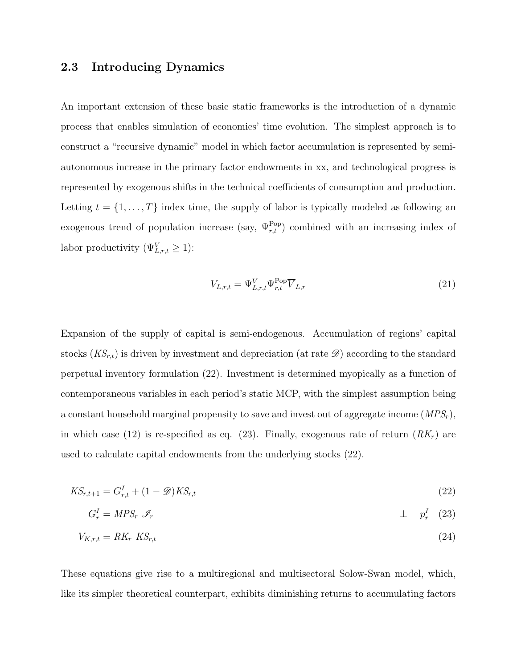#### 2.3 Introducing Dynamics

An important extension of these basic static frameworks is the introduction of a dynamic process that enables simulation of economies' time evolution. The simplest approach is to construct a "recursive dynamic" model in which factor accumulation is represented by semiautonomous increase in the primary factor endowments in xx, and technological progress is represented by exogenous shifts in the technical coefficients of consumption and production. Letting  $t = \{1, \ldots, T\}$  index time, the supply of labor is typically modeled as following an exogenous trend of population increase (say,  $\Psi_{r,t}^{\text{Pop}}$ ) combined with an increasing index of labor productivity  $(\Psi_{L,r,t}^V \geq 1)$ :

$$
V_{L,r,t} = \Psi_{L,r,t}^V \Psi_{r,t}^{\text{Pop}} \overline{V}_{L,r}
$$
\n(21)

Expansion of the supply of capital is semi-endogenous. Accumulation of regions' capital stocks  $(KS_{r,t})$  is driven by investment and depreciation (at rate  $\mathscr{D}$ ) according to the standard perpetual inventory formulation (22). Investment is determined myopically as a function of contemporaneous variables in each period's static MCP, with the simplest assumption being a constant household marginal propensity to save and invest out of aggregate income  $(MPS_r)$ , in which case (12) is re-specified as eq. (23). Finally, exogenous rate of return  $(RK_r)$  are used to calculate capital endowments from the underlying stocks (22).

$$
KS_{r,t+1} = G_{r,t}^I + (1 - \mathcal{D})KS_{r,t} \tag{22}
$$

$$
G_r^I = MPS_r \mathscr{I}_r \qquad \qquad \perp \qquad p_r^I \quad (23)
$$

$$
V_{K,r,t} = RK_r \, KS_{r,t} \tag{24}
$$

These equations give rise to a multiregional and multisectoral Solow-Swan model, which, like its simpler theoretical counterpart, exhibits diminishing returns to accumulating factors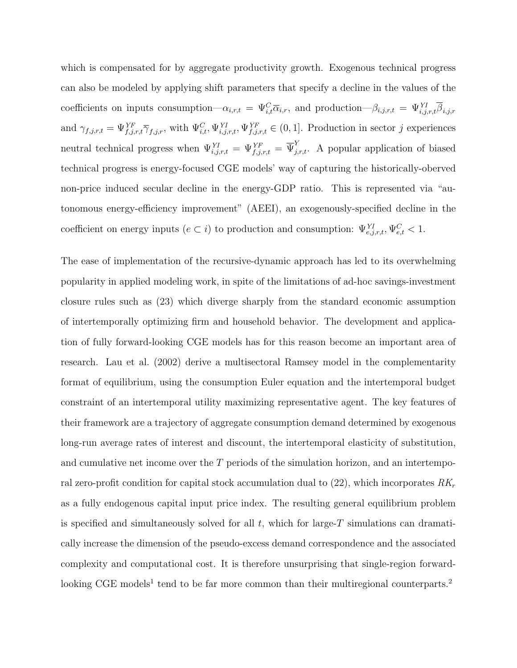which is compensated for by aggregate productivity growth. Exogenous technical progress can also be modeled by applying shift parameters that specify a decline in the values of the coefficients on inputs consumption— $\alpha_{i,r,t} = \Psi_{i,t}^C \overline{\alpha}_{i,r}$ , and production— $\beta_{i,j,r,t} = \Psi_{i,j,r,t}^{YI} \overline{\beta}_{i,j,r}$ and  $\gamma_{f,j,r,t} = \Psi_{f,j,r,t}^{YF} \overline{\gamma}_{f,j,r}$ , with  $\Psi_{i,t}^{C}, \Psi_{i,j,r,t}^{YF}, \Psi_{f,j,r,t}^{YF} \in (0,1]$ . Production in sector j experiences neutral technical progress when  $\Psi_{i,j,r,t}^{YI} = \Psi_{f,j,r,t}^{YF} = \overline{\Psi}_{j,r,t}^{Y}$ . A popular application of biased technical progress is energy-focused CGE models' way of capturing the historically-oberved non-price induced secular decline in the energy-GDP ratio. This is represented via "autonomous energy-efficiency improvement" (AEEI), an exogenously-specified decline in the coefficient on energy inputs  $(e \subset i)$  to production and consumption:  $\Psi_{e,j,r,t}^{YI}, \Psi_{e,t}^{C} < 1$ .

The ease of implementation of the recursive-dynamic approach has led to its overwhelming popularity in applied modeling work, in spite of the limitations of ad-hoc savings-investment closure rules such as (23) which diverge sharply from the standard economic assumption of intertemporally optimizing firm and household behavior. The development and application of fully forward-looking CGE models has for this reason become an important area of research. Lau et al. (2002) derive a multisectoral Ramsey model in the complementarity format of equilibrium, using the consumption Euler equation and the intertemporal budget constraint of an intertemporal utility maximizing representative agent. The key features of their framework are a trajectory of aggregate consumption demand determined by exogenous long-run average rates of interest and discount, the intertemporal elasticity of substitution, and cumulative net income over the  $T$  periods of the simulation horizon, and an intertemporal zero-profit condition for capital stock accumulation dual to  $(22)$ , which incorporates  $RK_r$ as a fully endogenous capital input price index. The resulting general equilibrium problem is specified and simultaneously solved for all  $t$ , which for large-T simulations can dramatically increase the dimension of the pseudo-excess demand correspondence and the associated complexity and computational cost. It is therefore unsurprising that single-region forwardlooking CGE models<sup>1</sup> tend to be far more common than their multiregional counterparts.<sup>2</sup>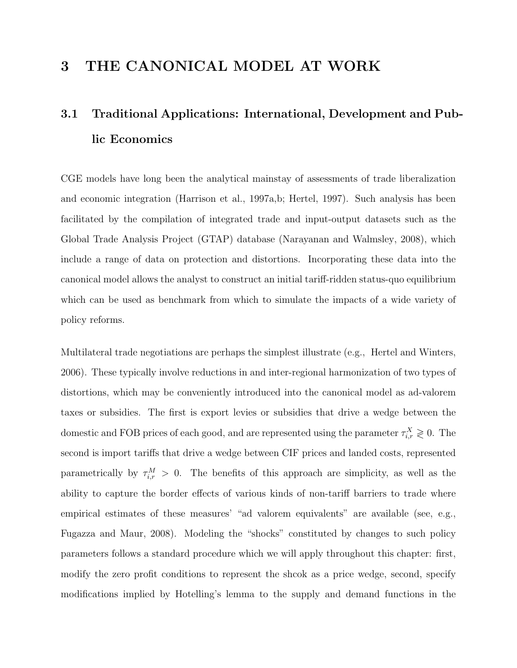### 3 THE CANONICAL MODEL AT WORK

## 3.1 Traditional Applications: International, Development and Public Economics

CGE models have long been the analytical mainstay of assessments of trade liberalization and economic integration (Harrison et al., 1997a,b; Hertel, 1997). Such analysis has been facilitated by the compilation of integrated trade and input-output datasets such as the Global Trade Analysis Project (GTAP) database (Narayanan and Walmsley, 2008), which include a range of data on protection and distortions. Incorporating these data into the canonical model allows the analyst to construct an initial tariff-ridden status-quo equilibrium which can be used as benchmark from which to simulate the impacts of a wide variety of policy reforms.

Multilateral trade negotiations are perhaps the simplest illustrate (e.g., Hertel and Winters, 2006). These typically involve reductions in and inter-regional harmonization of two types of distortions, which may be conveniently introduced into the canonical model as ad-valorem taxes or subsidies. The first is export levies or subsidies that drive a wedge between the domestic and FOB prices of each good, and are represented using the parameter  $\tau_{i,r}^X \geqslant 0$ . The second is import tariffs that drive a wedge between CIF prices and landed costs, represented parametrically by  $\tau_{i,r}^M > 0$ . The benefits of this approach are simplicity, as well as the ability to capture the border effects of various kinds of non-tariff barriers to trade where empirical estimates of these measures' "ad valorem equivalents" are available (see, e.g., Fugazza and Maur, 2008). Modeling the "shocks" constituted by changes to such policy parameters follows a standard procedure which we will apply throughout this chapter: first, modify the zero profit conditions to represent the shcok as a price wedge, second, specify modifications implied by Hotelling's lemma to the supply and demand functions in the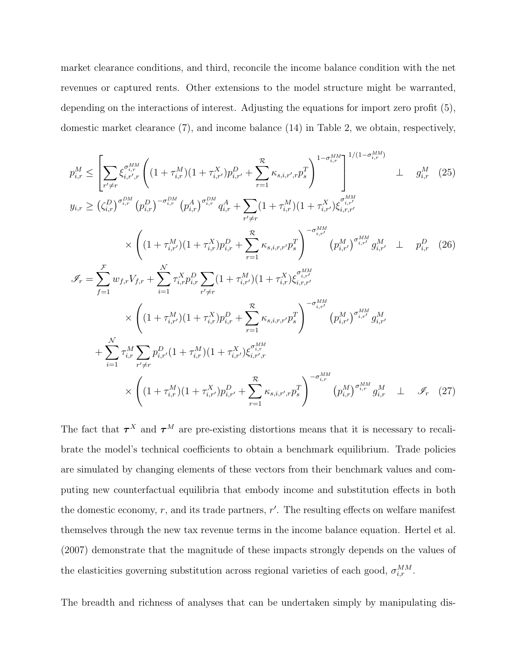market clearance conditions, and third, reconcile the income balance condition with the net revenues or captured rents. Other extensions to the model structure might be warranted, depending on the interactions of interest. Adjusting the equations for import zero profit (5), domestic market clearance (7), and income balance (14) in Table 2, we obtain, respectively,

$$
p_{i,r}^{M} \leq \left[ \sum_{r' \neq r} \xi_{i,r',r}^{\sigma_{i,r}^{MM}} \left( (1 + \tau_{i,r}^{M})(1 + \tau_{i,r'}^{X}) p_{i,r'}^{D} + \sum_{r=1}^{\mathcal{R}} \kappa_{s,i,r',r} p_{s}^{T} \right)^{1 - \sigma_{i,r}^{MM}} \right]^{1/(1 - \sigma_{i,r}^{MM})} \perp g_{i,r}^{M} \quad (25)
$$
  
\n
$$
y_{i,r} \geq (\zeta_{i,r}^{D})^{\sigma_{i,r}^{DM}} (p_{i,r}^{D})^{-\sigma_{i,r}^{DM}} (p_{i,r}^{A})^{\sigma_{i,r}^{DM}} q_{i,r}^{A} + \sum_{r' \neq r} (1 + \tau_{i,r}^{M})(1 + \tau_{i,r'}^{X}) \xi_{i,r,r'}^{\sigma_{i,r'}^{MM}} \perp g_{i,r'}^{MM}
$$
  
\n
$$
\times \left( (1 + \tau_{i,r'}^{M})(1 + \tau_{i,r}^{X}) p_{i,r}^{D} + \sum_{r=1}^{\mathcal{R}} \kappa_{s,i,r,r'} p_{s}^{T} \right)^{-\sigma_{i,r'}^{MM}} (p_{i,r'}^{M})^{\sigma_{i,r'}^{MM}} g_{i,r'}^{M} \perp p_{i,r}^{D} \quad (26)
$$
  
\n
$$
\mathcal{I}_{r} = \sum_{f=1}^{F} w_{f,r} V_{f,r} + \sum_{i=1}^{N} \tau_{i,r}^{X} p_{i,r}^{D} \sum_{r' \neq r} (1 + \tau_{i,r'}^{M})(1 + \tau_{i,r'}^{X}) \xi_{i,r,r'}^{M} q_{i,r'}^{MM}
$$
  
\n
$$
\times \left( (1 + \tau_{i,r'}^{M})(1 + \tau_{i,r}^{X}) p_{i,r}^{D} + \sum_{r=1}^{\mathcal{R}} \kappa_{s,i,r,r'} p_{s}^{T} \right)^{-\sigma_{i,r'}^{MM}} (p_{i,r'}^{M})^{\sigma_{i,r'}^{MM}} g_{i,r'}^{M}
$$
  
\n
$$
+ \sum_{i=1}^{N} \tau_{i,r}^{M} \sum_{r' \neq r} p_{i,r'}^{D} (1 + \tau_{i,r}^{M})(1 + \tau_{i,r'}^{X}) \xi_{i,r',r}^{M}
$$
<

The fact that  $\tau^X$  and  $\tau^M$  are pre-existing distortions means that it is necessary to recalibrate the model's technical coefficients to obtain a benchmark equilibrium. Trade policies are simulated by changing elements of these vectors from their benchmark values and computing new counterfactual equilibria that embody income and substitution effects in both the domestic economy,  $r$ , and its trade partners,  $r'$ . The resulting effects on welfare manifest themselves through the new tax revenue terms in the income balance equation. Hertel et al. (2007) demonstrate that the magnitude of these impacts strongly depends on the values of the elasticities governing substitution across regional varieties of each good,  $\sigma_{i,r}^{MM}$ .

The breadth and richness of analyses that can be undertaken simply by manipulating dis-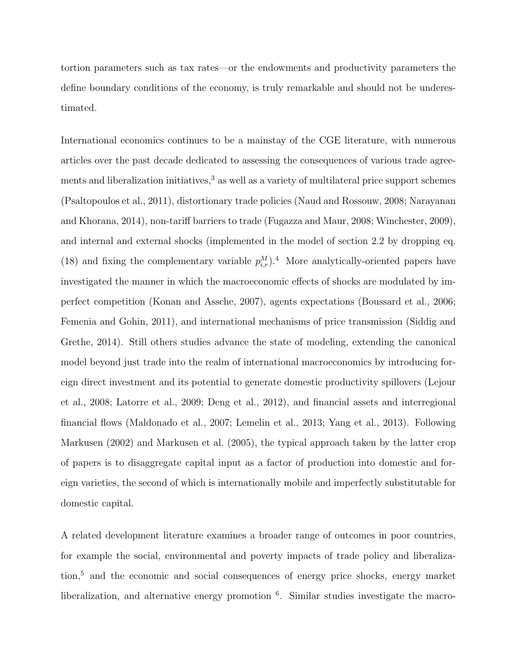tortion parameters such as tax rates—or the endowments and productivity parameters the define boundary conditions of the economy, is truly remarkable and should not be underestimated.

International economics continues to be a mainstay of the CGE literature, with numerous articles over the past decade dedicated to assessing the consequences of various trade agreements and liberalization initiatives,<sup>3</sup> as well as a variety of multilateral price support schemes (Psaltopoulos et al., 2011), distortionary trade policies (Naud and Rossouw, 2008; Narayanan and Khorana, 2014), non-tariff barriers to trade (Fugazza and Maur, 2008; Winchester, 2009), and internal and external shocks (implemented in the model of section 2.2 by dropping eq. (18) and fixing the complementary variable  $p_{i,r}^M$ ).<sup>4</sup> More analytically-oriented papers have investigated the manner in which the macroeconomic effects of shocks are modulated by imperfect competition (Konan and Assche, 2007), agents expectations (Boussard et al., 2006; Femenia and Gohin, 2011), and international mechanisms of price transmission (Siddig and Grethe, 2014). Still others studies advance the state of modeling, extending the canonical model beyond just trade into the realm of international macroeconomics by introducing foreign direct investment and its potential to generate domestic productivity spillovers (Lejour et al., 2008; Latorre et al., 2009; Deng et al., 2012), and financial assets and interregional financial flows (Maldonado et al., 2007; Lemelin et al., 2013; Yang et al., 2013). Following Markusen (2002) and Markusen et al. (2005), the typical approach taken by the latter crop of papers is to disaggregate capital input as a factor of production into domestic and foreign varieties, the second of which is internationally mobile and imperfectly substitutable for domestic capital.

A related development literature examines a broader range of outcomes in poor countries, for example the social, environmental and poverty impacts of trade policy and liberalization,<sup>5</sup> and the economic and social consequences of energy price shocks, energy market liberalization, and alternative energy promotion <sup>6</sup>. Similar studies investigate the macro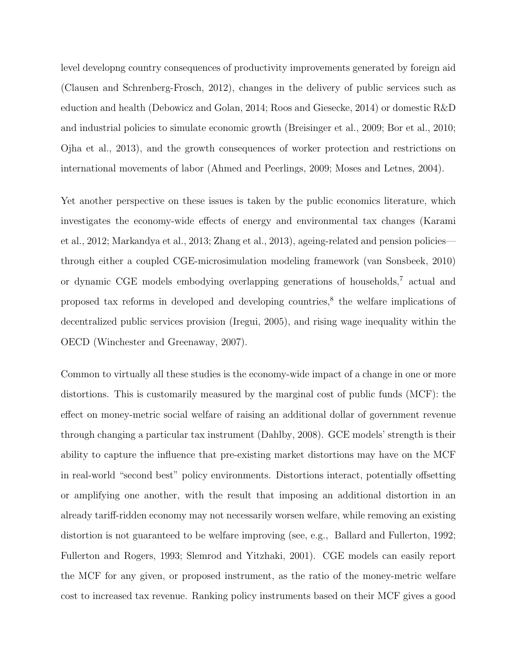level developng country consequences of productivity improvements generated by foreign aid (Clausen and Schrenberg-Frosch, 2012), changes in the delivery of public services such as eduction and health (Debowicz and Golan, 2014; Roos and Giesecke, 2014) or domestic R&D and industrial policies to simulate economic growth (Breisinger et al., 2009; Bor et al., 2010; Ojha et al., 2013), and the growth consequences of worker protection and restrictions on international movements of labor (Ahmed and Peerlings, 2009; Moses and Letnes, 2004).

Yet another perspective on these issues is taken by the public economics literature, which investigates the economy-wide effects of energy and environmental tax changes (Karami et al., 2012; Markandya et al., 2013; Zhang et al., 2013), ageing-related and pension policies through either a coupled CGE-microsimulation modeling framework (van Sonsbeek, 2010) or dynamic CGE models embodying overlapping generations of households,<sup>7</sup> actual and proposed tax reforms in developed and developing countries,<sup>8</sup> the welfare implications of decentralized public services provision (Iregui, 2005), and rising wage inequality within the OECD (Winchester and Greenaway, 2007).

Common to virtually all these studies is the economy-wide impact of a change in one or more distortions. This is customarily measured by the marginal cost of public funds (MCF): the effect on money-metric social welfare of raising an additional dollar of government revenue through changing a particular tax instrument (Dahlby, 2008). GCE models' strength is their ability to capture the influence that pre-existing market distortions may have on the MCF in real-world "second best" policy environments. Distortions interact, potentially offsetting or amplifying one another, with the result that imposing an additional distortion in an already tariff-ridden economy may not necessarily worsen welfare, while removing an existing distortion is not guaranteed to be welfare improving (see, e.g., Ballard and Fullerton, 1992; Fullerton and Rogers, 1993; Slemrod and Yitzhaki, 2001). CGE models can easily report the MCF for any given, or proposed instrument, as the ratio of the money-metric welfare cost to increased tax revenue. Ranking policy instruments based on their MCF gives a good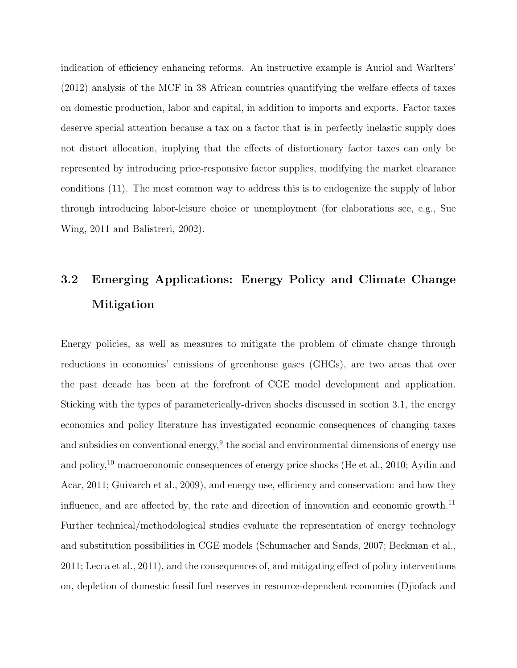indication of efficiency enhancing reforms. An instructive example is Auriol and Warlters' (2012) analysis of the MCF in 38 African countries quantifying the welfare effects of taxes on domestic production, labor and capital, in addition to imports and exports. Factor taxes deserve special attention because a tax on a factor that is in perfectly inelastic supply does not distort allocation, implying that the effects of distortionary factor taxes can only be represented by introducing price-responsive factor supplies, modifying the market clearance conditions (11). The most common way to address this is to endogenize the supply of labor through introducing labor-leisure choice or unemployment (for elaborations see, e.g., Sue Wing, 2011 and Balistreri, 2002).

## 3.2 Emerging Applications: Energy Policy and Climate Change Mitigation

Energy policies, as well as measures to mitigate the problem of climate change through reductions in economies' emissions of greenhouse gases (GHGs), are two areas that over the past decade has been at the forefront of CGE model development and application. Sticking with the types of parameterically-driven shocks discussed in section 3.1, the energy economics and policy literature has investigated economic consequences of changing taxes and subsidies on conventional energy, $9$  the social and environmental dimensions of energy use and policy,<sup>10</sup> macroeconomic consequences of energy price shocks (He et al., 2010; Aydin and Acar, 2011; Guivarch et al., 2009), and energy use, efficiency and conservation: and how they influence, and are affected by, the rate and direction of innovation and economic growth.<sup>11</sup> Further technical/methodological studies evaluate the representation of energy technology and substitution possibilities in CGE models (Schumacher and Sands, 2007; Beckman et al., 2011; Lecca et al., 2011), and the consequences of, and mitigating effect of policy interventions on, depletion of domestic fossil fuel reserves in resource-dependent economies (Djiofack and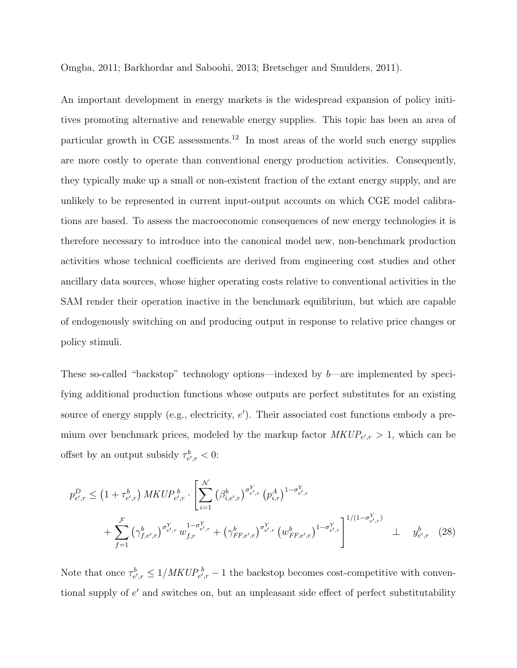Omgba, 2011; Barkhordar and Saboohi, 2013; Bretschger and Smulders, 2011).

An important development in energy markets is the widespread expansion of policy inititives promoting alternative and renewable energy supplies. This topic has been an area of particular growth in CGE assessments.<sup>12</sup> In most areas of the world such energy supplies are more costly to operate than conventional energy production activities. Consequently, they typically make up a small or non-existent fraction of the extant energy supply, and are unlikely to be represented in current input-output accounts on which CGE model calibrations are based. To assess the macroeconomic consequences of new energy technologies it is therefore necessary to introduce into the canonical model new, non-benchmark production activities whose technical coefficients are derived from engineering cost studies and other ancillary data sources, whose higher operating costs relative to conventional activities in the SAM render their operation inactive in the benchmark equilibrium, but which are capable of endogenously switching on and producing output in response to relative price changes or policy stimuli.

These so-called "backstop" technology options—indexed by b—are implemented by specifying additional production functions whose outputs are perfect substitutes for an existing source of energy supply (e.g., electricity,  $e'$ ). Their associated cost functions embody a premium over benchmark prices, modeled by the markup factor  $MKUP_{e',r} > 1$ , which can be offset by an output subsidy  $\tau_{e',r}^b < 0$ :

$$
p_{e',r}^{D} \leq \left(1 + \tau_{e',r}^{b}\right) MKUP_{e',r}^{b} \cdot \left[\sum_{i=1}^{N} \left(\beta_{i,e',r}^{b}\right)^{\sigma_{e',r}^{Y}} \left(p_{i,r}^{A}\right)^{1-\sigma_{e',r}^{Y}} + \sum_{f=1}^{\mathcal{F}} \left(\gamma_{f,e',r}^{b}\right)^{\sigma_{e',r}^{Y}} w_{f,r}^{1-\sigma_{e',r}^{Y}} + \left(\gamma_{FF,e',r}^{b}\right)^{\sigma_{e',r}^{Y}} \left(w_{FF,e',r}^{b}\right)^{1-\sigma_{e',r}^{Y}}\right]^{1/(1-\sigma_{e',r}^{Y})} \perp y_{e',r}^{b} \tag{28}
$$

Note that once  $\tau_{e',r}^b \leq 1/MKUP_{e',r}^b - 1$  the backstop becomes cost-competitive with conventional supply of  $e'$  and switches on, but an unpleasant side effect of perfect substitutability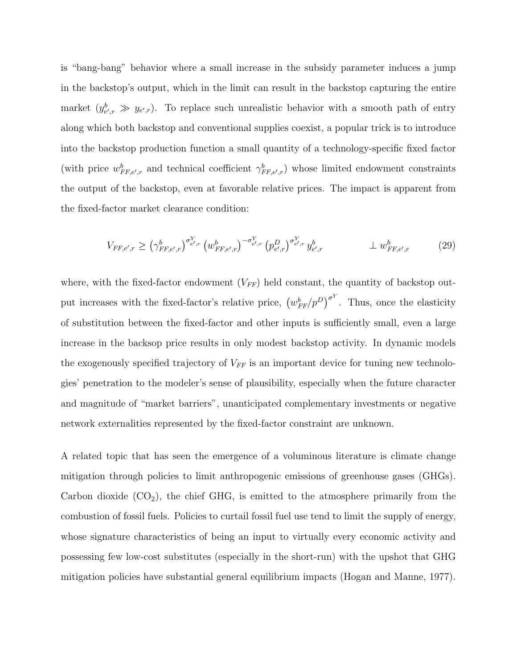is "bang-bang" behavior where a small increase in the subsidy parameter induces a jump in the backstop's output, which in the limit can result in the backstop capturing the entire market  $(y_{e',r}^b \gg y_{e',r})$ . To replace such unrealistic behavior with a smooth path of entry along which both backstop and conventional supplies coexist, a popular trick is to introduce into the backstop production function a small quantity of a technology-specific fixed factor (with price  $w_{FF,e',r}^b$  and technical coefficient  $\gamma_{FF,e',r}^b$ ) whose limited endowment constraints the output of the backstop, even at favorable relative prices. The impact is apparent from the fixed-factor market clearance condition:

$$
V_{FF,e',r} \ge \left(\gamma_{FF,e',r}^{b}\right)^{\sigma_{e',r}^{Y}} \left(w_{FF,e',r}^{b}\right)^{-\sigma_{e',r}^{Y}} \left(p_{e',r}^{D}\right)^{\sigma_{e',r}^{Y}} y_{e',r}^{b} \qquad \qquad \perp w_{FF,e',r}^{b} \tag{29}
$$

where, with the fixed-factor endowment  $(V_{FF})$  held constant, the quantity of backstop output increases with the fixed-factor's relative price,  $(w_{FF}^b/p^D)^{\sigma^Y}$ . Thus, once the elasticity of substitution between the fixed-factor and other inputs is sufficiently small, even a large increase in the backsop price results in only modest backstop activity. In dynamic models the exogenously specified trajectory of  $V_{FF}$  is an important device for tuning new technologies' penetration to the modeler's sense of plausibility, especially when the future character and magnitude of "market barriers", unanticipated complementary investments or negative network externalities represented by the fixed-factor constraint are unknown.

A related topic that has seen the emergence of a voluminous literature is climate change mitigation through policies to limit anthropogenic emissions of greenhouse gases (GHGs). Carbon dioxide  $(CO_2)$ , the chief GHG, is emitted to the atmosphere primarily from the combustion of fossil fuels. Policies to curtail fossil fuel use tend to limit the supply of energy, whose signature characteristics of being an input to virtually every economic activity and possessing few low-cost substitutes (especially in the short-run) with the upshot that GHG mitigation policies have substantial general equilibrium impacts (Hogan and Manne, 1977).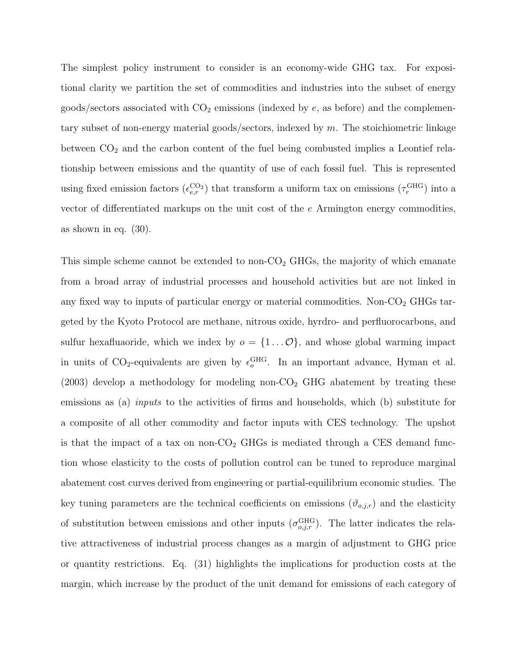The simplest policy instrument to consider is an economy-wide GHG tax. For expositional clarity we partition the set of commodities and industries into the subset of energy goods/sectors associated with  $CO<sub>2</sub>$  emissions (indexed by  $e$ , as before) and the complementary subset of non-energy material goods/sectors, indexed by m. The stoichiometric linkage between  $CO<sub>2</sub>$  and the carbon content of the fuel being combusted implies a Leontief relationship between emissions and the quantity of use of each fossil fuel. This is represented using fixed emission factors  $(\epsilon_{e,r}^{\text{CO}_2})$  that transform a uniform tax on emissions  $(\tau_r^{\text{GHG}})$  into a vector of differentiated markups on the unit cost of the e Armington energy commodities, as shown in eq. (30).

This simple scheme cannot be extended to non- $CO<sub>2</sub>$  GHGs, the majority of which emanate from a broad array of industrial processes and household activities but are not linked in any fixed way to inputs of particular energy or material commodities. Non- $CO<sub>2</sub>$  GHGs targeted by the Kyoto Protocol are methane, nitrous oxide, hyrdro- and perfluorocarbons, and sulfur hexafluaoride, which we index by  $o = \{1...\mathcal{O}\}\$ , and whose global warming impact in units of  $CO_2$ -equivalents are given by  $\epsilon_o^{\text{GHG}}$ . In an important advance, Hyman et al.  $(2003)$  develop a methodology for modeling non-CO<sub>2</sub> GHG abatement by treating these emissions as (a) inputs to the activities of firms and households, which (b) substitute for a composite of all other commodity and factor inputs with CES technology. The upshot is that the impact of a tax on non- $\text{CO}_2$  GHGs is mediated through a CES demand function whose elasticity to the costs of pollution control can be tuned to reproduce marginal abatement cost curves derived from engineering or partial-equilibrium economic studies. The key tuning parameters are the technical coefficients on emissions  $(\vartheta_{o,j,r})$  and the elasticity of substitution between emissions and other inputs  $(\sigma_{o,j,r}^{\text{GHG}})$ . The latter indicates the relative attractiveness of industrial process changes as a margin of adjustment to GHG price or quantity restrictions. Eq. (31) highlights the implications for production costs at the margin, which increase by the product of the unit demand for emissions of each category of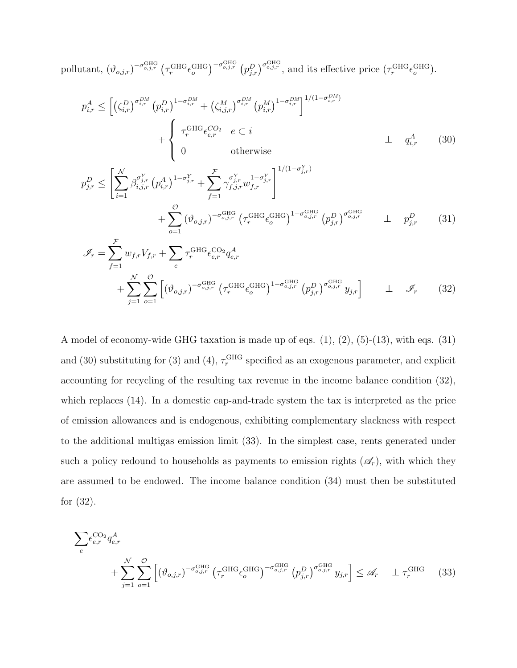pollutant,  $(\vartheta_{o,j,r})^{-\sigma_{o,j,r}^{\text{GHG}}} (\tau_r^{\text{GHG}} \epsilon_o^{\text{GHG}})^{-\sigma_{o,j,r}^{\text{GHG}}} (p_{j,r}^D)^{\sigma_{o,j,r}^{\text{GHG}}}$ , and its effective price  $(\tau_r^{\text{GHG}} \epsilon_o^{\text{GHG}})$ .

$$
p_{i,r}^{A} \leq \left[ \left( \zeta_{i,r}^{D} \right)^{\sigma_{i,r}^{DM}} \left( p_{i,r}^{D} \right)^{1-\sigma_{i,r}^{DM}} + \left( \zeta_{i,j,r}^{M} \right)^{\sigma_{i,r}^{DM}} \left( p_{i,r}^{M} \right)^{1-\sigma_{i,r}^{DM}} \right]^{1/(1-\sigma_{i,r}^{DM})} + \begin{cases} \tau_r^{GHG} \epsilon_{e,r}^{CO_2} & e \subset i \\ 0 & \text{otherwise} \end{cases} \perp q_{i,r}^{A} \qquad (30)
$$
\n
$$
p_{j,r}^{D} \leq \left[ \sum_{i=1}^{N} \beta_{i,j,r}^{\sigma_{j,r}^{Y}} \left( p_{i,r}^{A} \right)^{1-\sigma_{j,r}^{Y}} + \sum_{f=1}^{F} \gamma_{f,j,r}^{\sigma_{j,r}^{Y}} u_{f,r}^{1-\sigma_{j,r}^{Y}} \right]^{1/(1-\sigma_{j,r}^{Y})} + \sum_{o=1}^{C} \left( \vartheta_{o,j,r} \right)^{-\sigma_{o,j,r}^{GHG}} \left( \tau_r^{GHG} \epsilon_{o}^{GHG} \right)^{1-\sigma_{o,j,r}^{GHG}} \left( p_{j,r}^{D} \right)^{\sigma_{o,j,r}^{GHG}} \perp p_{j,r}^{D} \qquad (31)
$$

$$
\mathcal{I}_{r} = \sum_{f=1}^{\mathcal{F}} w_{f,r} V_{f,r} + \sum_{e} \tau_{r}^{\text{GHG}} \epsilon_{e,r}^{\text{CO}_2} q_{e,r}^{A} \n+ \sum_{j=1}^{N} \sum_{o=1}^{O} \left[ \left( \vartheta_{o,j,r} \right)^{-\sigma_{o,j,r}^{\text{GHG}}} \left( \tau_{r}^{\text{GHG}} \epsilon_{o}^{\text{GHG}} \right)^{1-\sigma_{o,j,r}^{\text{GHG}}} \left( p_{j,r}^{D} \right)^{\sigma_{o,j,r}^{\text{GHG}}} y_{j,r} \right] \quad \perp \quad \mathcal{I}_{r}
$$
\n(32)

A model of economy-wide GHG taxation is made up of eqs. (1), (2), (5)-(13), with eqs. (31) and (30) substituting for (3) and (4),  $\tau_r^{\text{GHG}}$  specified as an exogenous parameter, and explicit accounting for recycling of the resulting tax revenue in the income balance condition (32), which replaces (14). In a domestic cap-and-trade system the tax is interpreted as the price of emission allowances and is endogenous, exhibiting complementary slackness with respect to the additional multigas emission limit (33). In the simplest case, rents generated under such a policy redound to households as payments to emission rights  $(\mathscr{A}_r)$ , with which they are assumed to be endowed. The income balance condition (34) must then be substituted for (32).

$$
\sum_{e} \epsilon_{e,r}^{\text{CO}_2} q_{e,r}^A
$$
\n
$$
+ \sum_{j=1}^{N} \sum_{o=1}^{O} \left[ \left( \vartheta_{o,j,r} \right)^{-\sigma_{o,j,r}^{\text{GHG}}} \left( \tau_r^{\text{GHG}} \epsilon_o^{\text{GHG}} \right)^{-\sigma_{o,j,r}^{\text{GHG}}} \left( p_{j,r}^D \right)^{\sigma_{o,j,r}^{\text{GHG}}} y_{j,r} \right] \leq \mathcal{A}_r \quad \perp \tau_r^{\text{GHG}} \tag{33}
$$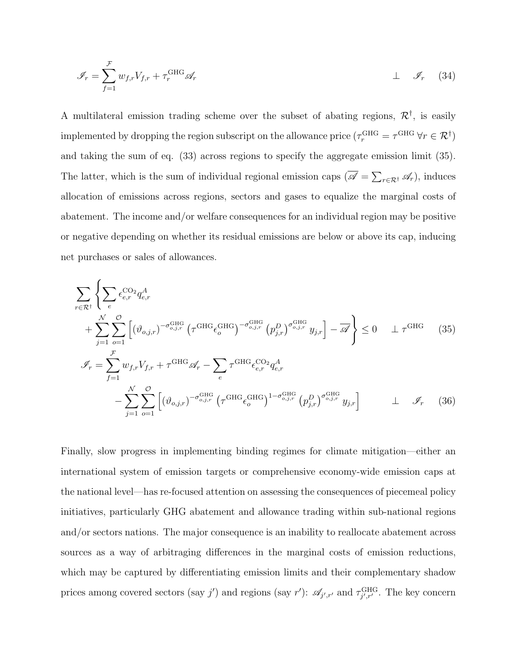$$
\mathcal{I}_r = \sum_{f=1}^{\mathcal{F}} w_{f,r} V_{f,r} + \tau_r^{\text{GHG}} \mathcal{A}_r \qquad \qquad \perp \quad \mathcal{I}_r \qquad (34)
$$

A multilateral emission trading scheme over the subset of abating regions,  $\mathcal{R}^{\dagger}$ , is easily implemented by dropping the region subscript on the allowance price  $(\tau_r^{\text{GHG}} = \tau^{\text{GHG}} \ \forall r \in \mathcal{R}^\dagger)$ and taking the sum of eq. (33) across regions to specify the aggregate emission limit (35). The latter, which is the sum of individual regional emission caps  $(\overline{\mathscr{A}} = \sum_{r \in \mathcal{R}^{\dagger}} \mathscr{A}_r)$ , induces allocation of emissions across regions, sectors and gases to equalize the marginal costs of abatement. The income and/or welfare consequences for an individual region may be positive or negative depending on whether its residual emissions are below or above its cap, inducing net purchases or sales of allowances.

$$
\sum_{r \in \mathcal{R}^{\dagger}} \left\{ \sum_{e} \epsilon_{e,r}^{\text{CO}_2} q_{e,r}^A \right\} + \sum_{j=1}^{\mathcal{N}} \sum_{o=1}^{\mathcal{O}} \left[ (\vartheta_{o,j,r})^{-\sigma_{o,j,r}^{\text{GHG}}} \left( \tau^{\text{GHG}} \epsilon_o^{\text{GHG}} \right)^{-\sigma_{o,j,r}^{\text{GHG}}} \left( p_{j,r}^D \right)^{\sigma_{o,j,r}^{\text{GHG}}} y_{j,r} \right] - \overline{\mathscr{A}} \right\} \le 0 \qquad \perp \tau^{\text{GHG}} \qquad (35)
$$
\n
$$
\mathscr{I}_r = \sum_{f=1}^{\mathcal{F}} w_{f,r} V_{f,r} + \tau^{\text{GHG}} \mathscr{A}_r - \sum_{e} \tau^{\text{GHG}} \epsilon_{e,r}^{\text{CO}_2} q_{e,r}^A
$$
\n
$$
- \sum_{j=1}^{\mathcal{N}} \sum_{o=1}^{\mathcal{O}} \left[ (\vartheta_{o,j,r})^{-\sigma_{o,j,r}^{\text{GHG}}} \left( \tau^{\text{GHG}} \epsilon_o^{\text{GHG}} \right)^{1-\sigma_{o,j,r}^{\text{GHG}}} \left( p_{j,r}^D \right)^{\sigma_{o,j,r}^{\text{GHG}}} y_{j,r} \right] \qquad \perp \qquad \mathscr{I}_r \qquad (36)
$$

Finally, slow progress in implementing binding regimes for climate mitigation—either an international system of emission targets or comprehensive economy-wide emission caps at the national level—has re-focused attention on assessing the consequences of piecemeal policy initiatives, particularly GHG abatement and allowance trading within sub-national regions and/or sectors nations. The major consequence is an inability to reallocate abatement across sources as a way of arbitraging differences in the marginal costs of emission reductions, which may be captured by differentiating emission limits and their complementary shadow prices among covered sectors (say j') and regions (say r'):  $\mathscr{A}_{j',r'}$  and  $\tau_{j',r'}^{\text{GHG}}$ . The key concern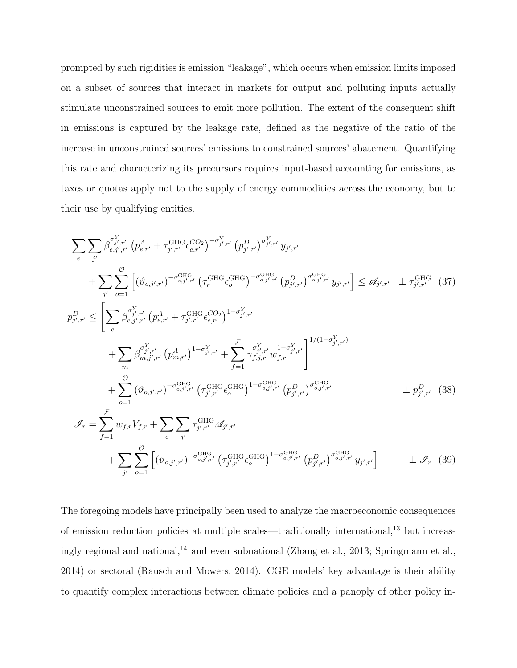prompted by such rigidities is emission "leakage", which occurs when emission limits imposed on a subset of sources that interact in markets for output and polluting inputs actually stimulate unconstrained sources to emit more pollution. The extent of the consequent shift in emissions is captured by the leakage rate, defined as the negative of the ratio of the increase in unconstrained sources' emissions to constrained sources' abatement. Quantifying this rate and characterizing its precursors requires input-based accounting for emissions, as taxes or quotas apply not to the supply of energy commodities across the economy, but to their use by qualifying entities.

$$
\sum_{e} \sum_{j'} \beta_{e,j',r'}^{\sigma_{j',r'}} (p_{e,r'}^{A} + \tau_{j',r'}^{GHG} \epsilon_{e,r'}^{CO_2})^{-\sigma_{j',r'}^{Y}} (p_{j',r'}^{D})^{\sigma_{j',r'}^{Y}} y_{j',r'}
$$
\n
$$
+ \sum_{j'} \sum_{o=1}^{O} \left[ (\vartheta_{o,j',r'})^{-\sigma_{o,j',r'}^{GHG}} (\tau_{r}^{GHG} \epsilon_{o}^{GHG})^{-\sigma_{o,j',r'}^{GHG}} (p_{j',r'}^{D})^{\sigma_{o,j',r'}^{GHG}} y_{j',r'} \right] \leq \mathscr{A}_{j',r'} \perp \tau_{j',r'}^{GHG} (37)
$$
\n
$$
p_{j',r'}^{D} \leq \left[ \sum_{e} \beta_{e,j',r'}^{e_{j',r'}} (p_{e,r'}^{A} + \tau_{j',r'}^{GHG} \epsilon_{o,r'}^{CO_2})^{1-\sigma_{j',r'}^{Y}} + \sum_{f=1}^{F} \gamma_{f,j,r}^{\sigma_{j',r'}^{Y}} y_{j,r'}^{1-\sigma_{j',r'}^{Y}} \right]^{1/(1-\sigma_{j',r'}^{Y})}
$$
\n
$$
+ \sum_{m} \beta_{m,j',r'}^{\sigma_{j',r'}} (p_{m,r'}^{A})^{1-\sigma_{j',r'}^{Y}} + \sum_{f=1}^{F} \gamma_{f,j,r}^{\sigma_{j',r'}^{Y}} w_{f,r}^{1-\sigma_{j',r'}^{Y}} \right]^{1/(1-\sigma_{j',r'}^{Y})}
$$
\n
$$
+ \sum_{o=1}^{O} (\vartheta_{o,j',r'})^{-\sigma_{o,j',r'}^{GHG}} (\tau_{j',r'}^{GHG} \epsilon_{o}^{GHG})^{1-\sigma_{o,j',r'}^{GHG}} (p_{j',r'}^{D})^{\sigma_{o,j',r'}^{GHG}} \perp p_{j',r'}^{D} (38)
$$
\n
$$
\mathscr{I}_{r} = \sum_{f=1}^{F} w_{f,r} V_{f,r} + \sum_{e} \sum_{j'} \tau_{j',r'}^{GHG} \mathscr{A}_{j',r'} \left( \tau_{j',r'}^{GHG} \epsilon_{o}^{GHG} \right)^{1-\sigma_{o,j',r'}^{GHG}} (p_{j',r'}^{D})^{\sigma_{o,j',r'}^{GHG}} y_{j',
$$

The foregoing models have principally been used to analyze the macroeconomic consequences of emission reduction policies at multiple scales—traditionally international,<sup>13</sup> but increasingly regional and national,<sup>14</sup> and even subnational (Zhang et al., 2013; Springmann et al., 2014) or sectoral (Rausch and Mowers, 2014). CGE models' key advantage is their ability to quantify complex interactions between climate policies and a panoply of other policy in-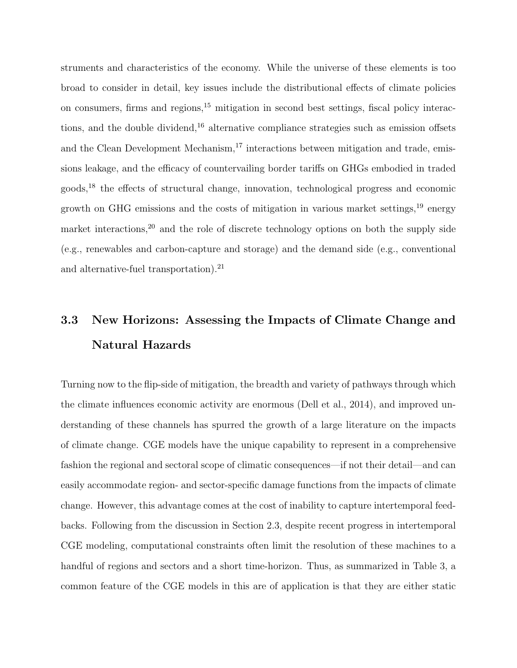struments and characteristics of the economy. While the universe of these elements is too broad to consider in detail, key issues include the distributional effects of climate policies on consumers, firms and regions,<sup>15</sup> mitigation in second best settings, fiscal policy interactions, and the double dividend, $^{16}$  alternative compliance strategies such as emission offsets and the Clean Development Mechanism, $^{17}$  interactions between mitigation and trade, emissions leakage, and the efficacy of countervailing border tariffs on GHGs embodied in traded goods,<sup>18</sup> the effects of structural change, innovation, technological progress and economic growth on GHG emissions and the costs of mitigation in various market settings,<sup>19</sup> energy market interactions,<sup>20</sup> and the role of discrete technology options on both the supply side (e.g., renewables and carbon-capture and storage) and the demand side (e.g., conventional and alternative-fuel transportation).<sup>21</sup>

## 3.3 New Horizons: Assessing the Impacts of Climate Change and Natural Hazards

Turning now to the flip-side of mitigation, the breadth and variety of pathways through which the climate influences economic activity are enormous (Dell et al., 2014), and improved understanding of these channels has spurred the growth of a large literature on the impacts of climate change. CGE models have the unique capability to represent in a comprehensive fashion the regional and sectoral scope of climatic consequences—if not their detail—and can easily accommodate region- and sector-specific damage functions from the impacts of climate change. However, this advantage comes at the cost of inability to capture intertemporal feedbacks. Following from the discussion in Section 2.3, despite recent progress in intertemporal CGE modeling, computational constraints often limit the resolution of these machines to a handful of regions and sectors and a short time-horizon. Thus, as summarized in Table 3, a common feature of the CGE models in this are of application is that they are either static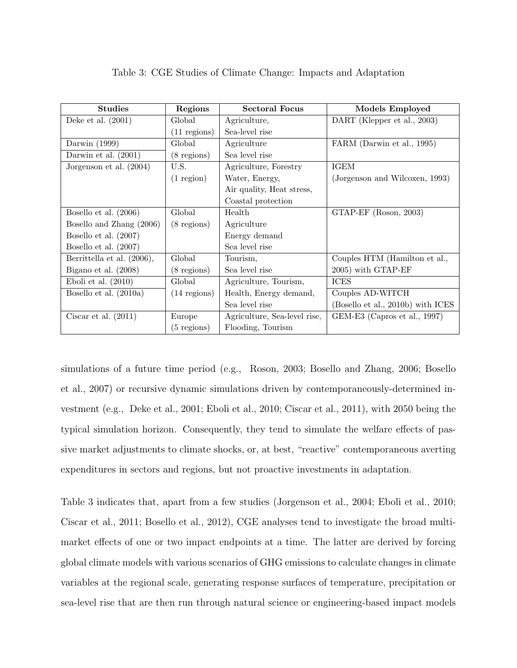| <b>Studies</b>             | Regions        | <b>Sectoral Focus</b>        | Models Employed                   |
|----------------------------|----------------|------------------------------|-----------------------------------|
| Deke et al. $(2001)$       | Global         | Agriculture,                 | DART (Klepper et al., 2003)       |
|                            | $(11$ regions) | Sea-level rise               |                                   |
| Darwin $(1999)$            | Global         | Agriculture                  | FARM (Darwin et al., 1995)        |
| Darwin et al. $(2001)$     | $(8$ regions)  | Sea level rise               |                                   |
| Jorgenson et al. $(2004)$  | U.S.           | Agriculture, Forestry        | <b>IGEM</b>                       |
|                            | $(1$ region)   | Water, Energy,               | (Jorgenson and Wilcoxen, 1993)    |
|                            |                | Air quality, Heat stress,    |                                   |
|                            |                | Coastal protection           |                                   |
| Bosello et al. $(2006)$    | Global         | Health                       | GTAP-EF (Roson, 2003)             |
| Bosello and Zhang (2006)   | $(8$ regions)  | Agriculture                  |                                   |
| Bosello et al. $(2007)$    |                | Energy demand                |                                   |
| Bosello et al. $(2007)$    |                | Sea level rise               |                                   |
| Berrittella et al. (2006), | Global         | Tourism,                     | Couples HTM (Hamilton et al.,     |
| Bigano et al. $(2008)$     | $(8$ regions)  | Sea level rise               | 2005) with GTAP-EF                |
| Eboli et al. $(2010)$      | Global         | Agriculture, Tourism,        | <b>ICES</b>                       |
| Bosello et al. $(2010a)$   | $(14$ regions) | Health, Energy demand,       | Couples AD-WITCH                  |
|                            |                | Sea level rise               | (Bosello et al., 2010b) with ICES |
| Ciscar et al. $(2011)$     | Europe         | Agriculture, Sea-level rise, | GEM-E3 (Capros et al., 1997)      |
|                            | $(5$ regions)  | Flooding, Tourism            |                                   |

#### Table 3: CGE Studies of Climate Change: Impacts and Adaptation

simulations of a future time period (e.g., Roson, 2003; Bosello and Zhang, 2006; Bosello et al., 2007) or recursive dynamic simulations driven by contemporaneously-determined investment (e.g., Deke et al., 2001; Eboli et al., 2010; Ciscar et al., 2011), with 2050 being the typical simulation horizon. Consequently, they tend to simulate the welfare effects of passive market adjustments to climate shocks, or, at best, "reactive" contemporaneous averting expenditures in sectors and regions, but not proactive investments in adaptation.

Table 3 indicates that, apart from a few studies (Jorgenson et al., 2004; Eboli et al., 2010; Ciscar et al., 2011; Bosello et al., 2012), CGE analyses tend to investigate the broad multimarket effects of one or two impact endpoints at a time. The latter are derived by forcing global climate models with various scenarios of GHG emissions to calculate changes in climate variables at the regional scale, generating response surfaces of temperature, precipitation or sea-level rise that are then run through natural science or engineering-based impact models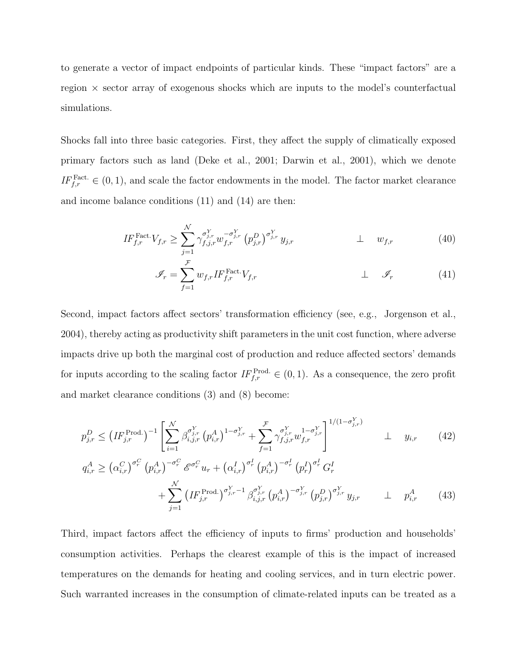to generate a vector of impact endpoints of particular kinds. These "impact factors" are a region  $\times$  sector array of exogenous shocks which are inputs to the model's counterfactual simulations.

Shocks fall into three basic categories. First, they affect the supply of climatically exposed primary factors such as land (Deke et al., 2001; Darwin et al., 2001), which we denote  $IF_{f,r}^{\text{Fact.}} \in (0,1)$ , and scale the factor endowments in the model. The factor market clearance and income balance conditions (11) and (14) are then:

$$
IF_{f,r}^{\text{Fact.}} V_{f,r} \geq \sum_{j=1}^{\mathcal{N}} \gamma_{f,j,r}^{\sigma_{j,r}^{Y}} w_{f,r}^{-\sigma_{j,r}^{Y}} (p_{j,r}^{D})^{\sigma_{j,r}^{Y}} y_{j,r} \qquad \qquad \perp \qquad w_{f,r} \qquad (40)
$$

$$
\mathcal{J}_r = \sum_{f=1}^{\mathcal{F}} w_{f,r} I F_{f,r}^{\text{Fact.}} V_{f,r} \qquad \qquad \perp \quad \mathcal{J}_r \qquad (41)
$$

Second, impact factors affect sectors' transformation efficiency (see, e.g., Jorgenson et al., 2004), thereby acting as productivity shift parameters in the unit cost function, where adverse impacts drive up both the marginal cost of production and reduce affected sectors' demands for inputs according to the scaling factor  $IF_{f,r}^{\text{Prod.}} \in (0,1)$ . As a consequence, the zero profit and market clearance conditions (3) and (8) become:

$$
p_{j,r}^{D} \leq \left(IF_{j,r}^{\text{Prod.}}\right)^{-1} \left[ \sum_{i=1}^{N} \beta_{i,j,r}^{\sigma_{j,r}^{Y}} \left( p_{i,r}^{A} \right)^{1-\sigma_{j,r}^{Y}} + \sum_{f=1}^{\mathcal{F}} \gamma_{f,j,r}^{\sigma_{j,r}^{Y}} w_{f,r}^{1-\sigma_{j,r}^{Y}} \right]^{1/(1-\sigma_{j,r}^{Y})} \perp y_{i,r} \qquad (42)
$$
  

$$
q_{i,r}^{A} \geq \left( \alpha_{i,r}^{C} \right)^{\sigma_{r}^{C}} \left( p_{i,r}^{A} \right)^{-\sigma_{r}^{C}} \mathcal{E}^{\sigma_{r}^{C}} w_{r} + \left( \alpha_{i,r}^{I} \right)^{\sigma_{r}^{I}} \left( p_{i,r}^{A} \right)^{-\sigma_{r}^{I}} \left( p_{r}^{I} \right)^{\sigma_{r}^{I}} G_{r}^{I} \qquad (43)
$$

$$
+ \sum_{j=1}^{N} \left( IF_{j,r}^{\text{Prod.}} \right)^{\sigma_{j,r}^{Y}-1} \beta_{i,j,r}^{\sigma_{j,r}^{Y}} \left( p_{i,r}^{A} \right)^{-\sigma_{j,r}^{Y}} \left( p_{j,r}^{D} \right)^{\sigma_{j,r}^{Y}} y_{j,r} \qquad \perp \quad p_{i,r}^{A} \qquad (43)
$$

Third, impact factors affect the efficiency of inputs to firms' production and households' consumption activities. Perhaps the clearest example of this is the impact of increased temperatures on the demands for heating and cooling services, and in turn electric power. Such warranted increases in the consumption of climate-related inputs can be treated as a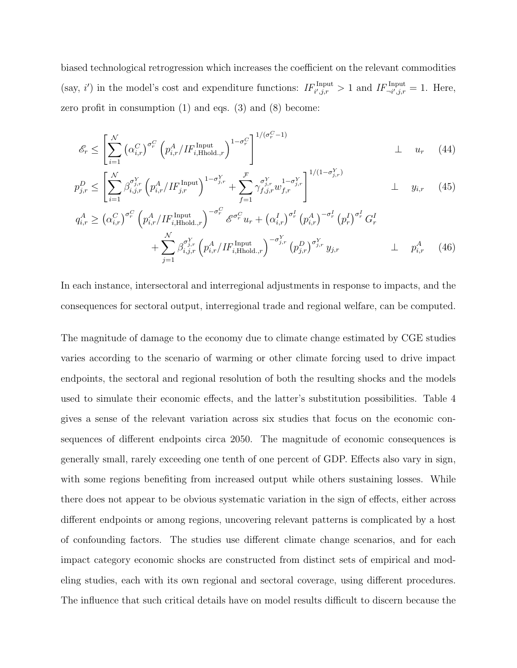biased technological retrogression which increases the coefficient on the relevant commodities (say, i') in the model's cost and expenditure functions:  $IF_{i',j,r}^{Input} > 1$  and  $IF_{\neg i',j,r}^{Input} = 1$ . Here, zero profit in consumption  $(1)$  and eqs.  $(3)$  and  $(8)$  become:

$$
\mathcal{E}_r \le \left[ \sum_{i=1}^{\mathcal{N}} \left( \alpha_{i,r}^C \right)^{\sigma_r^C} \left( p_{i,r}^A / H_{i,\text{Hhold},r}^{\text{Input}} \right)^{1-\sigma_r^C} \right]^{1/(\sigma_r^C - 1)} \perp u_r \quad (44)
$$

$$
p_{j,r}^D \le \left[ \sum_{i=1}^{\mathcal{N}} \beta_{i,j,r}^{\sigma_{j,r}^Y} \left( p_{i,r}^A / IF_{j,r}^{\text{Input}} \right)^{1-\sigma_{j,r}^Y} + \sum_{f=1}^{\mathcal{F}} \gamma_{f,j,r}^{\sigma_{j,r}^Y} u_{f,r}^{1-\sigma_{j,r}^Y} \right]^{1/(1-\sigma_{j,r}^Y)} \perp y_{i,r} \quad (45)
$$

$$
q_{i,r}^{A} \geq (\alpha_{i,r}^{C})^{\sigma_{r}^{C}} \left( p_{i,r}^{A} / H_{i, \text{Hhold}, r}^{\text{Input}} \right)^{-\sigma_{r}^{C}} \mathscr{E}^{\sigma_{r}^{C}} u_{r} + (\alpha_{i,r}^{I})^{\sigma_{r}^{I}} (p_{i,r}^{A})^{-\sigma_{r}^{I}} (p_{r}^{I})^{\sigma_{r}^{I}} G_{r}^{I} + \sum_{j=1}^{N} \beta_{i,j,r}^{\sigma_{j,r}^{Y}} \left( p_{i,r}^{A} / H_{i, \text{Hhold}, r}^{\text{Input}} \right)^{-\sigma_{j,r}^{Y}} (p_{j,r}^{D})^{\sigma_{j,r}^{Y}} y_{j,r} \qquad \perp \quad p_{i,r}^{A} \tag{46}
$$

In each instance, intersectoral and interregional adjustments in response to impacts, and the consequences for sectoral output, interregional trade and regional welfare, can be computed.

The magnitude of damage to the economy due to climate change estimated by CGE studies varies according to the scenario of warming or other climate forcing used to drive impact endpoints, the sectoral and regional resolution of both the resulting shocks and the models used to simulate their economic effects, and the latter's substitution possibilities. Table 4 gives a sense of the relevant variation across six studies that focus on the economic consequences of different endpoints circa 2050. The magnitude of economic consequences is generally small, rarely exceeding one tenth of one percent of GDP. Effects also vary in sign, with some regions benefiting from increased output while others sustaining losses. While there does not appear to be obvious systematic variation in the sign of effects, either across different endpoints or among regions, uncovering relevant patterns is complicated by a host of confounding factors. The studies use different climate change scenarios, and for each impact category economic shocks are constructed from distinct sets of empirical and modeling studies, each with its own regional and sectoral coverage, using different procedures. The influence that such critical details have on model results difficult to discern because the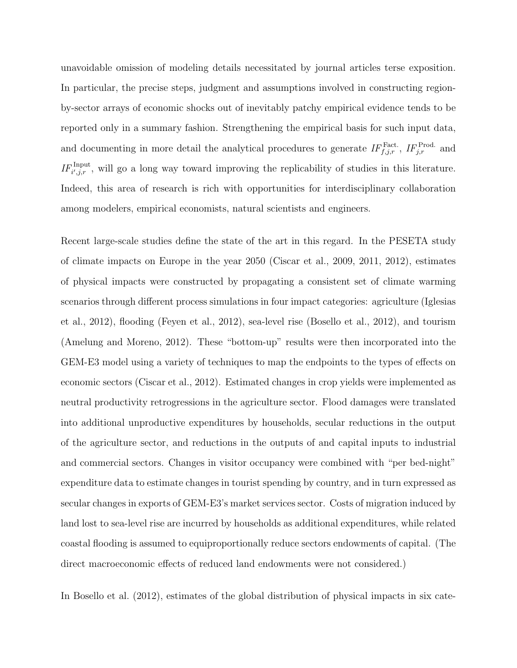unavoidable omission of modeling details necessitated by journal articles terse exposition. In particular, the precise steps, judgment and assumptions involved in constructing regionby-sector arrays of economic shocks out of inevitably patchy empirical evidence tends to be reported only in a summary fashion. Strengthening the empirical basis for such input data, and documenting in more detail the analytical procedures to generate  $IF_{f,j,r}^{Fact.}, IF_{j,r}^{Prod.}$  and  $IF_{i',j,r}^{\text{Input}}$ , will go a long way toward improving the replicability of studies in this literature. Indeed, this area of research is rich with opportunities for interdisciplinary collaboration among modelers, empirical economists, natural scientists and engineers.

Recent large-scale studies define the state of the art in this regard. In the PESETA study of climate impacts on Europe in the year 2050 (Ciscar et al., 2009, 2011, 2012), estimates of physical impacts were constructed by propagating a consistent set of climate warming scenarios through different process simulations in four impact categories: agriculture (Iglesias et al., 2012), flooding (Feyen et al., 2012), sea-level rise (Bosello et al., 2012), and tourism (Amelung and Moreno, 2012). These "bottom-up" results were then incorporated into the GEM-E3 model using a variety of techniques to map the endpoints to the types of effects on economic sectors (Ciscar et al., 2012). Estimated changes in crop yields were implemented as neutral productivity retrogressions in the agriculture sector. Flood damages were translated into additional unproductive expenditures by households, secular reductions in the output of the agriculture sector, and reductions in the outputs of and capital inputs to industrial and commercial sectors. Changes in visitor occupancy were combined with "per bed-night" expenditure data to estimate changes in tourist spending by country, and in turn expressed as secular changes in exports of GEM-E3's market services sector. Costs of migration induced by land lost to sea-level rise are incurred by households as additional expenditures, while related coastal flooding is assumed to equiproportionally reduce sectors endowments of capital. (The direct macroeconomic effects of reduced land endowments were not considered.)

In Bosello et al. (2012), estimates of the global distribution of physical impacts in six cate-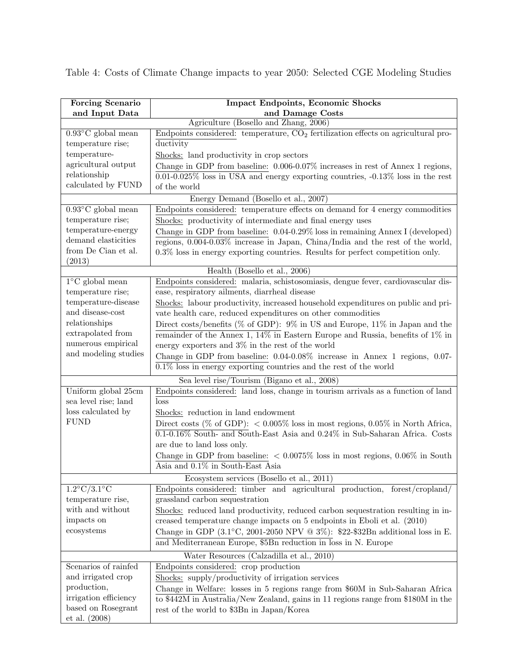Table 4: Costs of Climate Change impacts to year 2050: Selected CGE Modeling Studies

| <b>Forcing Scenario</b>                  | <b>Impact Endpoints, Economic Shocks</b>                                                                                                                           |
|------------------------------------------|--------------------------------------------------------------------------------------------------------------------------------------------------------------------|
| and Input Data                           | and Damage Costs                                                                                                                                                   |
|                                          | Agriculture (Bosello and Zhang, 2006)                                                                                                                              |
| $0.93^{\circ}$ C global mean             | Endpoints considered: temperature, $CO2$ fertilization effects on agricultural pro-                                                                                |
| temperature rise;                        | ductivity                                                                                                                                                          |
| temperature-                             | Shocks: land productivity in crop sectors                                                                                                                          |
| agricultural output                      | Change in GDP from baseline: 0.006-0.07% increases in rest of Annex 1 regions,                                                                                     |
| relationship                             | $0.01-0.025\%$ loss in USA and energy exporting countries, $-0.13\%$ loss in the rest                                                                              |
| calculated by FUND                       | of the world                                                                                                                                                       |
|                                          | Energy Demand (Bosello et al., 2007)                                                                                                                               |
| $0.93^{\circ}$ C global mean             | Endpoints considered: temperature effects on demand for 4 energy commodities                                                                                       |
| temperature rise;                        | Shocks: productivity of intermediate and final energy uses                                                                                                         |
| temperature-energy                       | Change in GDP from baseline: 0.04-0.29% loss in remaining Annex I (developed)                                                                                      |
| demand elasticities                      | regions, $0.004-0.03\%$ increase in Japan, China/India and the rest of the world,                                                                                  |
| from De Cian et al.                      | $0.3\%$ loss in energy exporting countries. Results for perfect competition only.                                                                                  |
| (2013)                                   |                                                                                                                                                                    |
|                                          | Health (Bosello et al., 2006)                                                                                                                                      |
| $1^{\circ}$ C global mean                | Endpoints considered: malaria, schistosomiasis, dengue fever, cardiovascular dis-                                                                                  |
| temperature rise;<br>temperature-disease | ease, respiratory ailments, diarrheal disease                                                                                                                      |
| and disease-cost                         | Shocks: labour productivity, increased household expenditures on public and pri-                                                                                   |
| relationships                            | vate health care, reduced expenditures on other commodities                                                                                                        |
| extrapolated from                        | Direct costs/benefits (% of GDP): $9\%$ in US and Europe, 11% in Japan and the<br>remainder of the Annex 1, $14\%$ in Eastern Europe and Russia, benefits of 1% in |
| numerous empirical                       | energy exporters and $3\%$ in the rest of the world                                                                                                                |
| and modeling studies                     |                                                                                                                                                                    |
|                                          | Change in GDP from baseline: 0.04-0.08% increase in Annex 1 regions, 0.07-                                                                                         |
|                                          | $0.1\%$ loss in energy exporting countries and the rest of the world                                                                                               |
|                                          | Sea level rise/Tourism (Bigano et al., 2008)                                                                                                                       |
| Uniform global 25cm                      | Endpoints considered: land loss, change in tourism arrivals as a function of land                                                                                  |
| sea level rise; land                     | loss                                                                                                                                                               |
| loss calculated by<br><b>FUND</b>        | Shocks: reduction in land endowment                                                                                                                                |
|                                          | Direct costs (% of GDP): $\langle 0.005\% \rangle$ loss in most regions, 0.05% in North Africa,                                                                    |
|                                          | $\overline{0.1\text{-}0.16\%}$ South- and South-East Asia and $0.24\%$ in Sub-Saharan Africa. Costs                                                                |
|                                          | are due to land loss only.                                                                                                                                         |
|                                          | Change in GDP from baseline: $\langle 0.0075\%$ loss in most regions, 0.06% in South                                                                               |
|                                          | Asia and 0.1% in South-East Asia                                                                                                                                   |
|                                          | Ecosystem services (Bosello et al., 2011)                                                                                                                          |
| $1.2^{\circ}$ C/3.1 $^{\circ}$ C         | Endpoints considered: timber and agricultural production, forest/cropland/                                                                                         |
| temperature rise,                        | grassland carbon sequestration                                                                                                                                     |
| with and without                         | Shocks: reduced land productivity, reduced carbon sequestration resulting in in-                                                                                   |
| impacts on                               | creased temperature change impacts on 5 endpoints in Eboli et al. (2010)                                                                                           |
| ecosystems                               | Change in GDP $(3.1^{\circ}\text{C}, 2001\text{-}2050 \text{ NPV} \t Q 3\%)$ : \$22-\$32Bn additional loss in E.                                                   |
|                                          | and Mediterranean Europe, \$5Bn reduction in loss in N. Europe                                                                                                     |
|                                          | Water Resources (Calzadilla et al., 2010)                                                                                                                          |
| Scenarios of rainfed                     | Endpoints considered: crop production                                                                                                                              |
| and irrigated crop                       | Shocks: supply/productivity of irrigation services                                                                                                                 |
| production,                              | Change in Welfare: losses in 5 regions range from \$60M in Sub-Saharan Africa                                                                                      |
| irrigation efficiency                    | to \$442M in Australia/New Zealand, gains in 11 regions range from \$180M in the                                                                                   |
| based on Rosegrant                       | rest of the world to \$3Bn in Japan/Korea                                                                                                                          |
| et al. (2008)                            |                                                                                                                                                                    |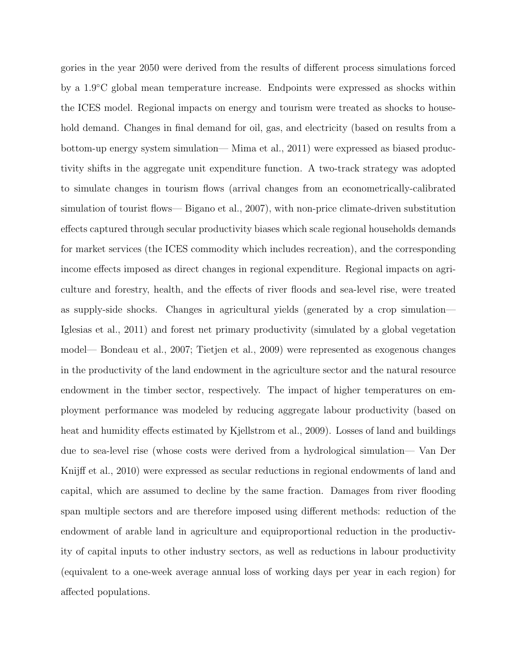gories in the year 2050 were derived from the results of different process simulations forced by a 1.9◦C global mean temperature increase. Endpoints were expressed as shocks within the ICES model. Regional impacts on energy and tourism were treated as shocks to household demand. Changes in final demand for oil, gas, and electricity (based on results from a bottom-up energy system simulation— Mima et al., 2011) were expressed as biased productivity shifts in the aggregate unit expenditure function. A two-track strategy was adopted to simulate changes in tourism flows (arrival changes from an econometrically-calibrated simulation of tourist flows— Bigano et al., 2007), with non-price climate-driven substitution effects captured through secular productivity biases which scale regional households demands for market services (the ICES commodity which includes recreation), and the corresponding income effects imposed as direct changes in regional expenditure. Regional impacts on agriculture and forestry, health, and the effects of river floods and sea-level rise, were treated as supply-side shocks. Changes in agricultural yields (generated by a crop simulation— Iglesias et al., 2011) and forest net primary productivity (simulated by a global vegetation model— Bondeau et al., 2007; Tietjen et al., 2009) were represented as exogenous changes in the productivity of the land endowment in the agriculture sector and the natural resource endowment in the timber sector, respectively. The impact of higher temperatures on employment performance was modeled by reducing aggregate labour productivity (based on heat and humidity effects estimated by Kjellstrom et al., 2009). Losses of land and buildings due to sea-level rise (whose costs were derived from a hydrological simulation— Van Der Knijff et al., 2010) were expressed as secular reductions in regional endowments of land and capital, which are assumed to decline by the same fraction. Damages from river flooding span multiple sectors and are therefore imposed using different methods: reduction of the endowment of arable land in agriculture and equiproportional reduction in the productivity of capital inputs to other industry sectors, as well as reductions in labour productivity (equivalent to a one-week average annual loss of working days per year in each region) for affected populations.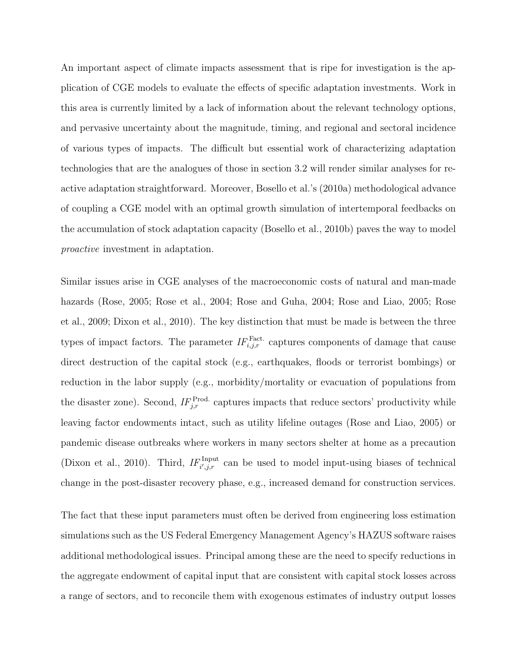An important aspect of climate impacts assessment that is ripe for investigation is the application of CGE models to evaluate the effects of specific adaptation investments. Work in this area is currently limited by a lack of information about the relevant technology options, and pervasive uncertainty about the magnitude, timing, and regional and sectoral incidence of various types of impacts. The difficult but essential work of characterizing adaptation technologies that are the analogues of those in section 3.2 will render similar analyses for reactive adaptation straightforward. Moreover, Bosello et al.'s (2010a) methodological advance of coupling a CGE model with an optimal growth simulation of intertemporal feedbacks on the accumulation of stock adaptation capacity (Bosello et al., 2010b) paves the way to model proactive investment in adaptation.

Similar issues arise in CGE analyses of the macroeconomic costs of natural and man-made hazards (Rose, 2005; Rose et al., 2004; Rose and Guha, 2004; Rose and Liao, 2005; Rose et al., 2009; Dixon et al., 2010). The key distinction that must be made is between the three types of impact factors. The parameter  $IF_{i,j,r}^{\text{Fact.}}$  captures components of damage that cause direct destruction of the capital stock (e.g., earthquakes, floods or terrorist bombings) or reduction in the labor supply (e.g., morbidity/mortality or evacuation of populations from the disaster zone). Second,  $IF_{j,r}^{\text{Prod.}}$  captures impacts that reduce sectors' productivity while leaving factor endowments intact, such as utility lifeline outages (Rose and Liao, 2005) or pandemic disease outbreaks where workers in many sectors shelter at home as a precaution (Dixon et al., 2010). Third,  $IF_{i',j,r}^{Input}$  can be used to model input-using biases of technical change in the post-disaster recovery phase, e.g., increased demand for construction services.

The fact that these input parameters must often be derived from engineering loss estimation simulations such as the US Federal Emergency Management Agency's HAZUS software raises additional methodological issues. Principal among these are the need to specify reductions in the aggregate endowment of capital input that are consistent with capital stock losses across a range of sectors, and to reconcile them with exogenous estimates of industry output losses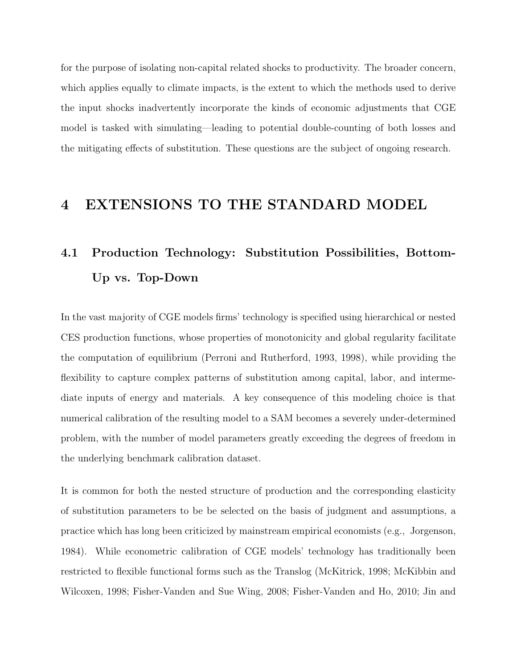for the purpose of isolating non-capital related shocks to productivity. The broader concern, which applies equally to climate impacts, is the extent to which the methods used to derive the input shocks inadvertently incorporate the kinds of economic adjustments that CGE model is tasked with simulating—leading to potential double-counting of both losses and the mitigating effects of substitution. These questions are the subject of ongoing research.

### 4 EXTENSIONS TO THE STANDARD MODEL

## 4.1 Production Technology: Substitution Possibilities, Bottom-Up vs. Top-Down

In the vast majority of CGE models firms' technology is specified using hierarchical or nested CES production functions, whose properties of monotonicity and global regularity facilitate the computation of equilibrium (Perroni and Rutherford, 1993, 1998), while providing the flexibility to capture complex patterns of substitution among capital, labor, and intermediate inputs of energy and materials. A key consequence of this modeling choice is that numerical calibration of the resulting model to a SAM becomes a severely under-determined problem, with the number of model parameters greatly exceeding the degrees of freedom in the underlying benchmark calibration dataset.

It is common for both the nested structure of production and the corresponding elasticity of substitution parameters to be be selected on the basis of judgment and assumptions, a practice which has long been criticized by mainstream empirical economists (e.g., Jorgenson, 1984). While econometric calibration of CGE models' technology has traditionally been restricted to flexible functional forms such as the Translog (McKitrick, 1998; McKibbin and Wilcoxen, 1998; Fisher-Vanden and Sue Wing, 2008; Fisher-Vanden and Ho, 2010; Jin and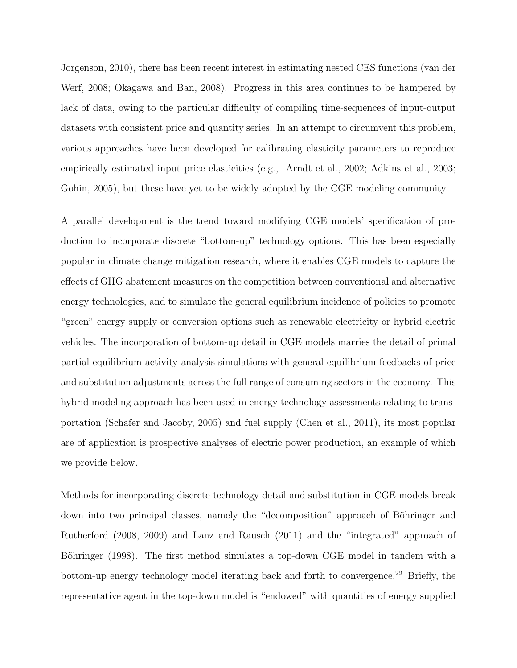Jorgenson, 2010), there has been recent interest in estimating nested CES functions (van der Werf, 2008; Okagawa and Ban, 2008). Progress in this area continues to be hampered by lack of data, owing to the particular difficulty of compiling time-sequences of input-output datasets with consistent price and quantity series. In an attempt to circumvent this problem, various approaches have been developed for calibrating elasticity parameters to reproduce empirically estimated input price elasticities (e.g., Arndt et al., 2002; Adkins et al., 2003; Gohin, 2005), but these have yet to be widely adopted by the CGE modeling community.

A parallel development is the trend toward modifying CGE models' specification of production to incorporate discrete "bottom-up" technology options. This has been especially popular in climate change mitigation research, where it enables CGE models to capture the effects of GHG abatement measures on the competition between conventional and alternative energy technologies, and to simulate the general equilibrium incidence of policies to promote "green" energy supply or conversion options such as renewable electricity or hybrid electric vehicles. The incorporation of bottom-up detail in CGE models marries the detail of primal partial equilibrium activity analysis simulations with general equilibrium feedbacks of price and substitution adjustments across the full range of consuming sectors in the economy. This hybrid modeling approach has been used in energy technology assessments relating to transportation (Schafer and Jacoby, 2005) and fuel supply (Chen et al., 2011), its most popular are of application is prospective analyses of electric power production, an example of which we provide below.

Methods for incorporating discrete technology detail and substitution in CGE models break down into two principal classes, namely the "decomposition" approach of Böhringer and Rutherford (2008, 2009) and Lanz and Rausch (2011) and the "integrated" approach of Böhringer (1998). The first method simulates a top-down CGE model in tandem with a bottom-up energy technology model iterating back and forth to convergence.<sup>22</sup> Briefly, the representative agent in the top-down model is "endowed" with quantities of energy supplied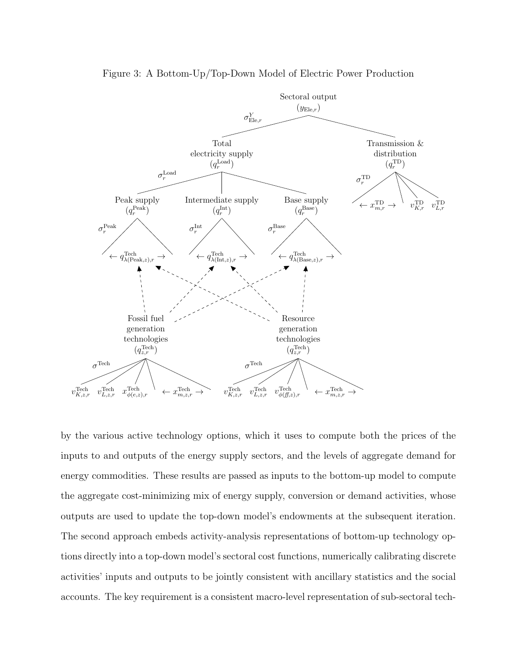

Figure 3: A Bottom-Up/Top-Down Model of Electric Power Production

by the various active technology options, which it uses to compute both the prices of the inputs to and outputs of the energy supply sectors, and the levels of aggregate demand for energy commodities. These results are passed as inputs to the bottom-up model to compute the aggregate cost-minimizing mix of energy supply, conversion or demand activities, whose outputs are used to update the top-down model's endowments at the subsequent iteration. The second approach embeds activity-analysis representations of bottom-up technology options directly into a top-down model's sectoral cost functions, numerically calibrating discrete activities' inputs and outputs to be jointly consistent with ancillary statistics and the social accounts. The key requirement is a consistent macro-level representation of sub-sectoral tech-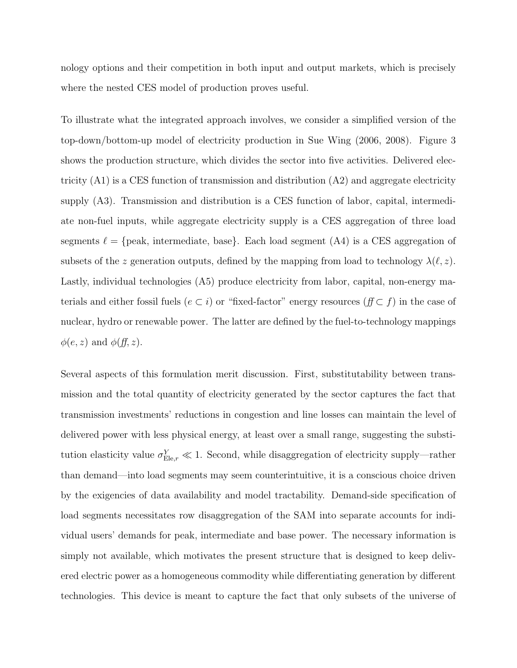nology options and their competition in both input and output markets, which is precisely where the nested CES model of production proves useful.

To illustrate what the integrated approach involves, we consider a simplified version of the top-down/bottom-up model of electricity production in Sue Wing (2006, 2008). Figure 3 shows the production structure, which divides the sector into five activities. Delivered electricity  $(A1)$  is a CES function of transmission and distribution  $(A2)$  and aggregate electricity supply (A3). Transmission and distribution is a CES function of labor, capital, intermediate non-fuel inputs, while aggregate electricity supply is a CES aggregation of three load segments  $\ell = \{peak, intermediate, base\}$ . Each load segment  $(A4)$  is a CES aggregation of subsets of the z generation outputs, defined by the mapping from load to technology  $\lambda(\ell, z)$ . Lastly, individual technologies (A5) produce electricity from labor, capital, non-energy materials and either fossil fuels ( $e \subset i$ ) or "fixed-factor" energy resources ( $f \subset f$ ) in the case of nuclear, hydro or renewable power. The latter are defined by the fuel-to-technology mappings  $\phi(e, z)$  and  $\phi(f, z)$ .

Several aspects of this formulation merit discussion. First, substitutability between transmission and the total quantity of electricity generated by the sector captures the fact that transmission investments' reductions in congestion and line losses can maintain the level of delivered power with less physical energy, at least over a small range, suggesting the substitution elasticity value  $\sigma_{\text{Ele},r}^Y \ll 1$ . Second, while disaggregation of electricity supply—rather than demand—into load segments may seem counterintuitive, it is a conscious choice driven by the exigencies of data availability and model tractability. Demand-side specification of load segments necessitates row disaggregation of the SAM into separate accounts for individual users' demands for peak, intermediate and base power. The necessary information is simply not available, which motivates the present structure that is designed to keep delivered electric power as a homogeneous commodity while differentiating generation by different technologies. This device is meant to capture the fact that only subsets of the universe of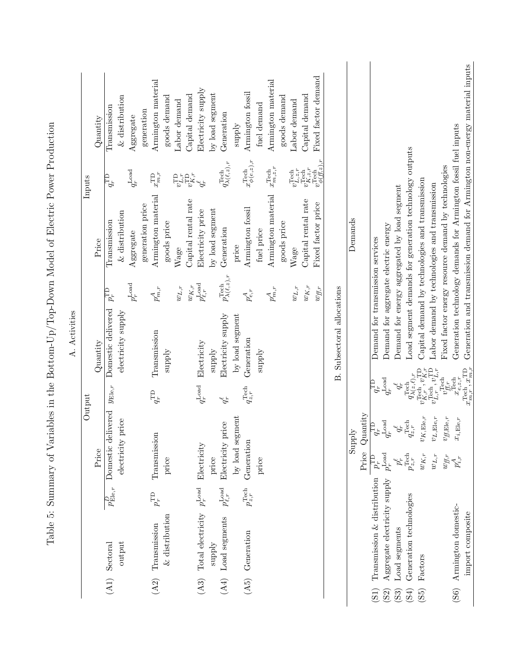| Activities<br>$\overline{\mathcal{A}}$ | Inputs<br>Output | Quantity<br>Price<br>Quantity | Transmission<br>$q_{r}^{\overline{\mathrm{TD}}}$<br>Transmission<br>$p_{r}^{\text{TD}}$<br>Domestic delivered<br>$y_{\mathrm{Ele},r}$ | $&$ distribution<br>$&$ distribution<br>electricity supply<br>price | Aggregate<br>$q_{r}^{\rm Load}$<br>Aggregate<br>$p_{r}^{\rm Load}$ | generation<br>generation price | Armington material<br>$x_{m,r}^{\rm TD}$<br>Armington material<br>$p_{m,r}^A$<br>Transmission<br>$q_r^{\text{TD}}$ | goods demand<br>goods price<br>xlddns | Labor demand<br>Wage<br>$w_{L,r}$ | Capital demand<br>Capital rental rate<br>$w_{K,r}$ | Electricity supply<br>$\begin{array}{c} v\Gamma_{\mu\nu}^{\Gamma\mu} \\ v\Gamma_{\mu\nu}^{\Gamma\mu} \\ v\gamma_{\mu}^{\nu} \\ \end{array}$<br>Electricity price<br>$p_{\ell,r}^{\rm Load}$<br>Electricity<br>$q_{r}^{\mathrm{Load}}$ | by load segment<br>by load segment<br>xlqqus | Generation<br>$q_{\lambda(\ell,z),r}^{\text{Tech}}$<br>Generation<br>$p_{\lambda(\ell,z),r}^{\text{Techn}}$<br>Electricity supply<br>okr<br>price | supply<br>price<br>by load segment | Armington fossil<br>$x_{\phi(e,z),r}^{\text{Techn}}$<br>Armington fossil<br>$p_{e,r}^A$<br>Generation<br>$q_{z,r}^{\rm Tech}$ | fuel demand<br>fuel price<br>ylddns | Armington material<br>$x^{\mathrm{Tech}}_{m,z,r}$<br>Armington material<br>$p_{m,r}^A$ | goods demand<br>goods price | Labor demand<br>Wage<br>$w_{L,r}$ | Capital demand<br>Capital rental rate<br>$w_{K,r}$ | Fixed factor demand<br>$\begin{array}{l} v_{L,z,r}^{\text{Tech}}\\ v_{K,z,r}^{\text{Tech}}\\ v_{R,\phi(f,z),r}^{\text{Tech}} \end{array}$<br>Fixed factor price<br>$w_{f\hspace{-0.1cm}f\hspace{-0.1cm},r}$ | Subsectoral allocations<br>$\dot{\mathbb{E}}$ | Demands<br>Supply                       | Quantity | Demand for transmission services<br>$q_{r}^{\overline{\text{TD}}}$<br>$\overline{q_{r}^{\text{TD}}}$ | Demand for aggregate electric energy                    | Demand for energy aggregated by load segment          | Load segment demands for generation technology outputs<br>$q_{z,r}^{\rm Tech}$ | Capital demand by technologies and transmission<br>$v^{\text{Tech}}_{K,r}$ , $v^{\text{TD}}_{K,r}$<br>$K,$ Ele, $r$ | Labor demand by technologies and transmission<br>$L$ , Ele, r | Fixed factor energy resource demand by technologies<br>${}^{j}\mathit{f}$ ;Ele,r | Generation technology demands for Armington fossil fuel inputs<br>$x_{i,\mathrm{Ele},r}$ | Generation and transmission demand for Armington non-energy material inputs |
|----------------------------------------|------------------|-------------------------------|---------------------------------------------------------------------------------------------------------------------------------------|---------------------------------------------------------------------|--------------------------------------------------------------------|--------------------------------|--------------------------------------------------------------------------------------------------------------------|---------------------------------------|-----------------------------------|----------------------------------------------------|---------------------------------------------------------------------------------------------------------------------------------------------------------------------------------------------------------------------------------------|----------------------------------------------|---------------------------------------------------------------------------------------------------------------------------------------------------|------------------------------------|-------------------------------------------------------------------------------------------------------------------------------|-------------------------------------|----------------------------------------------------------------------------------------|-----------------------------|-----------------------------------|----------------------------------------------------|-------------------------------------------------------------------------------------------------------------------------------------------------------------------------------------------------------------|-----------------------------------------------|-----------------------------------------|----------|------------------------------------------------------------------------------------------------------|---------------------------------------------------------|-------------------------------------------------------|--------------------------------------------------------------------------------|---------------------------------------------------------------------------------------------------------------------|---------------------------------------------------------------|----------------------------------------------------------------------------------|------------------------------------------------------------------------------------------|-----------------------------------------------------------------------------|
|                                        |                  |                               |                                                                                                                                       |                                                                     |                                                                    |                                |                                                                                                                    |                                       |                                   |                                                    |                                                                                                                                                                                                                                       |                                              |                                                                                                                                                   |                                    |                                                                                                                               |                                     |                                                                                        |                             |                                   |                                                    | $q_r^{\rm Load}$<br>$q_r^\ell$<br>$q_r^{\rm Load}$<br>$q_r^\ell$                                                                                                                                            |                                               | $q_{\lambda(z,\ell),r}^{\mathrm{Tech}}$ |          | $v_{L,r}^{\text{TD}}$<br>$v^{\mathrm{Tech}}_{L,r}$ ,                                                 |                                                         | $v_{ff,r}^{\text{Tech}}$<br>$x_{e,z,r}^{\text{Tech}}$ | $x_{m,r}^{\mathrm{Tech}},x_{m,r}^{\mathrm{\,TD}}$                              |                                                                                                                     |                                                               |                                                                                  |                                                                                          |                                                                             |
|                                        |                  | Price                         | Domestic delivered<br>$p_{{\rm E} {\rm le},r}^D$<br>Sectoral<br>(A1)                                                                  | electricity<br>output                                               |                                                                    |                                | Transmission<br>$p_{r}^{\text{TD}}$<br>Transmission<br>(A2)                                                        | price<br>$&$ distribution             |                                   |                                                    | Electricity<br>Total electricity $p_r^{\text{Load}}$<br>(A3)                                                                                                                                                                          | price<br>supply                              | Electricity<br>$p_{\ell,r}^{\rm Load}$<br>Load segments<br>$(A4)$                                                                                 | by load segment                    | Generation<br>$p_{z,r}^{\rm Tech}$<br>Generation<br>$(45)$                                                                    | price                               |                                                                                        |                             |                                   |                                                    |                                                                                                                                                                                                             |                                               |                                         | Price    | Transmission $&$ distribution                                                                        | $p_{r}^{\mathrm{Load}}$<br>Aggregate electricity supply | $p_r^\ell$<br>Load segments                           | $p_{z,r}^{\rm Tech}$<br>Generation technologies                                | $w_{K,r}$<br>Factors                                                                                                | $w_{L,r}$                                                     | $w_{f\!f,r}$                                                                     | $p_{i,r}^A$<br>Armington domestic-                                                       | import composite                                                            |
|                                        |                  |                               |                                                                                                                                       |                                                                     |                                                                    |                                |                                                                                                                    |                                       |                                   |                                                    |                                                                                                                                                                                                                                       |                                              |                                                                                                                                                   |                                    |                                                                                                                               |                                     |                                                                                        |                             |                                   |                                                    |                                                                                                                                                                                                             |                                               |                                         |          | (S1)                                                                                                 | (S2)                                                    | (S3)                                                  | $($ S4)                                                                        | (S5)                                                                                                                |                                                               |                                                                                  | (S6)                                                                                     |                                                                             |

Table 5: Summary of Variables in the Bottom-Up/Top-Down Model of Electric Power Production Table 5: Summary of Variables in the Bottom-Up/Top-Down Model of Electric Power Production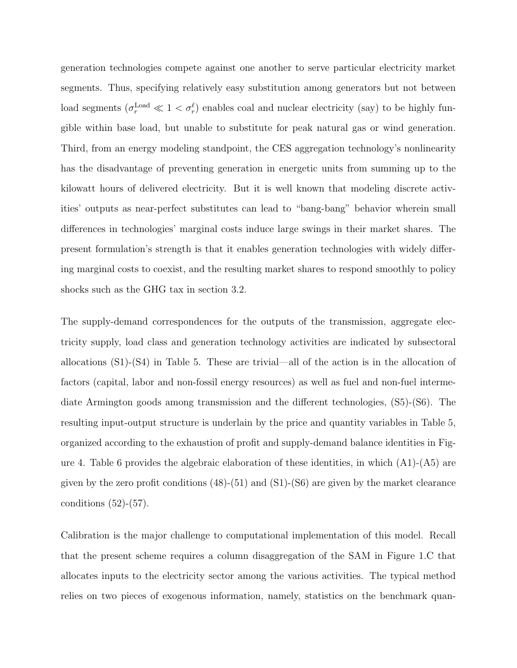generation technologies compete against one another to serve particular electricity market segments. Thus, specifying relatively easy substitution among generators but not between load segments  $(\sigma_r^{\text{Load}} \ll 1 < \sigma_r^{\ell})$  enables coal and nuclear electricity (say) to be highly fungible within base load, but unable to substitute for peak natural gas or wind generation. Third, from an energy modeling standpoint, the CES aggregation technology's nonlinearity has the disadvantage of preventing generation in energetic units from summing up to the kilowatt hours of delivered electricity. But it is well known that modeling discrete activities' outputs as near-perfect substitutes can lead to "bang-bang" behavior wherein small differences in technologies' marginal costs induce large swings in their market shares. The present formulation's strength is that it enables generation technologies with widely differing marginal costs to coexist, and the resulting market shares to respond smoothly to policy shocks such as the GHG tax in section 3.2.

The supply-demand correspondences for the outputs of the transmission, aggregate electricity supply, load class and generation technology activities are indicated by subsectoral allocations (S1)-(S4) in Table 5. These are trivial—all of the action is in the allocation of factors (capital, labor and non-fossil energy resources) as well as fuel and non-fuel intermediate Armington goods among transmission and the different technologies, (S5)-(S6). The resulting input-output structure is underlain by the price and quantity variables in Table 5, organized according to the exhaustion of profit and supply-demand balance identities in Figure 4. Table 6 provides the algebraic elaboration of these identities, in which  $(A1)-(A5)$  are given by the zero profit conditions  $(48)-(51)$  and  $(S1)-(S6)$  are given by the market clearance conditions  $(52)-(57)$ .

Calibration is the major challenge to computational implementation of this model. Recall that the present scheme requires a column disaggregation of the SAM in Figure 1.C that allocates inputs to the electricity sector among the various activities. The typical method relies on two pieces of exogenous information, namely, statistics on the benchmark quan-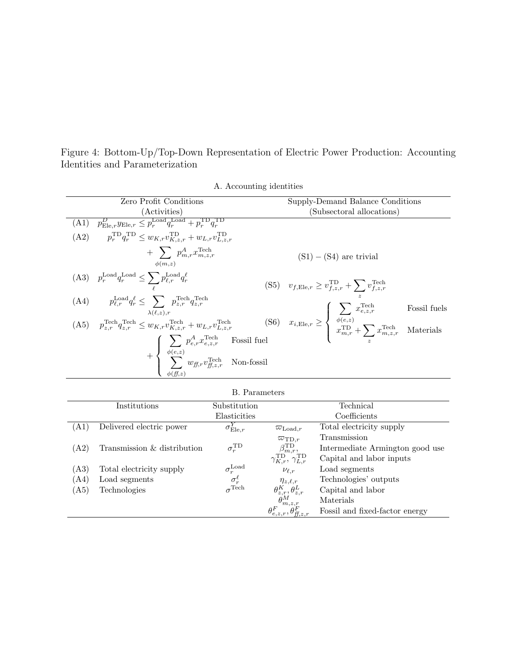Figure 4: Bottom-Up/Top-Down Representation of Electric Power Production: Accounting Identities and Parameterization

| Zero Profit Conditions                                                                                                                                                                                                                                                                                                                                                                                                                                                                                                                                     | Supply-Demand Balance Conditions                                                        |
|------------------------------------------------------------------------------------------------------------------------------------------------------------------------------------------------------------------------------------------------------------------------------------------------------------------------------------------------------------------------------------------------------------------------------------------------------------------------------------------------------------------------------------------------------------|-----------------------------------------------------------------------------------------|
| (Activities)                                                                                                                                                                                                                                                                                                                                                                                                                                                                                                                                               | (Subsectoral allocations)                                                               |
| $p_{\text{Ele},r}^D y_{\text{Ele},r} \le p_r^{\text{Load}} q_r^{\text{Load}} + p_r^{\text{TD}} q_r^{\text{TD}}$<br>(A1)                                                                                                                                                                                                                                                                                                                                                                                                                                    |                                                                                         |
| (A2) $p_r^{\text{TD}} q_r^{\text{TD}} \leq w_{K,r} v_{K,z,r}^{\text{TD}} + w_{L,r} v_{L,z,r}^{\text{TD}}$                                                                                                                                                                                                                                                                                                                                                                                                                                                  |                                                                                         |
| $+\sum p_{m,r}^A x_{m,z,r}^{\text{Techn}}$<br>$\phi(m,z)$                                                                                                                                                                                                                                                                                                                                                                                                                                                                                                  | $(S1) - (S4)$ are trivial                                                               |
| (A3) $p_r^{\text{Load}} q_r^{\text{Load}} \le \sum_{r} p_{\ell,r}^{\text{Load}} q_r^{\ell}$                                                                                                                                                                                                                                                                                                                                                                                                                                                                | (S5) $v_{f,\text{Ele},r} \ge v_{f,z,r}^{\text{TD}} + \sum_{z} v_{f,z,r}^{\text{Techn}}$ |
| (A4) $p_{\ell,r}^{\text{Load}} q_r^{\ell} \leq \sum p_{z,r}^{\text{Techn}} q_{z,r}^{\text{Techn}}$<br>(A4) $p_{\ell,r}^{\text{Load}} q_r^{\ell} \leq \sum_{\lambda(\ell,z),r} p_{z,r}^{\text{seen}} q_{z,r}^{\text{teen}}$<br>(A5) $p_{z,r}^{\text{Techn}} q_{z,r}^{\text{Techn}} \leq w_{K,r} v_{K,z,r}^{\text{Techn}} + w_{L,r} v_{L,z,r}^{\text{Techn}}$<br>(S6) $x_{i,\text{Ele},r} \geq \begin{cases} \sum_{\phi(e,z)} x_{e,z,r}^{\text{Techn}} & \text{Fossil fields} \\ x_{m,r}^{\text{TD}} + \sum_{z} x_{m,z,r}^{\text{Techn}} & \text{Materials}$ | Fossil fuels                                                                            |
|                                                                                                                                                                                                                                                                                                                                                                                                                                                                                                                                                            |                                                                                         |
| $+ \left\{ \begin{array}{cl} \displaystyle \sum_{\phi(e,z)} p_{e,r}^A x_{e,z,r}^{\text{Techn}} & \text{Fossil fuel} \\ \displaystyle \sum_{\phi(f,z)} w_{f\!f\!,r} v_{f\!f\!,z,r}^{\text{Techn}} & \text{Non-fossil} \end{array} \right.$                                                                                                                                                                                                                                                                                                                  |                                                                                         |
|                                                                                                                                                                                                                                                                                                                                                                                                                                                                                                                                                            |                                                                                         |

|  | A. Accounting identities |  |
|--|--------------------------|--|
|--|--------------------------|--|

| $D_{1}$ t alameters          |                             |                               |                                                           |                                 |  |  |  |  |  |
|------------------------------|-----------------------------|-------------------------------|-----------------------------------------------------------|---------------------------------|--|--|--|--|--|
|                              | Institutions                | Substitution                  |                                                           | Technical                       |  |  |  |  |  |
|                              |                             | Elasticities                  |                                                           | Coefficients                    |  |  |  |  |  |
| (A1)                         | Delivered electric power    | $\sigma_{\mathrm{Ele},r}^{I}$ | $\varpi_{\mathrm{Load},r}$                                | Total electricity supply        |  |  |  |  |  |
|                              |                             |                               | $\varpi_{\text{TD},r}$                                    | Transmission                    |  |  |  |  |  |
| (A2)                         | Transmission & distribution | $\sigma^{\rm TD}_{r}$         | $\beta_{m,r}^{\text{TD}},$                                | Intermediate Armington good use |  |  |  |  |  |
|                              |                             |                               | $\gamma_{K,r}^{\text{TD}}, \gamma_{L,r}^{\text{TD}}$      | Capital and labor inputs        |  |  |  |  |  |
| $\left(  \mathrm{A3}\right)$ | Total electricity supply    | $\sigma_r^{\text{Load}}$      | $\nu_{\ell,r}$                                            | Load segments                   |  |  |  |  |  |
| (A4)                         | Load segments               | $\sigma_r^{\ell}$             | $\eta_{z,\ell,r}$                                         | Technologies' outputs           |  |  |  |  |  |
| $\left( \mathrm{A5}\right)$  | Technologies                | $\sigma^{\rm Tech}$           | $\theta^{K}_{z,r}, \theta^{L}_{z,r} \ \theta^{M}_{m,z,r}$ | Capital and labor               |  |  |  |  |  |
|                              |                             |                               |                                                           | Materials                       |  |  |  |  |  |
|                              |                             |                               | $\theta_{e,z,r}^F, \theta_{ff,z,r}^F$                     | Fossil and fixed-factor energy  |  |  |  |  |  |

B. Parameters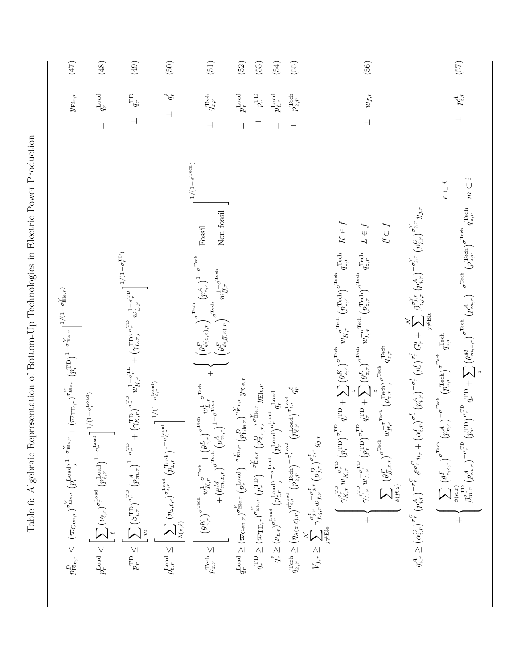| $p^D_{\mathrm{Ele},r} \leq \bigg\lbrack (\varpi_{\mathrm{Gen},r})^{\sigma^Y_{\mathrm{Ele},r}}(p_r^{\mathrm{Load}})^{1-\sigma^Y_{\mathrm{Ele},r}} + (\varpi_{\mathrm{TD},r})^{\sigma^Y_{\mathrm{Ele},r}}(p_r^{\mathrm{TD}})^{1-\sigma^Y_{\mathrm{Ele},r}} \bigg\rbrack^{1/(1-\sigma^Y_{\mathrm{Ele},r})}$                                                                                                                                                                                                                                                                                                                                                  | $y_{\mathrm{Ele},r}$<br>$\overline{\mathcal{L}}$ | (47)   |
|-----------------------------------------------------------------------------------------------------------------------------------------------------------------------------------------------------------------------------------------------------------------------------------------------------------------------------------------------------------------------------------------------------------------------------------------------------------------------------------------------------------------------------------------------------------------------------------------------------------------------------------------------------------|--------------------------------------------------|--------|
| $p_r^{\text{Load}} \leq \left\vert \sum_{\ell} \left(\nu_{\ell,r}\right)^{\sigma_r^{\text{Load}}}\left(p_{\ell,r}^{\text{Load}}\right)^{1-\sigma_r^{\text{Local}}}\right\vert^{1/(1-\sigma_r^{\text{Local}})}$                                                                                                                                                                                                                                                                                                                                                                                                                                            | $\perp$ $\quad q_{r}^{\rm Load}$                 | (48)   |
| $p_r^{\rm TD} \leq \left[\sum_m \left(\beta_{i,r}^{\rm TD}\right)^{\sigma_r^{\rm TD}} \left(p_{m,r}^{\rm A}\right)^{1-\sigma_r^{\rm TD}} + \left(\gamma_{K,r}^{\rm TD}\right)^{\sigma_r^{\rm TD}} w_{K,r}^{1-\sigma_r^{\rm TD}} + \left(\gamma_{L,r}^{\rm TD}\right)^{\sigma_r^{\rm TD}} w_{L,r}^{1-\sigma_r^{\rm TD}}\right]^{1/(1-\sigma_r^{\rm TD})}$                                                                                                                                                                                                                                                                                                  | $q_{\mathrm{r}}^{\mathrm{TD}}$                   | (49)   |
| $\prod_{\alpha=1}^{n}1/(1-\sigma_{\ell,\,r}^{\rm Load})$<br>$p_{\ell,r}^{\text{Load}} \leq \left\vert \sum_{\lambda(z,\ell)} (\eta_{z,\ell,r})^{\sigma_{\ell,r}^{\text{Load}}} \left(\begin{matrix} \text{Tech} \\ p_{z,r} \end{matrix}\right)^{1-\sigma_{\ell,r}^{\text{Load}}}\right\vert$                                                                                                                                                                                                                                                                                                                                                              | $\perp$ $q_r^{\ell}$                             | $(50)$ |
| $1/(1-\sigma^{\rm Tech})$<br>Non-fossil<br>$_{\rm Fossil}$<br>$+ \begin{pmatrix} \left(\theta_{\phi(E,z),r}^{F}\right)^{\sigma \text{Tech}}\left(p_{e,r}^{A}\right)^{1-\sigma \text{Tech}} \\ \left(\theta_{\phi(B,z),r}^{F}\right)^{\sigma \text{Tech}}\left(\frac{1-\sigma \text{Tech}}{w_{H,r}}\right)^{-1} \end{pmatrix}$<br>$p^{\text{Tech}}_{z,r} \leq \begin{bmatrix} \left(\theta_{z,r}^K\right)^{\sigma^{\text{Tech}}} w^1_{K,r}^{-\sigma^{\text{Tech}}} + \left(\theta_{z,r}^L\right)^{\sigma^{\text{Tech}}} w^1_{L,r} \\ + \left(\theta_{m,z,r}^M\right)^{\sigma^{\text{Tech}}} \left(p^A_{m,r}\right)^{1-\sigma^{\text{Tech}}} \end{bmatrix}$ | $q_{z,r}^{\rm Tech}$<br>$\overline{\phantom{0}}$ | (51)   |
| $q_r^{\text{Load}} \geq (\varpi_{\text{Gen},r})^{\sigma^Y_{\text{Ele},r}} \left( p_r^{\text{Load}} \right)^{-\sigma^Y_{\text{Ele},r}} \left( p_{\text{Ele},r}^D \right)^{\sigma^Y_{\text{Ele},r}} y_{\text{Ele},r}$                                                                                                                                                                                                                                                                                                                                                                                                                                       | $p_r^{\rm Load}$<br>$\overline{\phantom{a}}$     | (52)   |
| $q_r^{\rm TD} \geq (\varpi_{\rm TD,r})^{\sigma^Y_{\rm Ele,r}} \left( p_r^{\rm TD} \right)^{-\sigma^Y_{\rm Bel,r}} \left( p_{\rm Ele,r}^D \right)^{\sigma^Y_{\rm Ele,r}} y_{\rm Ele,r}$                                                                                                                                                                                                                                                                                                                                                                                                                                                                    | $p_{r}^{\mathrm{TD}}$                            | $(53)$ |
| $q_r^\ell \geq (\nu_{\ell,r})^{\sigma_r^{\rm Load}}\left(\substack{\cdot \\ p\ell,r} \right)^{-\sigma_r^{\rm Load}} \left(\substack{\sim \\ p\tau^{\rm load}} \right)^{\sigma_r^{\rm Load}} q_r^{\rm Load}$                                                                                                                                                                                                                                                                                                                                                                                                                                               | $p_{\ell, r}^{\rm Load}$                         | (54)   |
| $q_r^\ell$<br>$q_{z,r}^{\text{Tech}} \geq \left(\eta_{\lambda(z,\ell),r}\right)^{\sigma_{\ell,r}^{\text{Local}}} \left(p_{z,r}^{\text{Tech}}\right)^{-\sigma_{r}^{\text{Local}}}\left(p_{\ell,r}^{\text{Load}}\right)^{\sigma_{\ell,r}^{\text{Local}}}$                                                                                                                                                                                                                                                                                                                                                                                                   | $p_{z,r}^{\rm Tech}$                             | (55)   |
| $V_{f,r} \geq \sum_{j\neq \mathbf{E} \mathbf{I} \mathbf{e}} \gamma_{f,j,r}^{\sigma_{j,r}^{\gamma}} w_{f,r}^{-\sigma_{j,r}^{\gamma}} \left(p_{j,r}^{D}\right)^{\sigma_{j,r}^{\gamma}} y_{j,r}$                                                                                                                                                                                                                                                                                                                                                                                                                                                             |                                                  |        |
| $q_{z,r}^{\text{Tech}}$ $K \in f$<br>$\label{eq:qT} \begin{aligned} \mathbf{P} \underset{q,r}{\text{TP}} + \sum \big(\theta_{z,r}^K\big)^{\sigma^{\text{Tech}}} \, w_{K,r}^{-\sigma^{\text{Tech}}} \, \big(p_{z,r}^{\text{Tech}}\big)^{\sigma^{\text{Tech}}} \end{aligned}$<br>$\left(\begin{array}{cc} \sigma_r^{\rm TD} & -\sigma_r^{\rm TD} \\ \gamma_{K,r}^{\tau, \, r} & W_{K,r}^{\tau, \, r} \end{array}\right) \left(p_r^{\rm TD}\right)^{\sigma_r^{\rm TD}} \; .$                                                                                                                                                                                 |                                                  |        |
| $q_{z,r}^{\text{Tech}}$ $L \in f$<br>$\gamma_{L,r}^{\sigma^{\rm TD}}\,w_{L,r}^{\phantom{\rm FD}}\,(\boldsymbol{p}_r^{\rm TD})^{\sigma^{\rm TD}_r}\,\,q_r^{\rm TD} + \sum^z_{d^*} \big(\theta_{z,r}^L\big)^{\sigma^{\rm Tech}}\,w_{L,r}^{\phantom{\rm Tech}}\,(\boldsymbol{p}_{z,r}^{\rm Tech})^{\sigma^{\rm Tech}}$<br>$\overline{+}$                                                                                                                                                                                                                                                                                                                     | $w_{f,r}$<br>$\overline{\phantom{0}}$            | $(56)$ |
| $f\subset f$<br>$\sum_{\phi(f\!f,z)} \left(\theta^{F}_{f\!f;z,r}\right)^{\sigma^{\text{Tech}}} w^{\frac{-\sigma^{\text{Tech}}}{f\!f;r}} \left(p^{\text{Tech}}_{z,r}\right)^{\sigma^{\text{Tech}}} q^{\text{Tech}}_{z,r}$                                                                                                                                                                                                                                                                                                                                                                                                                                  |                                                  |        |
| $q_{i,r}^A \geq \left(\alpha_{i,r}^C\right)^{\sigma_r^C}\left(p_{i,r}^A\right)^{-\sigma_r^C}\mathscr{E}^{\sigma_r^C}u_r + \left(\alpha_{i,r}^I\right)^{\sigma_r^I}\left(p_{i,r}^A\right)^{-\sigma_r^I}\left(p_r^I\right)^{\sigma_r^I}G_r^I + \sum_{j\neq \mathrm{Ele}}^{N} \beta_{i,j,r}^{\sigma_{j,r}^Y}\left(p_{i,r}^A\right)^{-\sigma_{j,r}^Y}\left(p_{j,r}^D\right)^{\sigma_{j,r}^Y}y_{j,r}$                                                                                                                                                                                                                                                          |                                                  |        |
| $e \subset i$                                                                                                                                                                                                                                                                                                                                                                                                                                                                                                                                                                                                                                             |                                                  |        |
| $q_{z,r}^{\text{Techn}} \quad m \subset i$                                                                                                                                                                                                                                                                                                                                                                                                                                                                                                                                                                                                                | $p_{i,r}^A$                                      | (57)   |

Table 6: Algebraic Representation of Bottom-Up Technologies in Electric Power Production Table 6: Algebraic Representation of Bottom-Up Technologies in Electric Power Production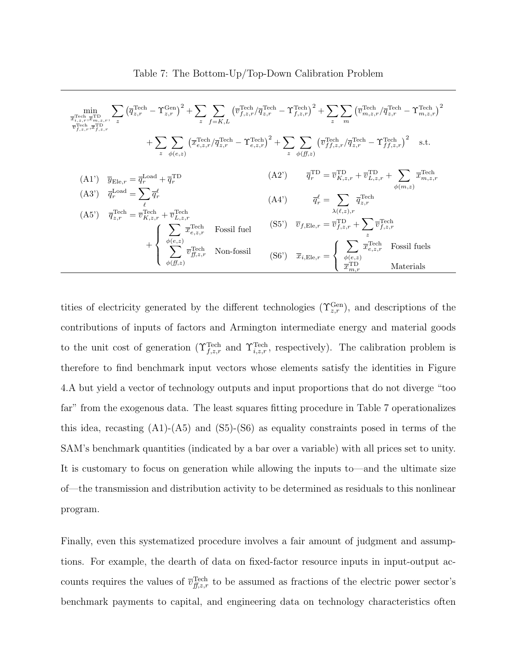$$
\min_{\substack{\overline{x}_{i,z,r}, \overline{x}_{i,z,r}, \overline{x}_{j,z,r}, \overline{z}_{j,z,r}, \overline{z}_{j,z,r}, \overline{z}_{j,z,r}, \overline{z}_{j,z,r}, \overline{z}_{j,z,r}, \overline{z}_{j,z,r}, \overline{z}_{j,z,r}, \overline{z}_{j,z,r}, \overline{z}_{j,z,r}, \overline{z}_{j,z,r}, \overline{z}_{j,z,r}, \overline{z}_{j,z,r}, \overline{z}_{j,z,r}, \overline{z}_{j,z,r}, \overline{z}_{j,z,r}, \overline{z}_{j,z,r}, \overline{z}_{j,z,r}, \overline{z}_{j,z,r}, \overline{z}_{j,z,r}, \overline{z}_{j,z,r}, \overline{z}_{j,z,r}, \overline{z}_{j,z,r}, \overline{z}_{j,z,r}, \overline{z}_{j,z,r}, \overline{z}_{j,z,r}, \overline{z}_{j,z,r}, \overline{z}_{j,z,r}, \overline{z}_{j,z,r}, \overline{z}_{j,z,r}, \overline{z}_{j,z,r}, \overline{z}_{j,z,r}, \overline{z}_{j,z,r}, \overline{z}_{j,z,r}, \overline{z}_{j,z,r}, \overline{z}_{j,z,r}, \overline{z}_{j,z,r}, \overline{z}_{j,z,r}, \overline{z}_{j,z,r}, \overline{z}_{j,z,r}, \overline{z}_{j,z,r}, \overline{z}_{j,z,r}, \overline{z}_{j,z,r}, \overline{z}_{j,z,r}, \overline{z}_{j,z,r}, \overline{z}_{j,z,r}, \overline{z}_{j,z,r}, \overline{z}_{j,z,r}, \overline{z}_{j,z,r}, \overline{z}_{j,z,r}, \overline{z}_{j,z,r}, \overline{z}_{j,z,r}, \overline{z}_{j,z,r}, \overline{z}_{j,z,r}, \overline{z}_{j,z,r}, \overline{z}_{j,z,r}, \overline{z}_{j,z,r}, \overline{z}_{j,z,r}, \overline{z}_{j,z,r}, \overline{z}_{j,z,r}, \overline{z}_{j,z,r}, \overline{z}_{j,z,r}, \overline{z}_{j,z,r}, \overline{z}_{j,z,r}, \overline{z}_{j,z,r}, \overline{z}_{j,z,r}, \overline{z}_{j,z,r}, \overline{z}_{j,z,r}, \overline{z}_{j,z,r}, \overline{z}_{j,z,r}, \overline{z}_{j,z,r}, \overline{z}_{j,z,r}, \overline{z}_{j,z,r}, \overline{z}_{j
$$

tities of electricity generated by the different technologies  $(\Upsilon_{z,r}^{\text{Gen}})$ , and descriptions of the contributions of inputs of factors and Armington intermediate energy and material goods to the unit cost of generation ( $\Upsilon_{f,z,r}^{\text{Tech}}$  and  $\Upsilon_{i,z,r}^{\text{Tech}}$ , respectively). The calibration problem is therefore to find benchmark input vectors whose elements satisfy the identities in Figure 4.A but yield a vector of technology outputs and input proportions that do not diverge "too far" from the exogenous data. The least squares fitting procedure in Table 7 operationalizes this idea, recasting  $(A1)$ - $(A5)$  and  $(S5)$ - $(S6)$  as equality constraints posed in terms of the SAM's benchmark quantities (indicated by a bar over a variable) with all prices set to unity. It is customary to focus on generation while allowing the inputs to—and the ultimate size of—the transmission and distribution activity to be determined as residuals to this nonlinear program.

Finally, even this systematized procedure involves a fair amount of judgment and assumptions. For example, the dearth of data on fixed-factor resource inputs in input-output accounts requires the values of  $\overline{v}_{f,z,r}^{\text{Tech}}$  to be assumed as fractions of the electric power sector's benchmark payments to capital, and engineering data on technology characteristics often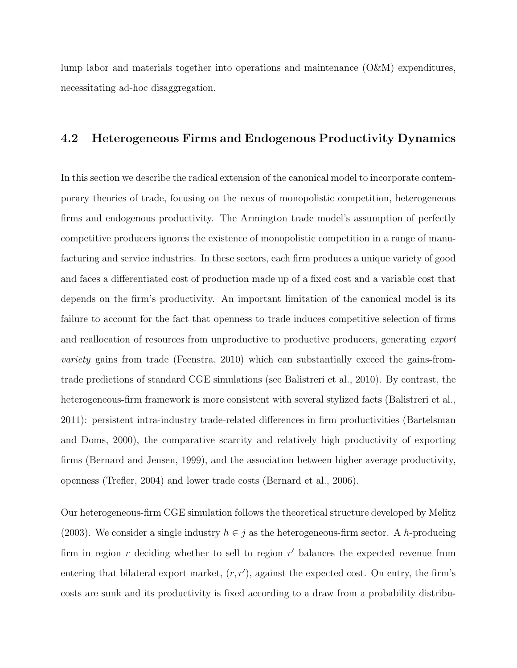lump labor and materials together into operations and maintenance (O&M) expenditures, necessitating ad-hoc disaggregation.

#### 4.2 Heterogeneous Firms and Endogenous Productivity Dynamics

In this section we describe the radical extension of the canonical model to incorporate contemporary theories of trade, focusing on the nexus of monopolistic competition, heterogeneous firms and endogenous productivity. The Armington trade model's assumption of perfectly competitive producers ignores the existence of monopolistic competition in a range of manufacturing and service industries. In these sectors, each firm produces a unique variety of good and faces a differentiated cost of production made up of a fixed cost and a variable cost that depends on the firm's productivity. An important limitation of the canonical model is its failure to account for the fact that openness to trade induces competitive selection of firms and reallocation of resources from unproductive to productive producers, generating export variety gains from trade (Feenstra, 2010) which can substantially exceed the gains-fromtrade predictions of standard CGE simulations (see Balistreri et al., 2010). By contrast, the heterogeneous-firm framework is more consistent with several stylized facts (Balistreri et al., 2011): persistent intra-industry trade-related differences in firm productivities (Bartelsman and Doms, 2000), the comparative scarcity and relatively high productivity of exporting firms (Bernard and Jensen, 1999), and the association between higher average productivity, openness (Trefler, 2004) and lower trade costs (Bernard et al., 2006).

Our heterogeneous-firm CGE simulation follows the theoretical structure developed by Melitz (2003). We consider a single industry  $h \in j$  as the heterogeneous-firm sector. A h-producing firm in region  $r$  deciding whether to sell to region  $r'$  balances the expected revenue from entering that bilateral export market,  $(r, r')$ , against the expected cost. On entry, the firm's costs are sunk and its productivity is fixed according to a draw from a probability distribu-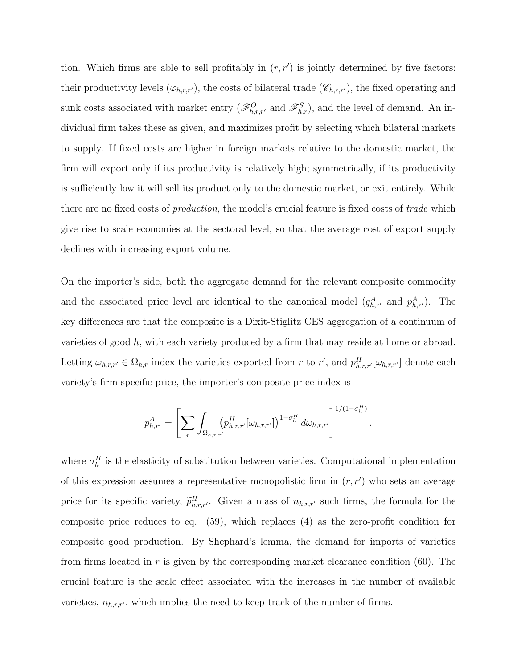tion. Which firms are able to sell profitably in  $(r, r')$  is jointly determined by five factors: their productivity levels  $(\varphi_{h,r,r'})$ , the costs of bilateral trade  $(\mathscr{C}_{h,r,r'})$ , the fixed operating and sunk costs associated with market entry  $(\mathscr{F}_{h,r,r'}^O$  and  $\mathscr{F}_{h,r}^S$ , and the level of demand. An individual firm takes these as given, and maximizes profit by selecting which bilateral markets to supply. If fixed costs are higher in foreign markets relative to the domestic market, the firm will export only if its productivity is relatively high; symmetrically, if its productivity is sufficiently low it will sell its product only to the domestic market, or exit entirely. While there are no fixed costs of production, the model's crucial feature is fixed costs of trade which give rise to scale economies at the sectoral level, so that the average cost of export supply declines with increasing export volume.

On the importer's side, both the aggregate demand for the relevant composite commodity and the associated price level are identical to the canonical model  $(q_{h,r}^A$  and  $p_{h,r'}^A$ ). The key differences are that the composite is a Dixit-Stiglitz CES aggregation of a continuum of varieties of good h, with each variety produced by a firm that may reside at home or abroad. Letting  $\omega_{h,r,r'} \in \Omega_{h,r}$  index the varieties exported from r to r', and  $p_{h,r,r'}^H[\omega_{h,r,r'}]$  denote each variety's firm-specific price, the importer's composite price index is

$$
p_{h,r'}^A = \left[ \sum_r \int_{\Omega_{h,r,r'}[D_{h,r,r'}^H[\omega_{h,r,r'}]]} \omega_{h,r,r'}^H \right]^{1/(1-\sigma_h^H)}.
$$

where  $\sigma_h^H$  is the elasticity of substitution between varieties. Computational implementation of this expression assumes a representative monopolistic firm in  $(r, r')$  who sets an average price for its specific variety,  $\tilde{p}^H_{h,r,r'}$ . Given a mass of  $n_{h,r,r'}$  such firms, the formula for the composite price reduces to eq. (59), which replaces (4) as the zero-profit condition for composite good production. By Shephard's lemma, the demand for imports of varieties from firms located in r is given by the corresponding market clearance condition  $(60)$ . The crucial feature is the scale effect associated with the increases in the number of available varieties,  $n_{h,r,r'}$ , which implies the need to keep track of the number of firms.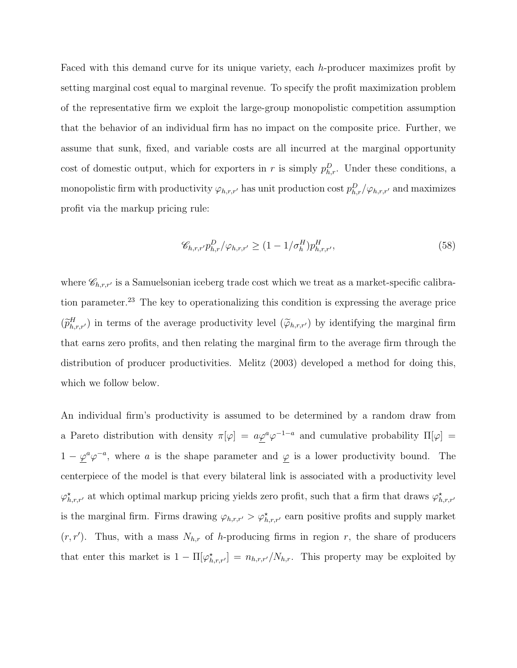Faced with this demand curve for its unique variety, each h-producer maximizes profit by setting marginal cost equal to marginal revenue. To specify the profit maximization problem of the representative firm we exploit the large-group monopolistic competition assumption that the behavior of an individual firm has no impact on the composite price. Further, we assume that sunk, fixed, and variable costs are all incurred at the marginal opportunity cost of domestic output, which for exporters in r is simply  $p_{h,r}^D$ . Under these conditions, a monopolistic firm with productivity  $\varphi_{h,r,r'}$  has unit production cost  $p_{h,r}^D/\varphi_{h,r,r'}$  and maximizes profit via the markup pricing rule:

$$
\mathcal{C}_{h,r,r'} p_{h,r}^D / \varphi_{h,r,r'} \ge (1 - 1/\sigma_h^H) p_{h,r,r'}^H,\tag{58}
$$

where  $\mathscr{C}_{h,r,r'}$  is a Samuelsonian iceberg trade cost which we treat as a market-specific calibration parameter.<sup>23</sup> The key to operationalizing this condition is expressing the average price  $(\widetilde{p}_{h,r,r'}^H)$  in terms of the average productivity level  $(\widetilde{\varphi}_{h,r,r'})$  by identifying the marginal firm that earns zero profits, and then relating the marginal firm to the average firm through the distribution of producer productivities. Melitz (2003) developed a method for doing this, which we follow below.

An individual firm's productivity is assumed to be determined by a random draw from a Pareto distribution with density  $\pi[\varphi] = a\varphi^a\varphi^{-1-a}$  and cumulative probability  $\Pi[\varphi] = a\varphi^a\varphi^{-1-a}$  $1 - \varphi^a \varphi^{-a}$ , where a is the shape parameter and  $\varphi$  is a lower productivity bound. The centerpiece of the model is that every bilateral link is associated with a productivity level  $\varphi_{h,r,r'}^{\star}$  at which optimal markup pricing yields zero profit, such that a firm that draws  $\varphi_{h,r,r'}^{\star}$ is the marginal firm. Firms drawing  $\varphi_{h,r,r'} > \varphi_{h,r,r'}^{\star}$  earn positive profits and supply market  $(r, r')$ . Thus, with a mass  $N_{h,r}$  of h-producing firms in region r, the share of producers that enter this market is  $1 - \Pi[\varphi_{h,r,r'}^{\star}] = n_{h,r,r'}/N_{h,r}$ . This property may be exploited by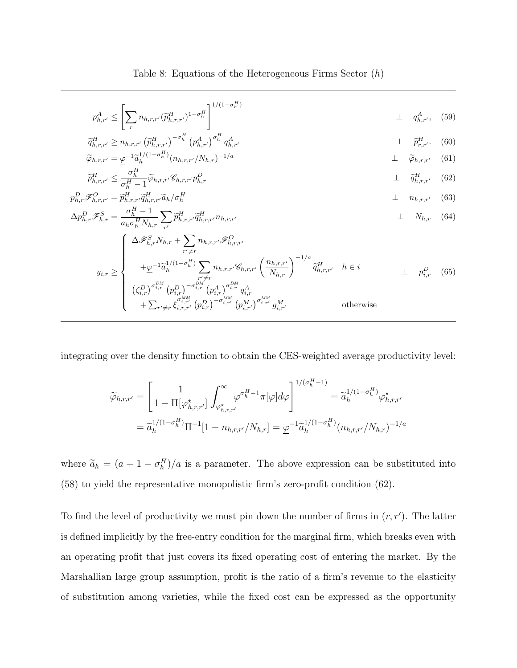Table 8: Equations of the Heterogeneous Firms Sector (h)

$$
p_{h,r'}^A \le \left[ \sum_r n_{h,r,r'} (\widetilde{p}_{h,r,r'}^H)^{1-\sigma_h^H} \right]^{1/(1-\sigma_h^H)} \perp q_{h,r'}^A, \quad (59)
$$
  

$$
\widetilde{\sigma}_h^H \ge n! \quad (\widetilde{\sigma}_h^H)^{-\sigma_h^H} (\sigma_A^A)^{\sigma_h^H} \sigma_A^A \qquad \qquad \square
$$

$$
\widetilde{q}_{h,r,r'}^{H} \ge n_{h,r,r'} \left(\widetilde{p}_{h,r,r'}^{H}\right)^{-\sigma_h^H} \left(p_{h,r'}^{A}\right)^{\sigma_h^H} q_{h,r'}^{A} \qquad \qquad \perp \qquad \widetilde{p}_{r,r'}^{H}.
$$
\n(60)\n
$$
\widetilde{\varphi}_{h,r,r'} = \underline{\varphi}^{-1} \widetilde{a}_h^{1/(1-\sigma_h^H)} (n_{h,r,r'}/N_{h,r})^{-1/a} \qquad \qquad \perp \qquad \widetilde{\varphi}_{h,r,r'} \qquad (61)
$$

$$
\widetilde{p}_{h,r,r'}^H \le \frac{\sigma_h^H}{\sigma_h^H - 1} \widetilde{\varphi}_{h,r,r'} \mathscr{C}_{h,r,r'} p_{h,r}^D \tag{62}
$$

$$
p_{h,r}^D \mathcal{F}_{h,r,r'}^O = \widetilde{p}_{h,r,r'}^H \widetilde{q}_{h,r,r'}^H \widetilde{a}_h / \sigma_h^H
$$
\n
$$
\Delta n^D \mathcal{F}_{h,r,r'}^S = \frac{\sigma_h^H - 1}{\sigma_h^H - 1} \sum_{\widetilde{m}^H} \widetilde{q}_h^H \mathcal{F}_{h,r'}^M
$$
\n(63)

$$
\Delta p_{h,r}^D \mathcal{F}_{h,r}^S = \frac{\sigma_h - 1}{a_{h} \sigma_h^H N_{h,r}} \sum_{r'} \widetilde{p}_{h,r,r'}^H \widetilde{q}_{h,r,r'}^H n_{h,r,r'} \qquad \perp \qquad N_{h,r} \qquad (64)
$$

$$
y_{i,r} \geq \begin{cases} \Delta \mathcal{F}_{h,r}^{S} N_{h,r} + \sum_{r' \neq r} n_{h,r,r'} \mathcal{F}_{h,r,r'}^{O} \\ + \underline{\varphi}^{-1} \widetilde{a}_{h}^{1/(1-\sigma_{h}^{H})} \sum_{r' \neq r} n_{h,r,r'} \mathcal{E}_{h,r,r'} \left(\frac{n_{h,r,r'}}{N_{h,r}}\right)^{-1/a} \widetilde{q}_{h,r,r'}^{H} & h \in i \\ (\zeta_{i,r}^{D})^{\sigma_{i,r}^{DM}} (p_{i,r}^{D})^{-\sigma_{i,r}^{DM}} (p_{i,r}^{A})^{\sigma_{i,r}^{DM}} q_{i,r}^{A} \\ + \sum_{r' \neq r} \xi_{i,r,r'}^{\sigma_{i,r'}^{IM}} (p_{i,r}^{D})^{-\sigma_{i,r'}^{AM}} (p_{i,r'}^{M'})^{\sigma_{i,r'}^{MM}} g_{i,r'}^{M} & \text{otherwise} \end{cases} \tag{65}
$$

integrating over the density function to obtain the CES-weighted average productivity level:

$$
\widetilde{\varphi}_{h,r,r'} = \left[ \frac{1}{1 - \Pi[\varphi_{h,r,r'}^{\star}]} \int_{\varphi_{h,r,r'}^{\star}}^{\infty} \varphi^{\sigma_h^H - 1} \pi[\varphi] d\varphi \right]^{1/(\sigma_h^H - 1)} = \widetilde{a}_h^{1/(1 - \sigma_h^H)} \varphi_{h,r,r'}^{\star}
$$
\n
$$
= \widetilde{a}_h^{1/(1 - \sigma_h^H)} \Pi^{-1}[1 - n_{h,r,r'}/N_{h,r}] = \underline{\varphi}^{-1} \widetilde{a}_h^{1/(1 - \sigma_h^H)}(n_{h,r,r'}/N_{h,r})^{-1/a}
$$

where  $\tilde{a}_h = (a + 1 - \sigma_h^H)/a$  is a parameter. The above expression can be substituted into (58) to yield the representative monopolistic firm's zero-profit condition (62).

To find the level of productivity we must pin down the number of firms in  $(r, r')$ . The latter is defined implicitly by the free-entry condition for the marginal firm, which breaks even with an operating profit that just covers its fixed operating cost of entering the market. By the Marshallian large group assumption, profit is the ratio of a firm's revenue to the elasticity of substitution among varieties, while the fixed cost can be expressed as the opportunity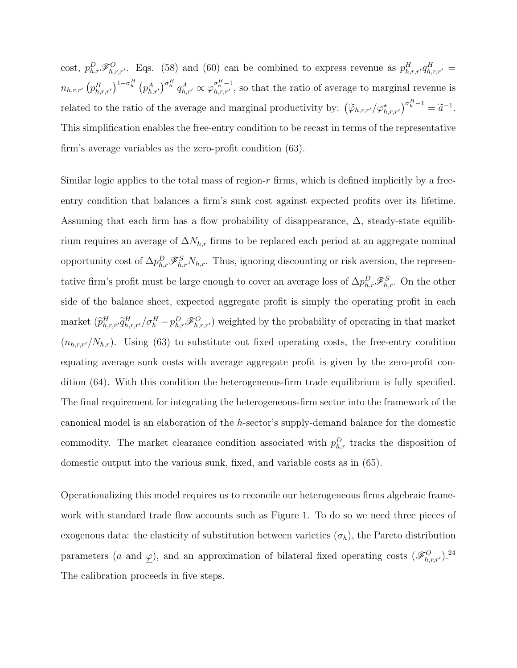cost,  $p_{h,r}^D \mathscr{F}_{h,r,r}^O$ . Eqs. (58) and (60) can be combined to express revenue as  $p_{h,r,r'}^H q_{h,r,r'}^H =$  $n_{h,r,r'} (p_{h,r,r'}^H)^{1-\sigma_h^H} (p_{h,r'}^A)^{\sigma_h^H} q_{h,r'}^A \propto \varphi_{h,r,r'}^{\sigma_h^H-1}$ , so that the ratio of average to marginal revenue is related to the ratio of the average and marginal productivity by:  $(\widetilde{\varphi}_{h,r,r'}/\varphi^*_{h,r,r'})^{\sigma_h^H-1} = \widetilde{a}^{-1}$ . This simplification enables the free-entry condition to be recast in terms of the representative firm's average variables as the zero-profit condition (63).

Similar logic applies to the total mass of region- $r$  firms, which is defined implicitly by a freeentry condition that balances a firm's sunk cost against expected profits over its lifetime. Assuming that each firm has a flow probability of disappearance,  $\Delta$ , steady-state equilibrium requires an average of  $\Delta N_{h,r}$  firms to be replaced each period at an aggregate nominal opportunity cost of  $\Delta p_{h,r}^D \mathcal{F}_{h,r}^S N_{h,r}$ . Thus, ignoring discounting or risk aversion, the representative firm's profit must be large enough to cover an average loss of  $\Delta p_{h,r}^D \mathscr{F}_{h,r}^S$ . On the other side of the balance sheet, expected aggregate profit is simply the operating profit in each market  $(\widetilde{p}_{h,r,r'}^H \widetilde{q}_{h,r,r'}^H / \sigma_h^H - p_{h,r}^D \mathcal{F}_{h,r,r'}^O)$  weighted by the probability of operating in that market  $(n_{h,r,r}/N_{h,r})$ . Using (63) to substitute out fixed operating costs, the free-entry condition equating average sunk costs with average aggregate profit is given by the zero-profit condition (64). With this condition the heterogeneous-firm trade equilibrium is fully specified. The final requirement for integrating the heterogeneous-firm sector into the framework of the canonical model is an elaboration of the h-sector's supply-demand balance for the domestic commodity. The market clearance condition associated with  $p_{h,r}^D$  tracks the disposition of domestic output into the various sunk, fixed, and variable costs as in (65).

Operationalizing this model requires us to reconcile our heterogeneous firms algebraic framework with standard trade flow accounts such as Figure 1. To do so we need three pieces of exogenous data: the elasticity of substitution between varieties  $(\sigma_h)$ , the Pareto distribution parameters (a and  $\varphi$ ), and an approximation of bilateral fixed operating costs  $(\mathscr{F}_{h,r,r'}^O)^{24}$ The calibration proceeds in five steps.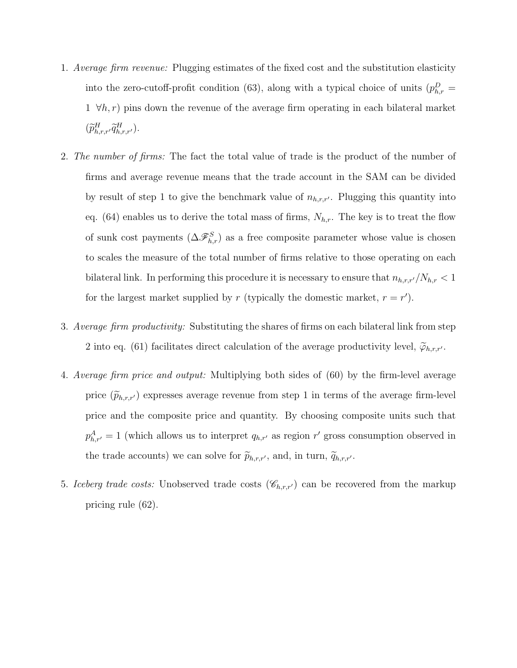- 1. Average firm revenue: Plugging estimates of the fixed cost and the substitution elasticity into the zero-cutoff-profit condition (63), along with a typical choice of units  $(p_{h,r}^D =$  $1 \forall h,r$  pins down the revenue of the average firm operating in each bilateral market  $(\widetilde{p}^H_{h,r,r'}\widetilde{q}^H_{h,r,r'})$ .
- 2. The number of firms: The fact the total value of trade is the product of the number of firms and average revenue means that the trade account in the SAM can be divided by result of step 1 to give the benchmark value of  $n_{h,r,r'}$ . Plugging this quantity into eq. (64) enables us to derive the total mass of firms,  $N_{h,r}$ . The key is to treat the flow of sunk cost payments  $(\Delta \mathscr{F}_{h,r}^S)$  as a free composite parameter whose value is chosen to scales the measure of the total number of firms relative to those operating on each bilateral link. In performing this procedure it is necessary to ensure that  $n_{h,r,r'}/N_{h,r} < 1$ for the largest market supplied by r (typically the domestic market,  $r = r'$ ).
- 3. Average firm productivity: Substituting the shares of firms on each bilateral link from step 2 into eq. (61) facilitates direct calculation of the average productivity level,  $\widetilde{\varphi}_{h,r,r'}$ .
- 4. Average firm price and output: Multiplying both sides of (60) by the firm-level average price  $(\widetilde{p}_{h,r,r'})$  expresses average revenue from step 1 in terms of the average firm-level price and the composite price and quantity. By choosing composite units such that  $p_{h,r'}^A = 1$  (which allows us to interpret  $q_{h,r'}$  as region r' gross consumption observed in the trade accounts) we can solve for  $\widetilde{p}_{h,r,r'}$ , and, in turn,  $\widetilde{q}_{h,r,r'}$ .
- 5. Iceberg trade costs: Unobserved trade costs  $(\mathscr{C}_{h,r,r'})$  can be recovered from the markup pricing rule (62).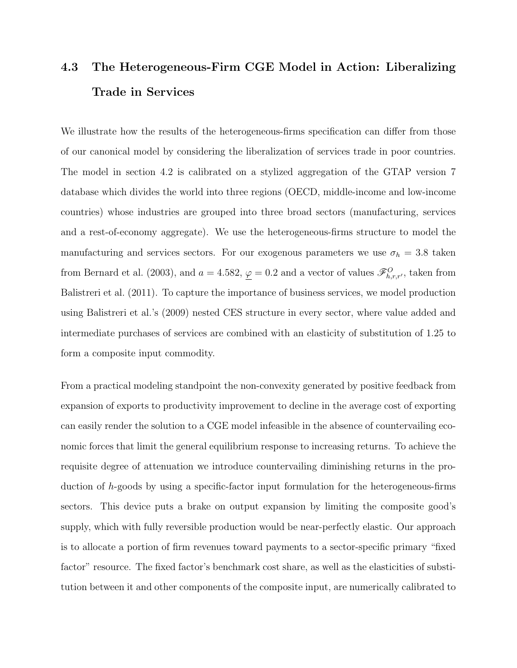# 4.3 The Heterogeneous-Firm CGE Model in Action: Liberalizing Trade in Services

We illustrate how the results of the heterogeneous-firms specification can differ from those of our canonical model by considering the liberalization of services trade in poor countries. The model in section 4.2 is calibrated on a stylized aggregation of the GTAP version 7 database which divides the world into three regions (OECD, middle-income and low-income countries) whose industries are grouped into three broad sectors (manufacturing, services and a rest-of-economy aggregate). We use the heterogeneous-firms structure to model the manufacturing and services sectors. For our exogenous parameters we use  $\sigma_h = 3.8$  taken from Bernard et al. (2003), and  $a = 4.582$ ,  $\underline{\varphi} = 0.2$  and a vector of values  $\mathscr{F}_{h,r,r'}^O$ , taken from Balistreri et al. (2011). To capture the importance of business services, we model production using Balistreri et al.'s (2009) nested CES structure in every sector, where value added and intermediate purchases of services are combined with an elasticity of substitution of 1.25 to form a composite input commodity.

From a practical modeling standpoint the non-convexity generated by positive feedback from expansion of exports to productivity improvement to decline in the average cost of exporting can easily render the solution to a CGE model infeasible in the absence of countervailing economic forces that limit the general equilibrium response to increasing returns. To achieve the requisite degree of attenuation we introduce countervailing diminishing returns in the production of h-goods by using a specific-factor input formulation for the heterogeneous-firms sectors. This device puts a brake on output expansion by limiting the composite good's supply, which with fully reversible production would be near-perfectly elastic. Our approach is to allocate a portion of firm revenues toward payments to a sector-specific primary "fixed factor" resource. The fixed factor's benchmark cost share, as well as the elasticities of substitution between it and other components of the composite input, are numerically calibrated to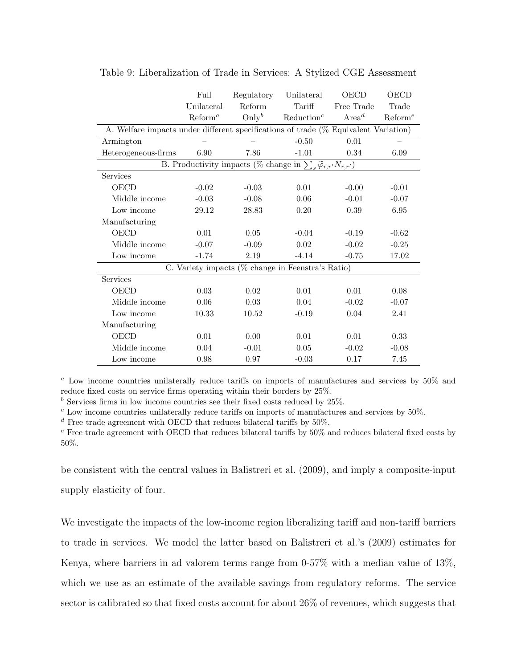|                                                                                     | Full                | Regulatory        | Unilateral                                                                          | <b>OECD</b>       | OECD                |
|-------------------------------------------------------------------------------------|---------------------|-------------------|-------------------------------------------------------------------------------------|-------------------|---------------------|
|                                                                                     | Unilateral          | Reform            | Tariff                                                                              | Free Trade        | Trade               |
|                                                                                     | Reform <sup>a</sup> | $\mathrm{Only}^b$ | Reduction <sup>c</sup>                                                              | Area <sup>d</sup> | Reform <sup>e</sup> |
| A. Welfare impacts under different specifications of trade (% Equivalent Variation) |                     |                   |                                                                                     |                   |                     |
| Armington                                                                           |                     |                   | $-0.50$                                                                             | 0.01              |                     |
| Heterogeneous-firms                                                                 | 6.90                | 7.86              | $-1.01$                                                                             | 0.34              | 6.09                |
|                                                                                     |                     |                   | B. Productivity impacts (% change in $\sum_s \widetilde{\varphi}_{r,r'} N_{r,r'}$ ) |                   |                     |
| Services                                                                            |                     |                   |                                                                                     |                   |                     |
| <b>OECD</b>                                                                         | $-0.02$             | $-0.03$           | 0.01                                                                                | $-0.00$           | $-0.01$             |
| Middle income                                                                       | $-0.03$             | $-0.08$           | 0.06                                                                                | $-0.01$           | $-0.07$             |
| Low income                                                                          | 29.12               | 28.83             | 0.20                                                                                | 0.39              | 6.95                |
| Manufacturing                                                                       |                     |                   |                                                                                     |                   |                     |
| <b>OECD</b>                                                                         | 0.01                | 0.05              | $-0.04$                                                                             | $-0.19$           | $-0.62$             |
| Middle income                                                                       | $-0.07$             | $-0.09$           | 0.02                                                                                | $-0.02$           | $-0.25$             |
| Low income                                                                          | $-1.74$             | 2.19              | $-4.14$                                                                             | $-0.75$           | 17.02               |
|                                                                                     |                     |                   | C. Variety impacts ( $\%$ change in Feenstra's Ratio)                               |                   |                     |
| Services                                                                            |                     |                   |                                                                                     |                   |                     |
| OECD                                                                                | 0.03                | 0.02              | 0.01                                                                                | 0.01              | 0.08                |
| Middle income                                                                       | $0.06\,$            | 0.03              | 0.04                                                                                | $-0.02$           | $-0.07$             |
| Low income                                                                          | 10.33               | 10.52             | $-0.19$                                                                             | 0.04              | 2.41                |
| Manufacturing                                                                       |                     |                   |                                                                                     |                   |                     |
| <b>OECD</b>                                                                         | 0.01                | 0.00              | 0.01                                                                                | 0.01              | 0.33                |
| Middle income                                                                       | 0.04                | $-0.01$           | 0.05                                                                                | $-0.02$           | $-0.08$             |
| Low income                                                                          | 0.98                | 0.97              | $-0.03$                                                                             | 0.17              | 7.45                |

Table 9: Liberalization of Trade in Services: A Stylized CGE Assessment

 $a$  Low income countries unilaterally reduce tariffs on imports of manufactures and services by  $50\%$  and reduce fixed costs on service firms operating within their borders by 25%.

 $<sup>b</sup>$  Services firms in low income countries see their fixed costs reduced by 25%.</sup>

 $^c$  Low income countries unilaterally reduce tariffs on imports of manufactures and services by  $50\%.$ 

 $d$  Free trade agreement with OECD that reduces bilateral tariffs by 50%.

 $e$  Free trade agreement with OECD that reduces bilateral tariffs by  $50\%$  and reduces bilateral fixed costs by 50%.

be consistent with the central values in Balistreri et al. (2009), and imply a composite-input supply elasticity of four.

We investigate the impacts of the low-income region liberalizing tariff and non-tariff barriers to trade in services. We model the latter based on Balistreri et al.'s (2009) estimates for Kenya, where barriers in ad valorem terms range from 0-57% with a median value of 13%, which we use as an estimate of the available savings from regulatory reforms. The service sector is calibrated so that fixed costs account for about 26% of revenues, which suggests that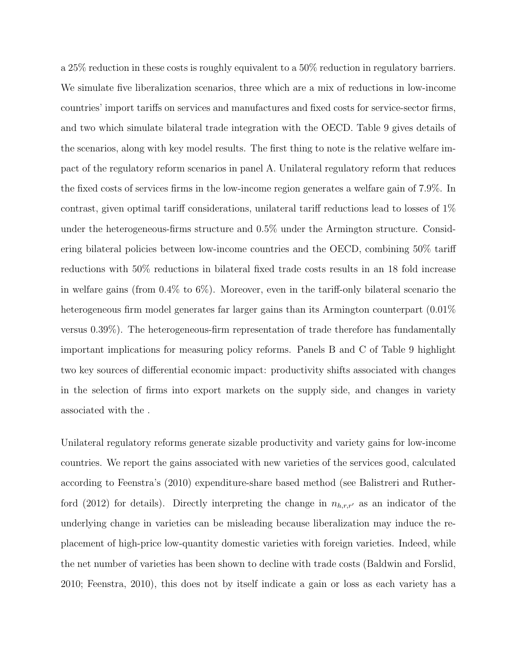a 25% reduction in these costs is roughly equivalent to a 50% reduction in regulatory barriers. We simulate five liberalization scenarios, three which are a mix of reductions in low-income countries' import tariffs on services and manufactures and fixed costs for service-sector firms, and two which simulate bilateral trade integration with the OECD. Table 9 gives details of the scenarios, along with key model results. The first thing to note is the relative welfare impact of the regulatory reform scenarios in panel A. Unilateral regulatory reform that reduces the fixed costs of services firms in the low-income region generates a welfare gain of 7.9%. In contrast, given optimal tariff considerations, unilateral tariff reductions lead to losses of 1% under the heterogeneous-firms structure and 0.5% under the Armington structure. Considering bilateral policies between low-income countries and the OECD, combining 50% tariff reductions with 50% reductions in bilateral fixed trade costs results in an 18 fold increase in welfare gains (from 0.4% to 6%). Moreover, even in the tariff-only bilateral scenario the heterogeneous firm model generates far larger gains than its Armington counterpart  $(0.01\%$ versus 0.39%). The heterogeneous-firm representation of trade therefore has fundamentally important implications for measuring policy reforms. Panels B and C of Table 9 highlight two key sources of differential economic impact: productivity shifts associated with changes in the selection of firms into export markets on the supply side, and changes in variety associated with the .

Unilateral regulatory reforms generate sizable productivity and variety gains for low-income countries. We report the gains associated with new varieties of the services good, calculated according to Feenstra's (2010) expenditure-share based method (see Balistreri and Rutherford (2012) for details). Directly interpreting the change in  $n_{h,r,r'}$  as an indicator of the underlying change in varieties can be misleading because liberalization may induce the replacement of high-price low-quantity domestic varieties with foreign varieties. Indeed, while the net number of varieties has been shown to decline with trade costs (Baldwin and Forslid, 2010; Feenstra, 2010), this does not by itself indicate a gain or loss as each variety has a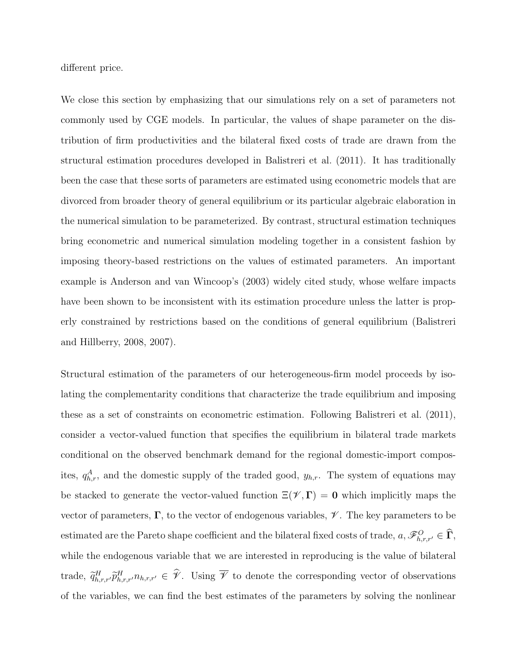different price.

We close this section by emphasizing that our simulations rely on a set of parameters not commonly used by CGE models. In particular, the values of shape parameter on the distribution of firm productivities and the bilateral fixed costs of trade are drawn from the structural estimation procedures developed in Balistreri et al. (2011). It has traditionally been the case that these sorts of parameters are estimated using econometric models that are divorced from broader theory of general equilibrium or its particular algebraic elaboration in the numerical simulation to be parameterized. By contrast, structural estimation techniques bring econometric and numerical simulation modeling together in a consistent fashion by imposing theory-based restrictions on the values of estimated parameters. An important example is Anderson and van Wincoop's (2003) widely cited study, whose welfare impacts have been shown to be inconsistent with its estimation procedure unless the latter is properly constrained by restrictions based on the conditions of general equilibrium (Balistreri and Hillberry, 2008, 2007).

Structural estimation of the parameters of our heterogeneous-firm model proceeds by isolating the complementarity conditions that characterize the trade equilibrium and imposing these as a set of constraints on econometric estimation. Following Balistreri et al. (2011), consider a vector-valued function that specifies the equilibrium in bilateral trade markets conditional on the observed benchmark demand for the regional domestic-import composites,  $q_{h,r}^A$ , and the domestic supply of the traded good,  $y_{h,r}$ . The system of equations may be stacked to generate the vector-valued function  $\Xi(\mathscr{V}, \Gamma) = 0$  which implicitly maps the vector of parameters,  $\Gamma$ , to the vector of endogenous variables,  $\mathcal V$ . The key parameters to be estimated are the Pareto shape coefficient and the bilateral fixed costs of trade,  $a, \mathscr{F}^O_{h,r,r'} \in \Gamma$ , while the endogenous variable that we are interested in reproducing is the value of bilateral trade,  $\tilde{q}_{h,r,r'}^H \tilde{p}_{h,r,r'}^H n_{h,r,r'} \in \mathcal{V}$ . Using  $\overline{\mathcal{V}}$  to denote the corresponding vector of observations of the variables, we can find the best estimates of the parameters by solving the nonlinear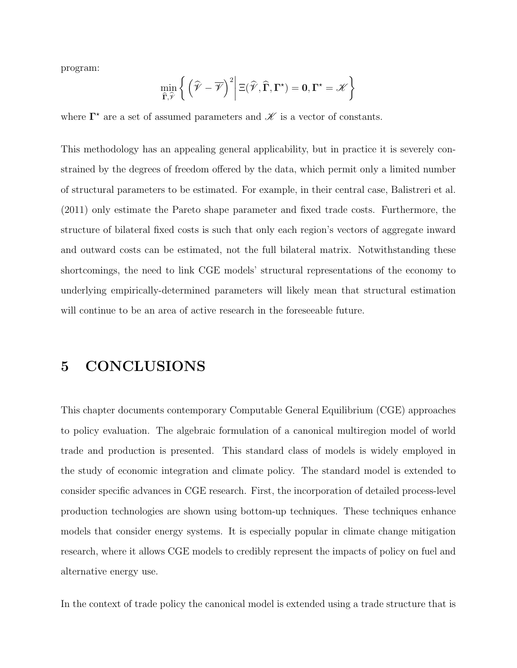program:

$$
\min_{\widehat{\Gamma},\widehat{\mathscr{V}}}\bigg\{\left(\widehat{\mathscr{V}}-\overline{\mathscr{V}}\right)^2\bigg|\,\Xi(\widehat{\mathscr{V}},\widehat{\Gamma},\Gamma^\star)=0,\Gamma^\star=\mathscr{K}\bigg\}
$$

where  $\Gamma^*$  are a set of assumed parameters and  $\mathscr K$  is a vector of constants.

This methodology has an appealing general applicability, but in practice it is severely constrained by the degrees of freedom offered by the data, which permit only a limited number of structural parameters to be estimated. For example, in their central case, Balistreri et al. (2011) only estimate the Pareto shape parameter and fixed trade costs. Furthermore, the structure of bilateral fixed costs is such that only each region's vectors of aggregate inward and outward costs can be estimated, not the full bilateral matrix. Notwithstanding these shortcomings, the need to link CGE models' structural representations of the economy to underlying empirically-determined parameters will likely mean that structural estimation will continue to be an area of active research in the foreseeable future.

### 5 CONCLUSIONS

This chapter documents contemporary Computable General Equilibrium (CGE) approaches to policy evaluation. The algebraic formulation of a canonical multiregion model of world trade and production is presented. This standard class of models is widely employed in the study of economic integration and climate policy. The standard model is extended to consider specific advances in CGE research. First, the incorporation of detailed process-level production technologies are shown using bottom-up techniques. These techniques enhance models that consider energy systems. It is especially popular in climate change mitigation research, where it allows CGE models to credibly represent the impacts of policy on fuel and alternative energy use.

In the context of trade policy the canonical model is extended using a trade structure that is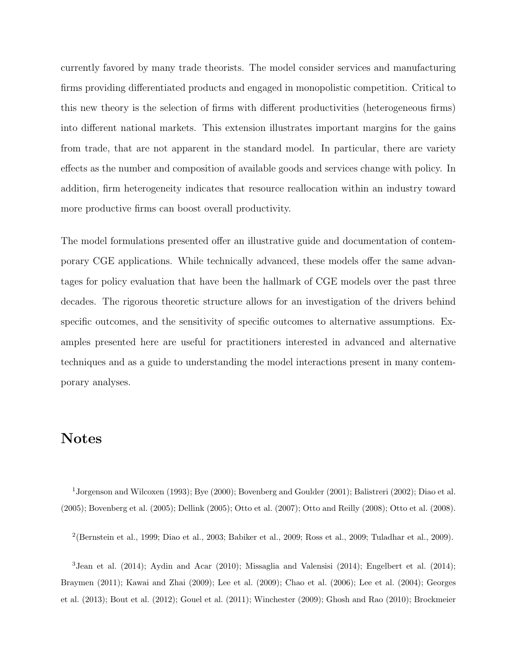currently favored by many trade theorists. The model consider services and manufacturing firms providing differentiated products and engaged in monopolistic competition. Critical to this new theory is the selection of firms with different productivities (heterogeneous firms) into different national markets. This extension illustrates important margins for the gains from trade, that are not apparent in the standard model. In particular, there are variety effects as the number and composition of available goods and services change with policy. In addition, firm heterogeneity indicates that resource reallocation within an industry toward more productive firms can boost overall productivity.

The model formulations presented offer an illustrative guide and documentation of contemporary CGE applications. While technically advanced, these models offer the same advantages for policy evaluation that have been the hallmark of CGE models over the past three decades. The rigorous theoretic structure allows for an investigation of the drivers behind specific outcomes, and the sensitivity of specific outcomes to alternative assumptions. Examples presented here are useful for practitioners interested in advanced and alternative techniques and as a guide to understanding the model interactions present in many contemporary analyses.

## Notes

<sup>1</sup>Jorgenson and Wilcoxen (1993); Bye (2000); Bovenberg and Goulder (2001); Balistreri (2002); Diao et al. (2005); Bovenberg et al. (2005); Dellink (2005); Otto et al. (2007); Otto and Reilly (2008); Otto et al. (2008).

2 (Bernstein et al., 1999; Diao et al., 2003; Babiker et al., 2009; Ross et al., 2009; Tuladhar et al., 2009).

<sup>3</sup> Jean et al. (2014); Aydin and Acar (2010); Missaglia and Valensisi (2014); Engelbert et al. (2014); Braymen (2011); Kawai and Zhai (2009); Lee et al. (2009); Chao et al. (2006); Lee et al. (2004); Georges et al. (2013); Bout et al. (2012); Gouel et al. (2011); Winchester (2009); Ghosh and Rao (2010); Brockmeier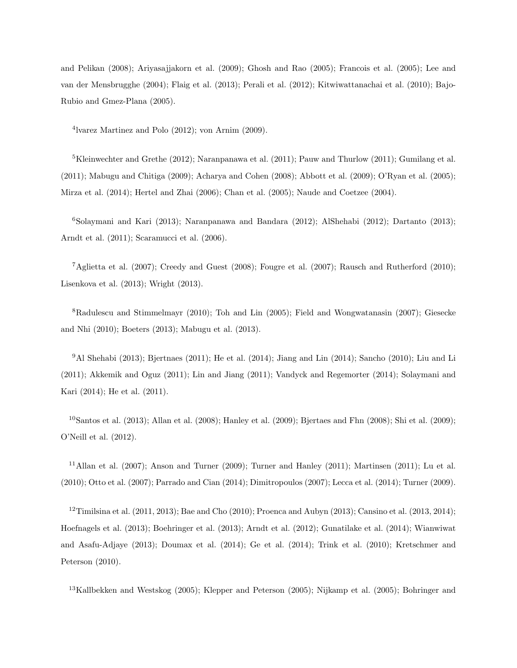and Pelikan (2008); Ariyasajjakorn et al. (2009); Ghosh and Rao (2005); Francois et al. (2005); Lee and van der Mensbrugghe (2004); Flaig et al. (2013); Perali et al. (2012); Kitwiwattanachai et al. (2010); Bajo-Rubio and Gmez-Plana (2005).

4 lvarez Martinez and Polo (2012); von Arnim (2009).

<sup>5</sup>Kleinwechter and Grethe (2012); Naranpanawa et al. (2011); Pauw and Thurlow (2011); Gumilang et al. (2011); Mabugu and Chitiga (2009); Acharya and Cohen (2008); Abbott et al. (2009); O'Ryan et al. (2005); Mirza et al. (2014); Hertel and Zhai (2006); Chan et al. (2005); Naude and Coetzee (2004).

<sup>6</sup>Solaymani and Kari (2013); Naranpanawa and Bandara (2012); AlShehabi (2012); Dartanto (2013); Arndt et al. (2011); Scaramucci et al. (2006).

<sup>7</sup>Aglietta et al. (2007); Creedy and Guest (2008); Fougre et al. (2007); Rausch and Rutherford (2010); Lisenkova et al. (2013); Wright (2013).

<sup>8</sup>Radulescu and Stimmelmayr (2010); Toh and Lin (2005); Field and Wongwatanasin (2007); Giesecke and Nhi (2010); Boeters (2013); Mabugu et al. (2013).

<sup>9</sup>Al Shehabi (2013); Bjertnaes (2011); He et al. (2014); Jiang and Lin (2014); Sancho (2010); Liu and Li (2011); Akkemik and Oguz (2011); Lin and Jiang (2011); Vandyck and Regemorter (2014); Solaymani and Kari (2014); He et al. (2011).

<sup>10</sup>Santos et al. (2013); Allan et al. (2008); Hanley et al. (2009); Bjertaes and Fhn (2008); Shi et al. (2009); O'Neill et al. (2012).

<sup>11</sup>Allan et al. (2007); Anson and Turner (2009); Turner and Hanley (2011); Martinsen (2011); Lu et al. (2010); Otto et al. (2007); Parrado and Cian (2014); Dimitropoulos (2007); Lecca et al. (2014); Turner (2009).

<sup>12</sup>Timilsina et al. (2011, 2013); Bae and Cho (2010); Proenca and Aubyn (2013); Cansino et al. (2013, 2014); Hoefnagels et al. (2013); Boehringer et al. (2013); Arndt et al. (2012); Gunatilake et al. (2014); Wianwiwat and Asafu-Adjaye (2013); Doumax et al. (2014); Ge et al. (2014); Trink et al. (2010); Kretschmer and Peterson (2010).

<sup>13</sup>Kallbekken and Westskog (2005); Klepper and Peterson (2005); Nijkamp et al. (2005); Bohringer and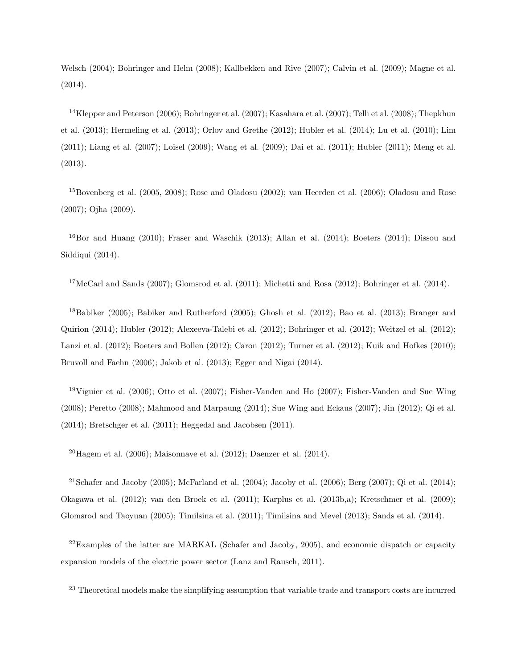Welsch (2004); Bohringer and Helm (2008); Kallbekken and Rive (2007); Calvin et al. (2009); Magne et al. (2014).

<sup>14</sup>Klepper and Peterson (2006); Bohringer et al. (2007); Kasahara et al. (2007); Telli et al. (2008); Thepkhun et al. (2013); Hermeling et al. (2013); Orlov and Grethe (2012); Hubler et al. (2014); Lu et al. (2010); Lim (2011); Liang et al. (2007); Loisel (2009); Wang et al. (2009); Dai et al. (2011); Hubler (2011); Meng et al. (2013).

<sup>15</sup>Bovenberg et al. (2005, 2008); Rose and Oladosu (2002); van Heerden et al. (2006); Oladosu and Rose (2007); Ojha (2009).

 $^{16}$ Bor and Huang (2010); Fraser and Waschik (2013); Allan et al. (2014); Boeters (2014); Dissou and Siddiqui (2014).

<sup>17</sup>McCarl and Sands (2007); Glomsrod et al. (2011); Michetti and Rosa (2012); Bohringer et al. (2014).

<sup>18</sup>Babiker (2005); Babiker and Rutherford (2005); Ghosh et al. (2012); Bao et al. (2013); Branger and Quirion (2014); Hubler (2012); Alexeeva-Talebi et al. (2012); Bohringer et al. (2012); Weitzel et al. (2012); Lanzi et al. (2012); Boeters and Bollen (2012); Caron (2012); Turner et al. (2012); Kuik and Hofkes (2010); Bruvoll and Faehn (2006); Jakob et al. (2013); Egger and Nigai (2014).

<sup>19</sup>Viguier et al. (2006); Otto et al. (2007); Fisher-Vanden and Ho (2007); Fisher-Vanden and Sue Wing (2008); Peretto (2008); Mahmood and Marpaung (2014); Sue Wing and Eckaus (2007); Jin (2012); Qi et al. (2014); Bretschger et al. (2011); Heggedal and Jacobsen (2011).

 $^{20}$ Hagem et al. (2006); Maisonnave et al. (2012); Daenzer et al. (2014).

<sup>21</sup>Schafer and Jacoby (2005); McFarland et al. (2004); Jacoby et al. (2006); Berg (2007); Qi et al. (2014); Okagawa et al. (2012); van den Broek et al. (2011); Karplus et al. (2013b,a); Kretschmer et al. (2009); Glomsrod and Taoyuan (2005); Timilsina et al. (2011); Timilsina and Mevel (2013); Sands et al. (2014).

 $^{22}$ Examples of the latter are MARKAL (Schafer and Jacoby, 2005), and economic dispatch or capacity expansion models of the electric power sector (Lanz and Rausch, 2011).

<sup>23</sup> Theoretical models make the simplifying assumption that variable trade and transport costs are incurred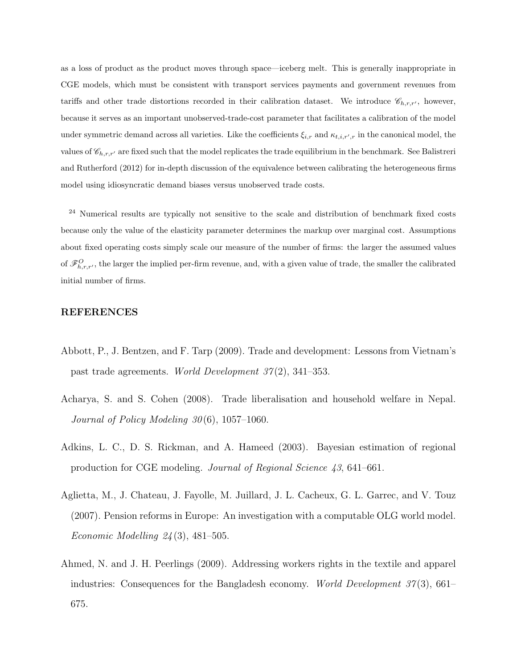as a loss of product as the product moves through space—iceberg melt. This is generally inappropriate in CGE models, which must be consistent with transport services payments and government revenues from tariffs and other trade distortions recorded in their calibration dataset. We introduce  $\mathscr{C}_{h,r,r'}$ , however, because it serves as an important unobserved-trade-cost parameter that facilitates a calibration of the model under symmetric demand across all varieties. Like the coefficients  $\xi_{i,r}$  and  $\kappa_{t,i,r',r}$  in the canonical model, the values of  $\mathscr{C}_{h,r,r'}$  are fixed such that the model replicates the trade equilibrium in the benchmark. See Balistreri and Rutherford (2012) for in-depth discussion of the equivalence between calibrating the heterogeneous firms model using idiosyncratic demand biases versus unobserved trade costs.

<sup>24</sup> Numerical results are typically not sensitive to the scale and distribution of benchmark fixed costs because only the value of the elasticity parameter determines the markup over marginal cost. Assumptions about fixed operating costs simply scale our measure of the number of firms: the larger the assumed values of  $\mathscr{F}_{h,r,r'}^O$ , the larger the implied per-firm revenue, and, with a given value of trade, the smaller the calibrated initial number of firms.

#### REFERENCES

- Abbott, P., J. Bentzen, and F. Tarp (2009). Trade and development: Lessons from Vietnam's past trade agreements. World Development  $37(2)$ , 341–353.
- Acharya, S. and S. Cohen (2008). Trade liberalisation and household welfare in Nepal. Journal of Policy Modeling  $30(6)$ , 1057–1060.
- Adkins, L. C., D. S. Rickman, and A. Hameed (2003). Bayesian estimation of regional production for CGE modeling. Journal of Regional Science 43, 641–661.
- Aglietta, M., J. Chateau, J. Fayolle, M. Juillard, J. L. Cacheux, G. L. Garrec, and V. Touz (2007). Pension reforms in Europe: An investigation with a computable OLG world model. *Economic Modelling 24* (3), 481–505.
- Ahmed, N. and J. H. Peerlings (2009). Addressing workers rights in the textile and apparel industries: Consequences for the Bangladesh economy. World Development  $37(3)$ , 661– 675.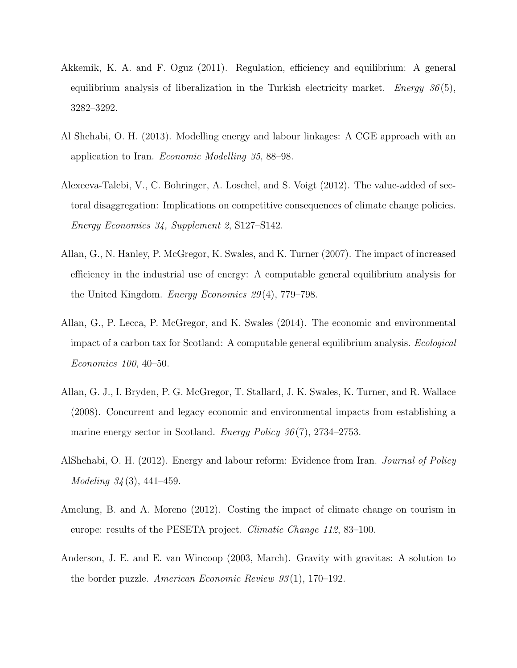- Akkemik, K. A. and F. Oguz (2011). Regulation, efficiency and equilibrium: A general equilibrium analysis of liberalization in the Turkish electricity market. Energy  $36(5)$ , 3282–3292.
- Al Shehabi, O. H. (2013). Modelling energy and labour linkages: A CGE approach with an application to Iran. Economic Modelling 35, 88–98.
- Alexeeva-Talebi, V., C. Bohringer, A. Loschel, and S. Voigt (2012). The value-added of sectoral disaggregation: Implications on competitive consequences of climate change policies. Energy Economics 34, Supplement 2, S127–S142.
- Allan, G., N. Hanley, P. McGregor, K. Swales, and K. Turner (2007). The impact of increased efficiency in the industrial use of energy: A computable general equilibrium analysis for the United Kingdom. Energy Economics 29 (4), 779–798.
- Allan, G., P. Lecca, P. McGregor, and K. Swales (2014). The economic and environmental impact of a carbon tax for Scotland: A computable general equilibrium analysis. Ecological Economics 100, 40–50.
- Allan, G. J., I. Bryden, P. G. McGregor, T. Stallard, J. K. Swales, K. Turner, and R. Wallace (2008). Concurrent and legacy economic and environmental impacts from establishing a marine energy sector in Scotland. *Energy Policy 36*(7), 2734–2753.
- AlShehabi, O. H. (2012). Energy and labour reform: Evidence from Iran. Journal of Policy Modeling 34 (3), 441–459.
- Amelung, B. and A. Moreno (2012). Costing the impact of climate change on tourism in europe: results of the PESETA project. *Climatic Change 112*, 83–100.
- Anderson, J. E. and E. van Wincoop (2003, March). Gravity with gravitas: A solution to the border puzzle. American Economic Review  $93(1)$ , 170–192.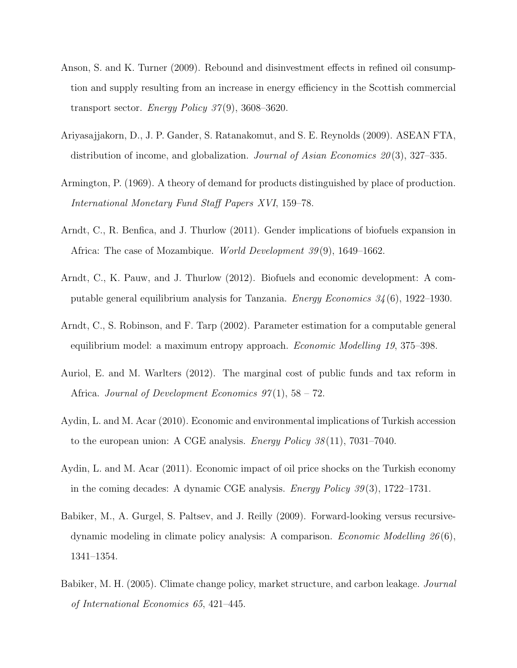- Anson, S. and K. Turner (2009). Rebound and disinvestment effects in refined oil consumption and supply resulting from an increase in energy efficiency in the Scottish commercial transport sector. Energy Policy  $37(9)$ ,  $3608-3620$ .
- Ariyasajjakorn, D., J. P. Gander, S. Ratanakomut, and S. E. Reynolds (2009). ASEAN FTA, distribution of income, and globalization. Journal of Asian Economics  $20(3)$ , 327–335.
- Armington, P. (1969). A theory of demand for products distinguished by place of production. International Monetary Fund Staff Papers XVI, 159–78.
- Arndt, C., R. Benfica, and J. Thurlow (2011). Gender implications of biofuels expansion in Africa: The case of Mozambique. *World Development 39*(9), 1649–1662.
- Arndt, C., K. Pauw, and J. Thurlow (2012). Biofuels and economic development: A computable general equilibrium analysis for Tanzania. *Energy Economics*  $34(6)$ , 1922–1930.
- Arndt, C., S. Robinson, and F. Tarp (2002). Parameter estimation for a computable general equilibrium model: a maximum entropy approach. Economic Modelling 19, 375–398.
- Auriol, E. and M. Warlters (2012). The marginal cost of public funds and tax reform in Africa. Journal of Development Economics  $97(1)$ ,  $58 - 72$ .
- Aydin, L. and M. Acar (2010). Economic and environmental implications of Turkish accession to the european union: A CGE analysis. Energy Policy 38 (11), 7031–7040.
- Aydin, L. and M. Acar (2011). Economic impact of oil price shocks on the Turkish economy in the coming decades: A dynamic CGE analysis. *Energy Policy 39*(3), 1722–1731.
- Babiker, M., A. Gurgel, S. Paltsev, and J. Reilly (2009). Forward-looking versus recursivedynamic modeling in climate policy analysis: A comparison. *Economic Modelling*  $26(6)$ , 1341–1354.
- Babiker, M. H. (2005). Climate change policy, market structure, and carbon leakage. Journal of International Economics 65, 421–445.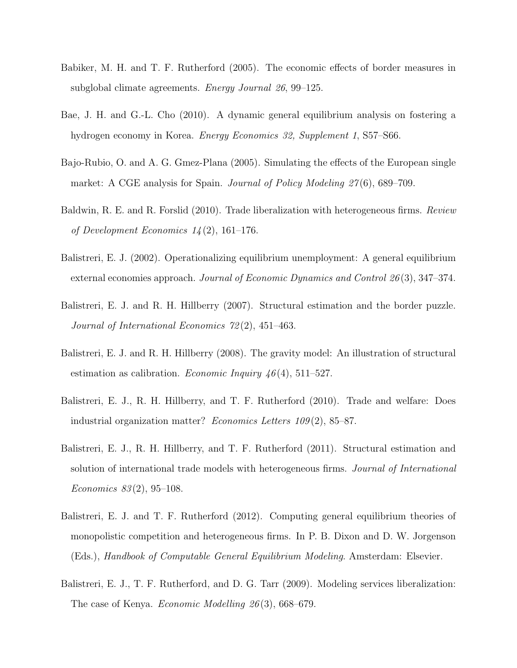- Babiker, M. H. and T. F. Rutherford (2005). The economic effects of border measures in subglobal climate agreements. Energy Journal 26, 99–125.
- Bae, J. H. and G.-L. Cho (2010). A dynamic general equilibrium analysis on fostering a hydrogen economy in Korea. Energy Economics 32, Supplement 1, S57–S66.
- Bajo-Rubio, O. and A. G. Gmez-Plana (2005). Simulating the effects of the European single market: A CGE analysis for Spain. *Journal of Policy Modeling 27*(6), 689–709.
- Baldwin, R. E. and R. Forslid (2010). Trade liberalization with heterogeneous firms. Review of Development Economics  $14(2)$ , 161–176.
- Balistreri, E. J. (2002). Operationalizing equilibrium unemployment: A general equilibrium external economies approach. Journal of Economic Dynamics and Control 26(3), 347–374.
- Balistreri, E. J. and R. H. Hillberry (2007). Structural estimation and the border puzzle. Journal of International Economics 72 (2), 451–463.
- Balistreri, E. J. and R. H. Hillberry (2008). The gravity model: An illustration of structural estimation as calibration. *Economic Inquiry 46*(4), 511–527.
- Balistreri, E. J., R. H. Hillberry, and T. F. Rutherford (2010). Trade and welfare: Does industrial organization matter? *Economics Letters*  $109(2)$ , 85–87.
- Balistreri, E. J., R. H. Hillberry, and T. F. Rutherford (2011). Structural estimation and solution of international trade models with heterogeneous firms. *Journal of International* Economics  $83(2)$ , 95–108.
- Balistreri, E. J. and T. F. Rutherford (2012). Computing general equilibrium theories of monopolistic competition and heterogeneous firms. In P. B. Dixon and D. W. Jorgenson (Eds.), Handbook of Computable General Equilibrium Modeling. Amsterdam: Elsevier.
- Balistreri, E. J., T. F. Rutherford, and D. G. Tarr (2009). Modeling services liberalization: The case of Kenya. Economic Modelling 26 (3), 668–679.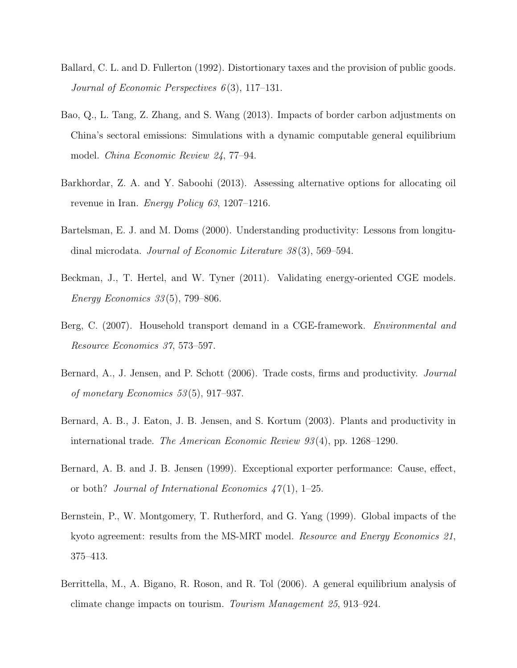- Ballard, C. L. and D. Fullerton (1992). Distortionary taxes and the provision of public goods. Journal of Economic Perspectives  $6(3)$ , 117-131.
- Bao, Q., L. Tang, Z. Zhang, and S. Wang (2013). Impacts of border carbon adjustments on China's sectoral emissions: Simulations with a dynamic computable general equilibrium model. China Economic Review 24, 77–94.
- Barkhordar, Z. A. and Y. Saboohi (2013). Assessing alternative options for allocating oil revenue in Iran. Energy Policy 63, 1207–1216.
- Bartelsman, E. J. and M. Doms (2000). Understanding productivity: Lessons from longitudinal microdata. Journal of Economic Literature 38 (3), 569–594.
- Beckman, J., T. Hertel, and W. Tyner (2011). Validating energy-oriented CGE models. Energy Economics 33 (5), 799–806.
- Berg, C. (2007). Household transport demand in a CGE-framework. Environmental and Resource Economics 37, 573–597.
- Bernard, A., J. Jensen, and P. Schott (2006). Trade costs, firms and productivity. Journal of monetary Economics 53 (5), 917–937.
- Bernard, A. B., J. Eaton, J. B. Jensen, and S. Kortum (2003). Plants and productivity in international trade. The American Economic Review 93 (4), pp. 1268–1290.
- Bernard, A. B. and J. B. Jensen (1999). Exceptional exporter performance: Cause, effect, or both? Journal of International Economics  $47(1)$ , 1–25.
- Bernstein, P., W. Montgomery, T. Rutherford, and G. Yang (1999). Global impacts of the kyoto agreement: results from the MS-MRT model. *Resource and Energy Economics 21*, 375–413.
- Berrittella, M., A. Bigano, R. Roson, and R. Tol (2006). A general equilibrium analysis of climate change impacts on tourism. Tourism Management 25, 913–924.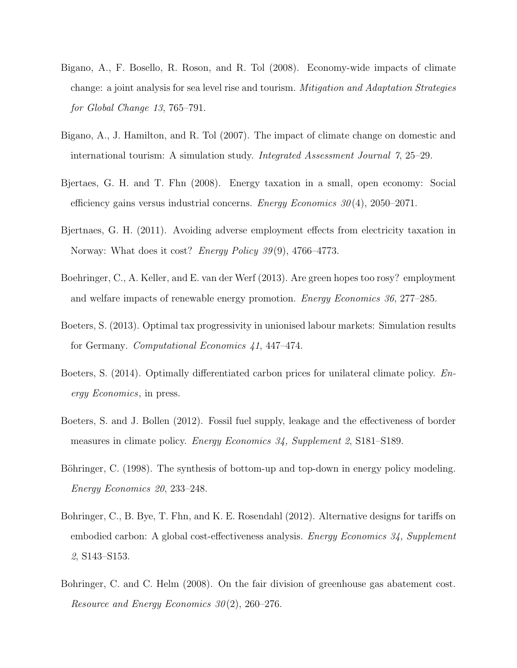- Bigano, A., F. Bosello, R. Roson, and R. Tol (2008). Economy-wide impacts of climate change: a joint analysis for sea level rise and tourism. Mitigation and Adaptation Strategies for Global Change 13, 765–791.
- Bigano, A., J. Hamilton, and R. Tol (2007). The impact of climate change on domestic and international tourism: A simulation study. Integrated Assessment Journal 7, 25–29.
- Bjertaes, G. H. and T. Fhn (2008). Energy taxation in a small, open economy: Social efficiency gains versus industrial concerns. *Energy Economics*  $30(4)$ ,  $2050-2071$ .
- Bjertnaes, G. H. (2011). Avoiding adverse employment effects from electricity taxation in Norway: What does it cost? *Energy Policy 39*(9), 4766–4773.
- Boehringer, C., A. Keller, and E. van der Werf (2013). Are green hopes too rosy? employment and welfare impacts of renewable energy promotion. Energy Economics 36, 277–285.
- Boeters, S. (2013). Optimal tax progressivity in unionised labour markets: Simulation results for Germany. Computational Economics 41, 447–474.
- Boeters, S. (2014). Optimally differentiated carbon prices for unilateral climate policy. Energy Economics, in press.
- Boeters, S. and J. Bollen (2012). Fossil fuel supply, leakage and the effectiveness of border measures in climate policy. *Energy Economics 34, Supplement 2, S181–S189*.
- Böhringer, C. (1998). The synthesis of bottom-up and top-down in energy policy modeling. Energy Economics 20, 233–248.
- Bohringer, C., B. Bye, T. Fhn, and K. E. Rosendahl (2012). Alternative designs for tariffs on embodied carbon: A global cost-effectiveness analysis. Energy Economics 34, Supplement 2, S143–S153.
- Bohringer, C. and C. Helm (2008). On the fair division of greenhouse gas abatement cost. Resource and Energy Economics  $30(2)$ , 260–276.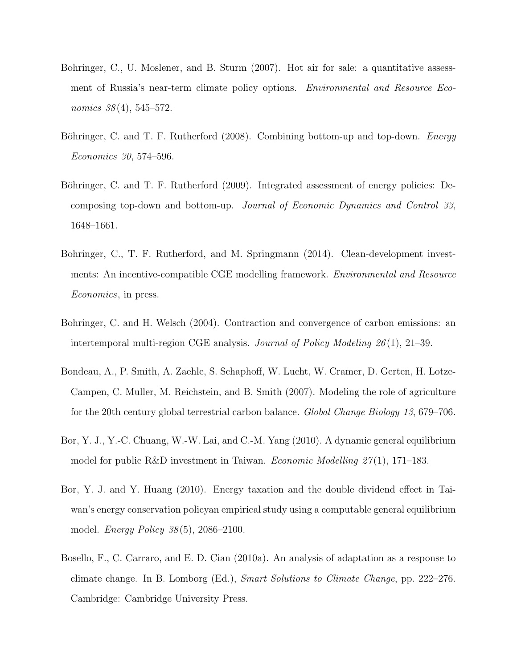- Bohringer, C., U. Moslener, and B. Sturm (2007). Hot air for sale: a quantitative assessment of Russia's near-term climate policy options. Environmental and Resource Economics  $38(4)$ , 545–572.
- Böhringer, C. and T. F. Rutherford (2008). Combining bottom-up and top-down. Energy Economics 30, 574–596.
- Böhringer, C. and T. F. Rutherford (2009). Integrated assessment of energy policies: Decomposing top-down and bottom-up. Journal of Economic Dynamics and Control 33, 1648–1661.
- Bohringer, C., T. F. Rutherford, and M. Springmann (2014). Clean-development investments: An incentive-compatible CGE modelling framework. Environmental and Resource Economics, in press.
- Bohringer, C. and H. Welsch (2004). Contraction and convergence of carbon emissions: an intertemporal multi-region CGE analysis. Journal of Policy Modeling 26 (1), 21–39.
- Bondeau, A., P. Smith, A. Zaehle, S. Schaphoff, W. Lucht, W. Cramer, D. Gerten, H. Lotze-Campen, C. Muller, M. Reichstein, and B. Smith (2007). Modeling the role of agriculture for the 20th century global terrestrial carbon balance. Global Change Biology 13, 679–706.
- Bor, Y. J., Y.-C. Chuang, W.-W. Lai, and C.-M. Yang (2010). A dynamic general equilibrium model for public R&D investment in Taiwan. *Economic Modelling*  $27(1)$ , 171–183.
- Bor, Y. J. and Y. Huang (2010). Energy taxation and the double dividend effect in Taiwan's energy conservation policyan empirical study using a computable general equilibrium model. Energy Policy 38 (5), 2086–2100.
- Bosello, F., C. Carraro, and E. D. Cian (2010a). An analysis of adaptation as a response to climate change. In B. Lomborg (Ed.), Smart Solutions to Climate Change, pp. 222–276. Cambridge: Cambridge University Press.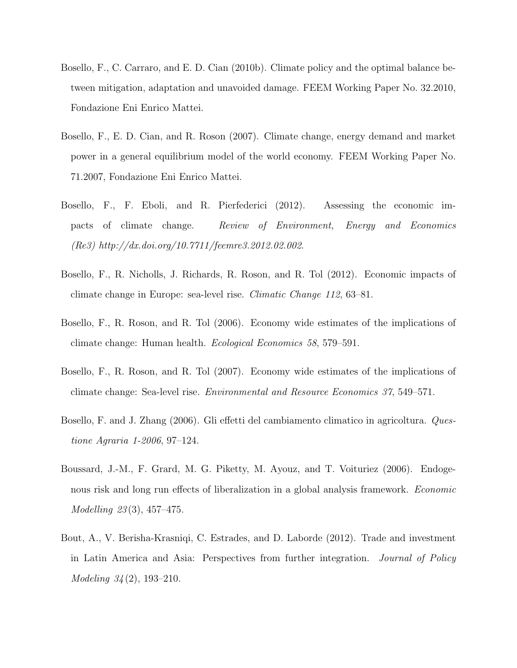- Bosello, F., C. Carraro, and E. D. Cian (2010b). Climate policy and the optimal balance between mitigation, adaptation and unavoided damage. FEEM Working Paper No. 32.2010, Fondazione Eni Enrico Mattei.
- Bosello, F., E. D. Cian, and R. Roson (2007). Climate change, energy demand and market power in a general equilibrium model of the world economy. FEEM Working Paper No. 71.2007, Fondazione Eni Enrico Mattei.
- Bosello, F., F. Eboli, and R. Pierfederici (2012). Assessing the economic impacts of climate change. Review of Environment, Energy and Economics (Re3) http://dx.doi.org/10.7711/feemre3.2012.02.002.
- Bosello, F., R. Nicholls, J. Richards, R. Roson, and R. Tol (2012). Economic impacts of climate change in Europe: sea-level rise. Climatic Change 112, 63–81.
- Bosello, F., R. Roson, and R. Tol (2006). Economy wide estimates of the implications of climate change: Human health. Ecological Economics 58, 579–591.
- Bosello, F., R. Roson, and R. Tol (2007). Economy wide estimates of the implications of climate change: Sea-level rise. Environmental and Resource Economics 37, 549–571.
- Bosello, F. and J. Zhang (2006). Gli effetti del cambiamento climatico in agricoltura. Questione Agraria 1-2006, 97–124.
- Boussard, J.-M., F. Grard, M. G. Piketty, M. Ayouz, and T. Voituriez (2006). Endogenous risk and long run effects of liberalization in a global analysis framework. *Economic* Modelling 23 (3), 457–475.
- Bout, A., V. Berisha-Krasniqi, C. Estrades, and D. Laborde (2012). Trade and investment in Latin America and Asia: Perspectives from further integration. Journal of Policy Modeling 34 (2), 193–210.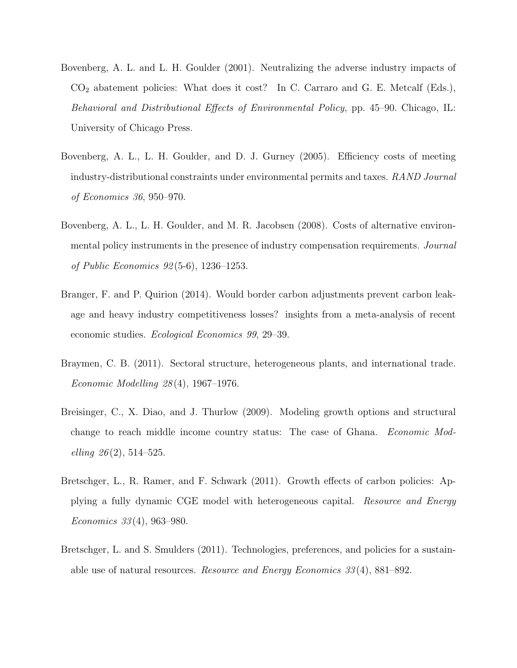- Bovenberg, A. L. and L. H. Goulder (2001). Neutralizing the adverse industry impacts of  $CO<sub>2</sub>$  abatement policies: What does it cost? In C. Carraro and G. E. Metcalf (Eds.), Behavioral and Distributional Effects of Environmental Policy, pp. 45–90. Chicago, IL: University of Chicago Press.
- Bovenberg, A. L., L. H. Goulder, and D. J. Gurney (2005). Efficiency costs of meeting industry-distributional constraints under environmental permits and taxes. RAND Journal of Economics 36, 950–970.
- Bovenberg, A. L., L. H. Goulder, and M. R. Jacobsen (2008). Costs of alternative environmental policy instruments in the presence of industry compensation requirements. *Journal* of Public Economics 92 (5-6), 1236–1253.
- Branger, F. and P. Quirion (2014). Would border carbon adjustments prevent carbon leakage and heavy industry competitiveness losses? insights from a meta-analysis of recent economic studies. Ecological Economics 99, 29–39.
- Braymen, C. B. (2011). Sectoral structure, heterogeneous plants, and international trade. Economic Modelling 28 (4), 1967–1976.
- Breisinger, C., X. Diao, and J. Thurlow (2009). Modeling growth options and structural change to reach middle income country status: The case of Ghana. Economic Modelling  $26(2)$ , 514–525.
- Bretschger, L., R. Ramer, and F. Schwark (2011). Growth effects of carbon policies: Applying a fully dynamic CGE model with heterogeneous capital. Resource and Energy Economics 33 (4), 963–980.
- Bretschger, L. and S. Smulders (2011). Technologies, preferences, and policies for a sustainable use of natural resources. Resource and Energy Economics 33 (4), 881–892.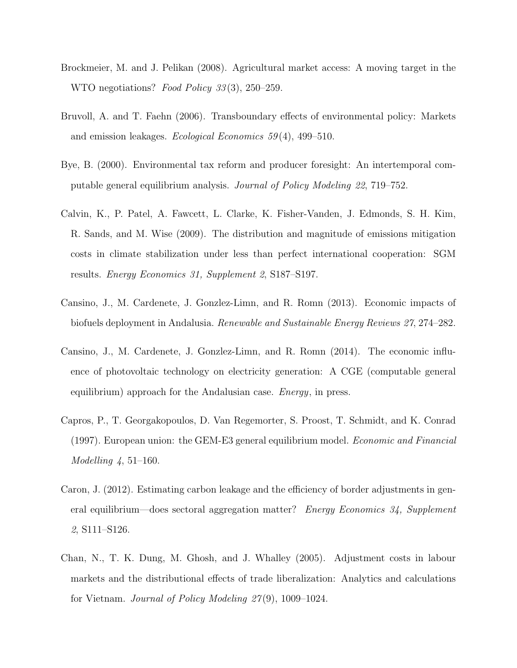- Brockmeier, M. and J. Pelikan (2008). Agricultural market access: A moving target in the WTO negotiations? Food Policy 33(3), 250–259.
- Bruvoll, A. and T. Faehn (2006). Transboundary effects of environmental policy: Markets and emission leakages. Ecological Economics 59 (4), 499–510.
- Bye, B. (2000). Environmental tax reform and producer foresight: An intertemporal computable general equilibrium analysis. Journal of Policy Modeling 22, 719–752.
- Calvin, K., P. Patel, A. Fawcett, L. Clarke, K. Fisher-Vanden, J. Edmonds, S. H. Kim, R. Sands, and M. Wise (2009). The distribution and magnitude of emissions mitigation costs in climate stabilization under less than perfect international cooperation: SGM results. Energy Economics 31, Supplement 2, S187–S197.
- Cansino, J., M. Cardenete, J. Gonzlez-Limn, and R. Romn (2013). Economic impacts of biofuels deployment in Andalusia. Renewable and Sustainable Energy Reviews 27, 274–282.
- Cansino, J., M. Cardenete, J. Gonzlez-Limn, and R. Romn (2014). The economic influence of photovoltaic technology on electricity generation: A CGE (computable general equilibrium) approach for the Andalusian case. *Energy*, in press.
- Capros, P., T. Georgakopoulos, D. Van Regemorter, S. Proost, T. Schmidt, and K. Conrad (1997). European union: the GEM-E3 general equilibrium model. Economic and Financial  $Modelling \, 4, 51–160.$
- Caron, J. (2012). Estimating carbon leakage and the efficiency of border adjustments in general equilibrium—does sectoral aggregation matter? Energy Economics 34, Supplement 2, S111–S126.
- Chan, N., T. K. Dung, M. Ghosh, and J. Whalley (2005). Adjustment costs in labour markets and the distributional effects of trade liberalization: Analytics and calculations for Vietnam. Journal of Policy Modeling 27 (9), 1009–1024.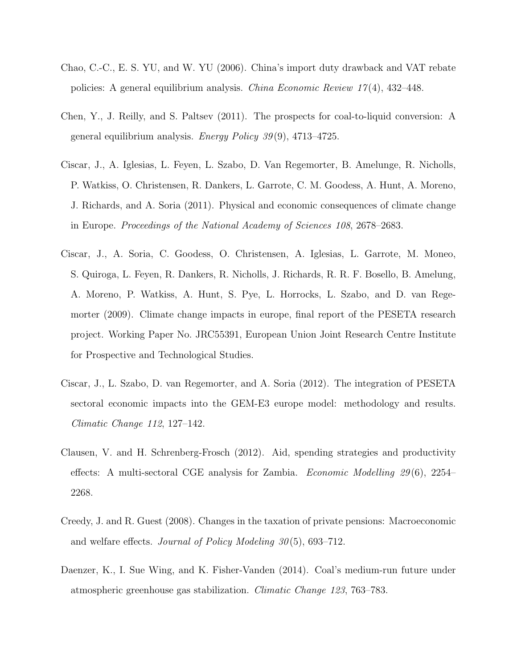- Chao, C.-C., E. S. YU, and W. YU (2006). China's import duty drawback and VAT rebate policies: A general equilibrium analysis. *China Economic Review 17*(4), 432–448.
- Chen, Y., J. Reilly, and S. Paltsev (2011). The prospects for coal-to-liquid conversion: A general equilibrium analysis. Energy Policy  $39(9)$ , 4713–4725.
- Ciscar, J., A. Iglesias, L. Feyen, L. Szabo, D. Van Regemorter, B. Amelunge, R. Nicholls, P. Watkiss, O. Christensen, R. Dankers, L. Garrote, C. M. Goodess, A. Hunt, A. Moreno, J. Richards, and A. Soria (2011). Physical and economic consequences of climate change in Europe. Proceedings of the National Academy of Sciences 108, 2678–2683.
- Ciscar, J., A. Soria, C. Goodess, O. Christensen, A. Iglesias, L. Garrote, M. Moneo, S. Quiroga, L. Feyen, R. Dankers, R. Nicholls, J. Richards, R. R. F. Bosello, B. Amelung, A. Moreno, P. Watkiss, A. Hunt, S. Pye, L. Horrocks, L. Szabo, and D. van Regemorter (2009). Climate change impacts in europe, final report of the PESETA research project. Working Paper No. JRC55391, European Union Joint Research Centre Institute for Prospective and Technological Studies.
- Ciscar, J., L. Szabo, D. van Regemorter, and A. Soria (2012). The integration of PESETA sectoral economic impacts into the GEM-E3 europe model: methodology and results. Climatic Change 112, 127–142.
- Clausen, V. and H. Schrenberg-Frosch (2012). Aid, spending strategies and productivity effects: A multi-sectoral CGE analysis for Zambia. Economic Modelling 29 (6), 2254– 2268.
- Creedy, J. and R. Guest (2008). Changes in the taxation of private pensions: Macroeconomic and welfare effects. Journal of Policy Modeling  $30(5)$ , 693–712.
- Daenzer, K., I. Sue Wing, and K. Fisher-Vanden (2014). Coal's medium-run future under atmospheric greenhouse gas stabilization. Climatic Change 123, 763–783.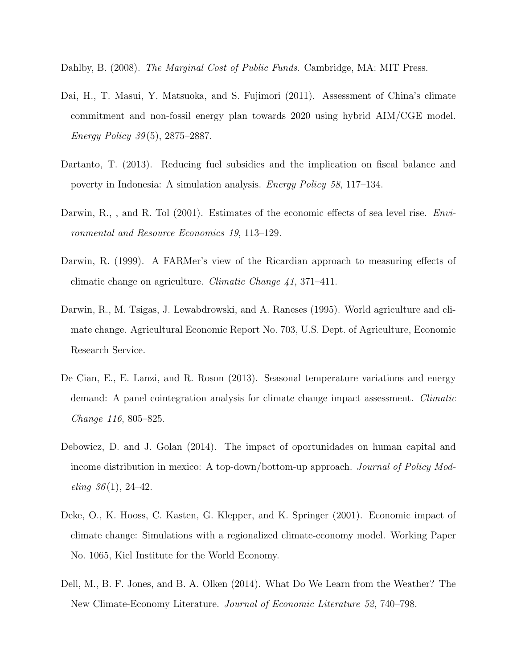Dahlby, B. (2008). The Marginal Cost of Public Funds. Cambridge, MA: MIT Press.

- Dai, H., T. Masui, Y. Matsuoka, and S. Fujimori (2011). Assessment of China's climate commitment and non-fossil energy plan towards 2020 using hybrid AIM/CGE model. Energy Policy 39 (5), 2875–2887.
- Dartanto, T. (2013). Reducing fuel subsidies and the implication on fiscal balance and poverty in Indonesia: A simulation analysis. Energy Policy 58, 117–134.
- Darwin, R., , and R. Tol (2001). Estimates of the economic effects of sea level rise. Environmental and Resource Economics 19, 113–129.
- Darwin, R. (1999). A FARMer's view of the Ricardian approach to measuring effects of climatic change on agriculture. Climatic Change 41, 371–411.
- Darwin, R., M. Tsigas, J. Lewabdrowski, and A. Raneses (1995). World agriculture and climate change. Agricultural Economic Report No. 703, U.S. Dept. of Agriculture, Economic Research Service.
- De Cian, E., E. Lanzi, and R. Roson (2013). Seasonal temperature variations and energy demand: A panel cointegration analysis for climate change impact assessment. Climatic Change 116, 805–825.
- Debowicz, D. and J. Golan (2014). The impact of oportunidades on human capital and income distribution in mexico: A top-down/bottom-up approach. Journal of Policy Mod $eling 36(1), 24-42.$
- Deke, O., K. Hooss, C. Kasten, G. Klepper, and K. Springer (2001). Economic impact of climate change: Simulations with a regionalized climate-economy model. Working Paper No. 1065, Kiel Institute for the World Economy.
- Dell, M., B. F. Jones, and B. A. Olken (2014). What Do We Learn from the Weather? The New Climate-Economy Literature. Journal of Economic Literature 52, 740–798.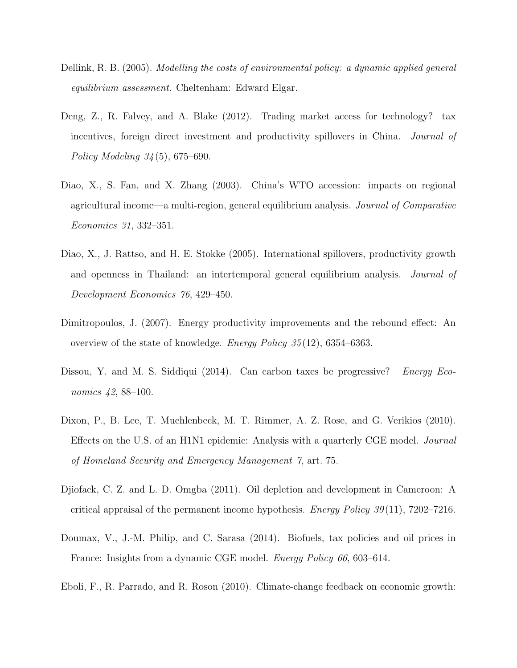- Dellink, R. B. (2005). Modelling the costs of environmental policy: a dynamic applied general equilibrium assessment. Cheltenham: Edward Elgar.
- Deng, Z., R. Falvey, and A. Blake (2012). Trading market access for technology? tax incentives, foreign direct investment and productivity spillovers in China. Journal of Policy Modeling 34 (5), 675–690.
- Diao, X., S. Fan, and X. Zhang (2003). China's WTO accession: impacts on regional agricultural income—a multi-region, general equilibrium analysis. Journal of Comparative Economics 31, 332–351.
- Diao, X., J. Rattso, and H. E. Stokke (2005). International spillovers, productivity growth and openness in Thailand: an intertemporal general equilibrium analysis. Journal of Development Economics 76, 429–450.
- Dimitropoulos, J. (2007). Energy productivity improvements and the rebound effect: An overview of the state of knowledge. Energy Policy 35 (12), 6354–6363.
- Dissou, Y. and M. S. Siddiqui (2014). Can carbon taxes be progressive? *Energy Eco*nomics 42, 88–100.
- Dixon, P., B. Lee, T. Muehlenbeck, M. T. Rimmer, A. Z. Rose, and G. Verikios (2010). Effects on the U.S. of an H1N1 epidemic: Analysis with a quarterly CGE model. Journal of Homeland Security and Emergency Management 7, art. 75.
- Djiofack, C. Z. and L. D. Omgba (2011). Oil depletion and development in Cameroon: A critical appraisal of the permanent income hypothesis. *Energy Policy 39*(11), 7202–7216.
- Doumax, V., J.-M. Philip, and C. Sarasa (2014). Biofuels, tax policies and oil prices in France: Insights from a dynamic CGE model. *Energy Policy 66*, 603–614.
- Eboli, F., R. Parrado, and R. Roson (2010). Climate-change feedback on economic growth: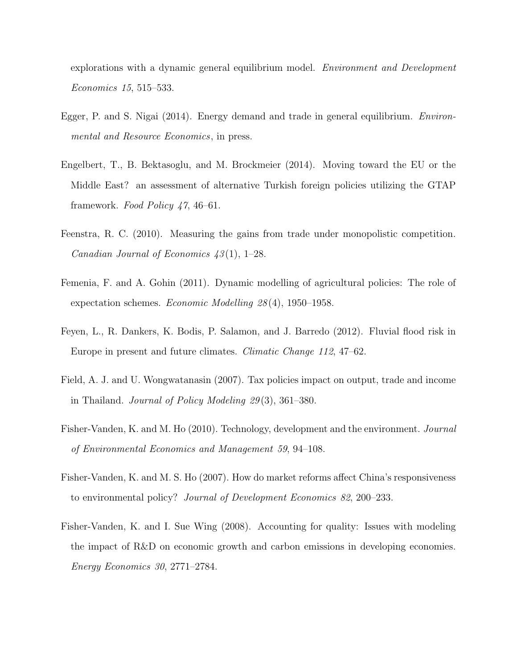explorations with a dynamic general equilibrium model. Environment and Development Economics 15, 515–533.

- Egger, P. and S. Nigai (2014). Energy demand and trade in general equilibrium. Environmental and Resource Economics, in press.
- Engelbert, T., B. Bektasoglu, and M. Brockmeier (2014). Moving toward the EU or the Middle East? an assessment of alternative Turkish foreign policies utilizing the GTAP framework. Food Policy 47, 46–61.
- Feenstra, R. C. (2010). Measuring the gains from trade under monopolistic competition. Canadian Journal of Economics  $43(1)$ , 1–28.
- Femenia, F. and A. Gohin (2011). Dynamic modelling of agricultural policies: The role of expectation schemes. Economic Modelling 28 (4), 1950–1958.
- Feyen, L., R. Dankers, K. Bodis, P. Salamon, and J. Barredo (2012). Fluvial flood risk in Europe in present and future climates. *Climatic Change 112*, 47–62.
- Field, A. J. and U. Wongwatanasin (2007). Tax policies impact on output, trade and income in Thailand. Journal of Policy Modeling 29 (3), 361–380.
- Fisher-Vanden, K. and M. Ho (2010). Technology, development and the environment. Journal of Environmental Economics and Management 59, 94–108.
- Fisher-Vanden, K. and M. S. Ho (2007). How do market reforms affect China's responsiveness to environmental policy? Journal of Development Economics 82, 200–233.
- Fisher-Vanden, K. and I. Sue Wing (2008). Accounting for quality: Issues with modeling the impact of R&D on economic growth and carbon emissions in developing economies. Energy Economics 30, 2771–2784.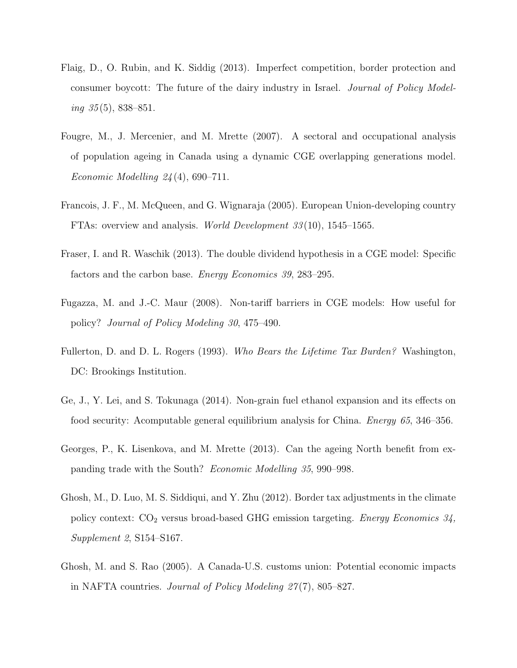- Flaig, D., O. Rubin, and K. Siddig (2013). Imperfect competition, border protection and consumer boycott: The future of the dairy industry in Israel. Journal of Policy Model $ing \, 35(5),\, 838\text{--}851.$
- Fougre, M., J. Mercenier, and M. Mrette (2007). A sectoral and occupational analysis of population ageing in Canada using a dynamic CGE overlapping generations model. *Economic Modelling 24* (4), 690–711.
- Francois, J. F., M. McQueen, and G. Wignaraja (2005). European Union-developing country FTAs: overview and analysis. World Development 33 (10), 1545–1565.
- Fraser, I. and R. Waschik (2013). The double dividend hypothesis in a CGE model: Specific factors and the carbon base. Energy Economics 39, 283–295.
- Fugazza, M. and J.-C. Maur (2008). Non-tariff barriers in CGE models: How useful for policy? Journal of Policy Modeling 30, 475–490.
- Fullerton, D. and D. L. Rogers (1993). Who Bears the Lifetime Tax Burden? Washington, DC: Brookings Institution.
- Ge, J., Y. Lei, and S. Tokunaga (2014). Non-grain fuel ethanol expansion and its effects on food security: Acomputable general equilibrium analysis for China. Energy 65, 346–356.
- Georges, P., K. Lisenkova, and M. Mrette (2013). Can the ageing North benefit from expanding trade with the South? Economic Modelling 35, 990–998.
- Ghosh, M., D. Luo, M. S. Siddiqui, and Y. Zhu (2012). Border tax adjustments in the climate policy context:  $CO<sub>2</sub>$  versus broad-based GHG emission targeting. *Energy Economics* 34, Supplement 2, S154–S167.
- Ghosh, M. and S. Rao (2005). A Canada-U.S. customs union: Potential economic impacts in NAFTA countries. *Journal of Policy Modeling 27(7)*, 805–827.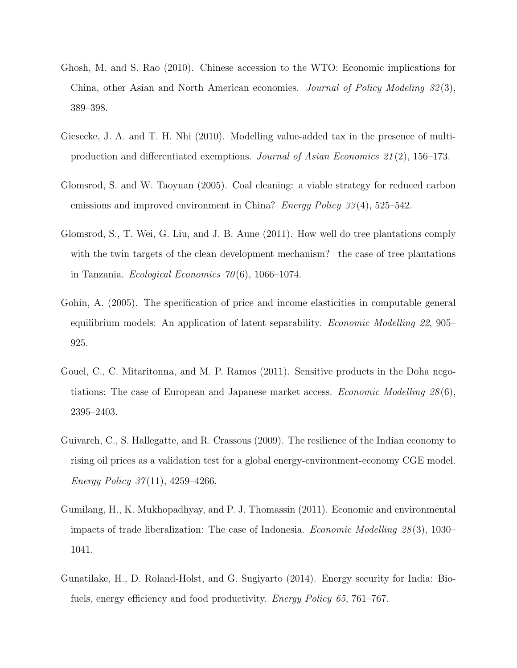- Ghosh, M. and S. Rao (2010). Chinese accession to the WTO: Economic implications for China, other Asian and North American economies. Journal of Policy Modeling 32 (3), 389–398.
- Giesecke, J. A. and T. H. Nhi (2010). Modelling value-added tax in the presence of multiproduction and differentiated exemptions. Journal of Asian Economics 21 (2), 156–173.
- Glomsrod, S. and W. Taoyuan (2005). Coal cleaning: a viable strategy for reduced carbon emissions and improved environment in China? *Energy Policy*  $33(4)$ , 525–542.
- Glomsrod, S., T. Wei, G. Liu, and J. B. Aune (2011). How well do tree plantations comply with the twin targets of the clean development mechanism? the case of tree plantations in Tanzania. Ecological Economics  $70(6)$ , 1066–1074.
- Gohin, A. (2005). The specification of price and income elasticities in computable general equilibrium models: An application of latent separability. Economic Modelling 22, 905– 925.
- Gouel, C., C. Mitaritonna, and M. P. Ramos (2011). Sensitive products in the Doha negotiations: The case of European and Japanese market access. *Economic Modelling*  $28(6)$ , 2395–2403.
- Guivarch, C., S. Hallegatte, and R. Crassous (2009). The resilience of the Indian economy to rising oil prices as a validation test for a global energy-environment-economy CGE model. Energy Policy  $37(11)$ ,  $4259-4266$ .
- Gumilang, H., K. Mukhopadhyay, and P. J. Thomassin (2011). Economic and environmental impacts of trade liberalization: The case of Indonesia. Economic Modelling 28 (3), 1030– 1041.
- Gunatilake, H., D. Roland-Holst, and G. Sugiyarto (2014). Energy security for India: Biofuels, energy efficiency and food productivity. *Energy Policy 65*, 761–767.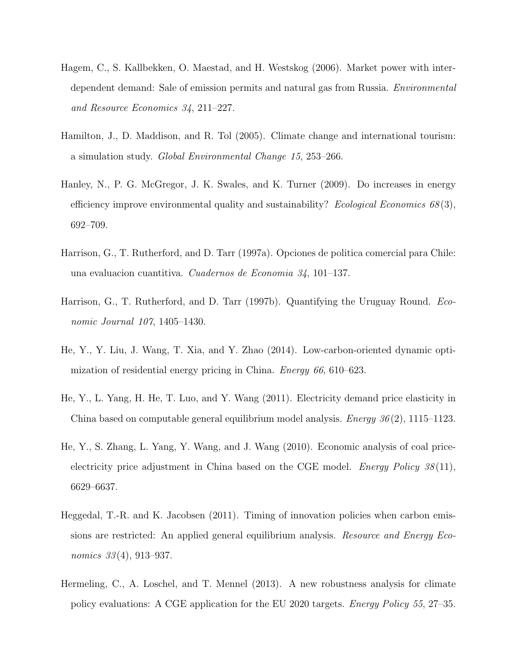- Hagem, C., S. Kallbekken, O. Maestad, and H. Westskog (2006). Market power with interdependent demand: Sale of emission permits and natural gas from Russia. Environmental and Resource Economics 34, 211–227.
- Hamilton, J., D. Maddison, and R. Tol (2005). Climate change and international tourism: a simulation study. Global Environmental Change 15, 253–266.
- Hanley, N., P. G. McGregor, J. K. Swales, and K. Turner (2009). Do increases in energy efficiency improve environmental quality and sustainability? Ecological Economics  $68(3)$ , 692–709.
- Harrison, G., T. Rutherford, and D. Tarr (1997a). Opciones de politica comercial para Chile: una evaluacion cuantitiva. Cuadernos de Economia 34, 101–137.
- Harrison, G., T. Rutherford, and D. Tarr (1997b). Quantifying the Uruguay Round. Economic Journal 107, 1405–1430.
- He, Y., Y. Liu, J. Wang, T. Xia, and Y. Zhao (2014). Low-carbon-oriented dynamic optimization of residential energy pricing in China. *Energy 66*, 610–623.
- He, Y., L. Yang, H. He, T. Luo, and Y. Wang (2011). Electricity demand price elasticity in China based on computable general equilibrium model analysis. *Energy*  $36(2)$ , 1115–1123.
- He, Y., S. Zhang, L. Yang, Y. Wang, and J. Wang (2010). Economic analysis of coal priceelectricity price adjustment in China based on the CGE model. *Energy Policy*  $38(11)$ , 6629–6637.
- Heggedal, T.-R. and K. Jacobsen (2011). Timing of innovation policies when carbon emissions are restricted: An applied general equilibrium analysis. *Resource and Energy Eco*nomics 33(4), 913–937.
- Hermeling, C., A. Loschel, and T. Mennel (2013). A new robustness analysis for climate policy evaluations: A CGE application for the EU 2020 targets. Energy Policy 55, 27–35.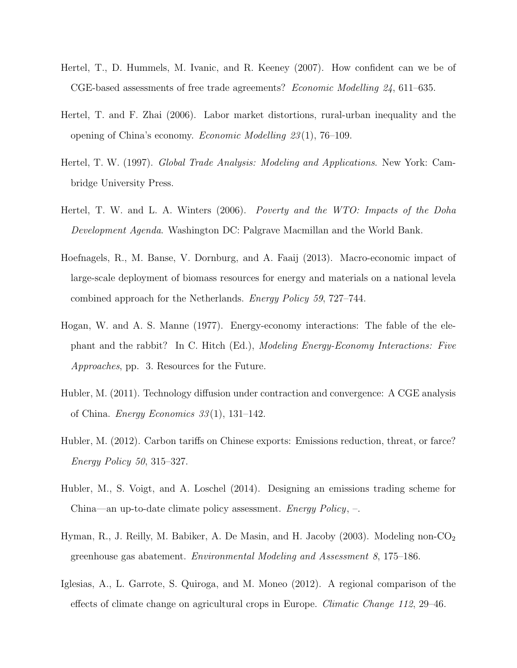- Hertel, T., D. Hummels, M. Ivanic, and R. Keeney (2007). How confident can we be of CGE-based assessments of free trade agreements? Economic Modelling 24, 611–635.
- Hertel, T. and F. Zhai (2006). Labor market distortions, rural-urban inequality and the opening of China's economy. Economic Modelling 23 (1), 76–109.
- Hertel, T. W. (1997). Global Trade Analysis: Modeling and Applications. New York: Cambridge University Press.
- Hertel, T. W. and L. A. Winters (2006). Poverty and the WTO: Impacts of the Doha Development Agenda. Washington DC: Palgrave Macmillan and the World Bank.
- Hoefnagels, R., M. Banse, V. Dornburg, and A. Faaij (2013). Macro-economic impact of large-scale deployment of biomass resources for energy and materials on a national levela combined approach for the Netherlands. Energy Policy 59, 727–744.
- Hogan, W. and A. S. Manne (1977). Energy-economy interactions: The fable of the elephant and the rabbit? In C. Hitch (Ed.), Modeling Energy-Economy Interactions: Five Approaches, pp. 3. Resources for the Future.
- Hubler, M. (2011). Technology diffusion under contraction and convergence: A CGE analysis of China. *Energy Economics*  $33(1)$ , 131–142.
- Hubler, M. (2012). Carbon tariffs on Chinese exports: Emissions reduction, threat, or farce? Energy Policy 50, 315–327.
- Hubler, M., S. Voigt, and A. Loschel (2014). Designing an emissions trading scheme for China—an up-to-date climate policy assessment. Energy Policy, –.
- Hyman, R., J. Reilly, M. Babiker, A. De Masin, and H. Jacoby (2003). Modeling non- $\text{CO}_2$ greenhouse gas abatement. Environmental Modeling and Assessment 8, 175–186.
- Iglesias, A., L. Garrote, S. Quiroga, and M. Moneo (2012). A regional comparison of the effects of climate change on agricultural crops in Europe. Climatic Change 112, 29–46.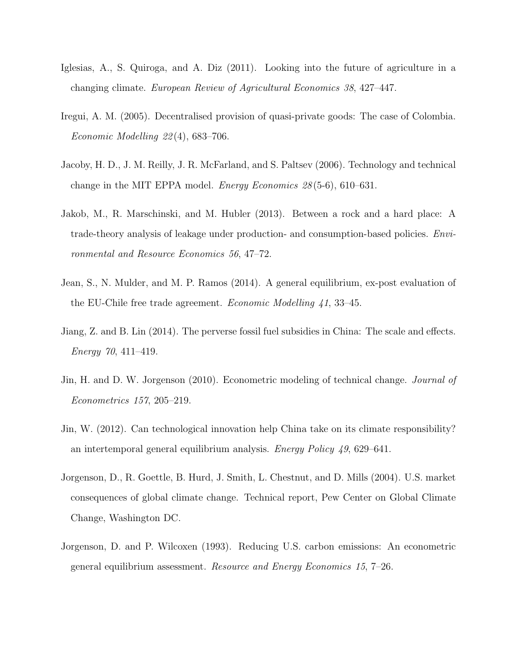- Iglesias, A., S. Quiroga, and A. Diz (2011). Looking into the future of agriculture in a changing climate. European Review of Agricultural Economics 38, 427–447.
- Iregui, A. M. (2005). Decentralised provision of quasi-private goods: The case of Colombia. Economic Modelling  $22(4)$ , 683–706.
- Jacoby, H. D., J. M. Reilly, J. R. McFarland, and S. Paltsev (2006). Technology and technical change in the MIT EPPA model. Energy Economics 28 (5-6), 610–631.
- Jakob, M., R. Marschinski, and M. Hubler (2013). Between a rock and a hard place: A trade-theory analysis of leakage under production- and consumption-based policies. Environmental and Resource Economics 56, 47–72.
- Jean, S., N. Mulder, and M. P. Ramos (2014). A general equilibrium, ex-post evaluation of the EU-Chile free trade agreement. Economic Modelling 41, 33–45.
- Jiang, Z. and B. Lin (2014). The perverse fossil fuel subsidies in China: The scale and effects. Energy 70, 411–419.
- Jin, H. and D. W. Jorgenson (2010). Econometric modeling of technical change. *Journal of* Econometrics 157, 205–219.
- Jin, W. (2012). Can technological innovation help China take on its climate responsibility? an intertemporal general equilibrium analysis. Energy Policy 49, 629–641.
- Jorgenson, D., R. Goettle, B. Hurd, J. Smith, L. Chestnut, and D. Mills (2004). U.S. market consequences of global climate change. Technical report, Pew Center on Global Climate Change, Washington DC.
- Jorgenson, D. and P. Wilcoxen (1993). Reducing U.S. carbon emissions: An econometric general equilibrium assessment. Resource and Energy Economics 15, 7–26.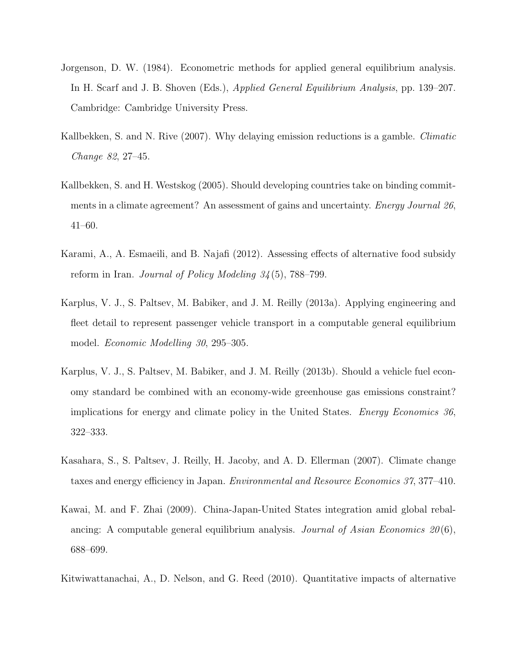- Jorgenson, D. W. (1984). Econometric methods for applied general equilibrium analysis. In H. Scarf and J. B. Shoven (Eds.), Applied General Equilibrium Analysis, pp. 139–207. Cambridge: Cambridge University Press.
- Kallbekken, S. and N. Rive (2007). Why delaying emission reductions is a gamble. *Climatic* Change 82, 27–45.
- Kallbekken, S. and H. Westskog (2005). Should developing countries take on binding commitments in a climate agreement? An assessment of gains and uncertainty. *Energy Journal 26*, 41–60.
- Karami, A., A. Esmaeili, and B. Najafi (2012). Assessing effects of alternative food subsidy reform in Iran. Journal of Policy Modeling 34 (5), 788–799.
- Karplus, V. J., S. Paltsev, M. Babiker, and J. M. Reilly (2013a). Applying engineering and fleet detail to represent passenger vehicle transport in a computable general equilibrium model. Economic Modelling 30, 295–305.
- Karplus, V. J., S. Paltsev, M. Babiker, and J. M. Reilly (2013b). Should a vehicle fuel economy standard be combined with an economy-wide greenhouse gas emissions constraint? implications for energy and climate policy in the United States. Energy Economics 36, 322–333.
- Kasahara, S., S. Paltsev, J. Reilly, H. Jacoby, and A. D. Ellerman (2007). Climate change taxes and energy efficiency in Japan. Environmental and Resource Economics 37, 377–410.
- Kawai, M. and F. Zhai (2009). China-Japan-United States integration amid global rebalancing: A computable general equilibrium analysis. Journal of Asian Economics  $20(6)$ , 688–699.
- Kitwiwattanachai, A., D. Nelson, and G. Reed (2010). Quantitative impacts of alternative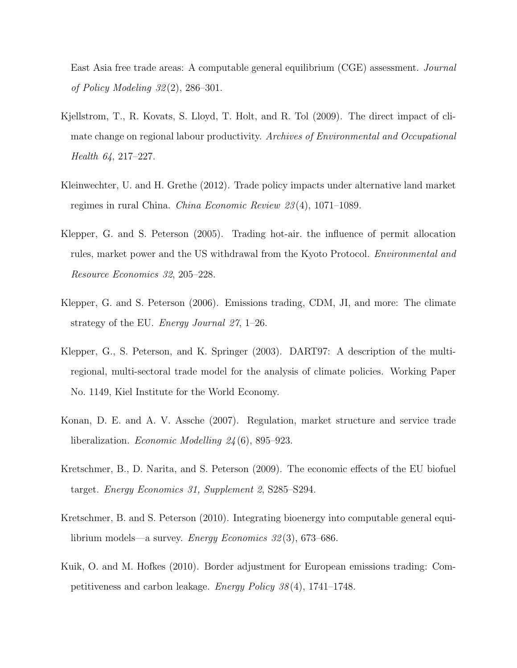East Asia free trade areas: A computable general equilibrium (CGE) assessment. Journal of Policy Modeling 32 (2), 286–301.

- Kjellstrom, T., R. Kovats, S. Lloyd, T. Holt, and R. Tol (2009). The direct impact of climate change on regional labour productivity. Archives of Environmental and Occupational Health 64, 217–227.
- Kleinwechter, U. and H. Grethe (2012). Trade policy impacts under alternative land market regimes in rural China. China Economic Review 23 (4), 1071–1089.
- Klepper, G. and S. Peterson (2005). Trading hot-air. the influence of permit allocation rules, market power and the US withdrawal from the Kyoto Protocol. Environmental and Resource Economics 32, 205–228.
- Klepper, G. and S. Peterson (2006). Emissions trading, CDM, JI, and more: The climate strategy of the EU. Energy Journal 27, 1–26.
- Klepper, G., S. Peterson, and K. Springer (2003). DART97: A description of the multiregional, multi-sectoral trade model for the analysis of climate policies. Working Paper No. 1149, Kiel Institute for the World Economy.
- Konan, D. E. and A. V. Assche (2007). Regulation, market structure and service trade liberalization. *Economic Modelling 24*(6), 895–923.
- Kretschmer, B., D. Narita, and S. Peterson (2009). The economic effects of the EU biofuel target. Energy Economics 31, Supplement 2, S285–S294.
- Kretschmer, B. and S. Peterson (2010). Integrating bioenergy into computable general equilibrium models—a survey. Energy Economics 32 (3), 673–686.
- Kuik, O. and M. Hofkes (2010). Border adjustment for European emissions trading: Competitiveness and carbon leakage. Energy Policy 38 (4), 1741–1748.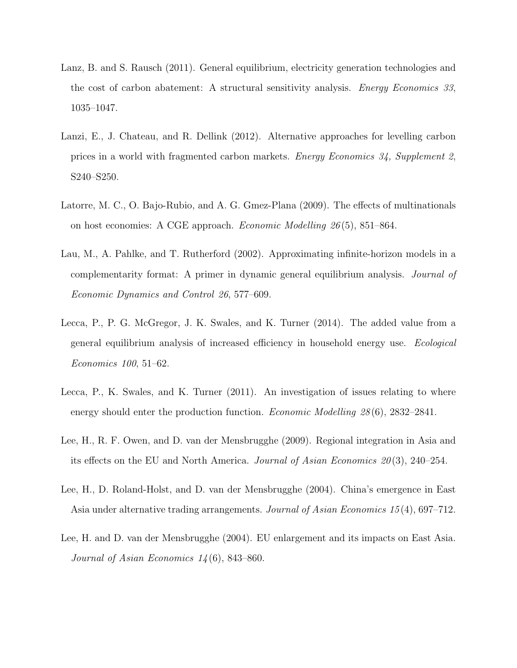- Lanz, B. and S. Rausch (2011). General equilibrium, electricity generation technologies and the cost of carbon abatement: A structural sensitivity analysis. Energy Economics 33, 1035–1047.
- Lanzi, E., J. Chateau, and R. Dellink (2012). Alternative approaches for levelling carbon prices in a world with fragmented carbon markets. Energy Economics 34, Supplement 2, S240–S250.
- Latorre, M. C., O. Bajo-Rubio, and A. G. Gmez-Plana (2009). The effects of multinationals on host economies: A CGE approach. Economic Modelling 26 (5), 851–864.
- Lau, M., A. Pahlke, and T. Rutherford (2002). Approximating infinite-horizon models in a complementarity format: A primer in dynamic general equilibrium analysis. Journal of Economic Dynamics and Control 26, 577–609.
- Lecca, P., P. G. McGregor, J. K. Swales, and K. Turner (2014). The added value from a general equilibrium analysis of increased efficiency in household energy use. Ecological Economics 100, 51–62.
- Lecca, P., K. Swales, and K. Turner (2011). An investigation of issues relating to where energy should enter the production function. *Economic Modelling 28* (6), 2832–2841.
- Lee, H., R. F. Owen, and D. van der Mensbrugghe (2009). Regional integration in Asia and its effects on the EU and North America. Journal of Asian Economics  $20(3)$ , 240–254.
- Lee, H., D. Roland-Holst, and D. van der Mensbrugghe (2004). China's emergence in East Asia under alternative trading arrangements. Journal of Asian Economics 15(4), 697–712.
- Lee, H. and D. van der Mensbrugghe (2004). EU enlargement and its impacts on East Asia. Journal of Asian Economics  $14(6)$ , 843–860.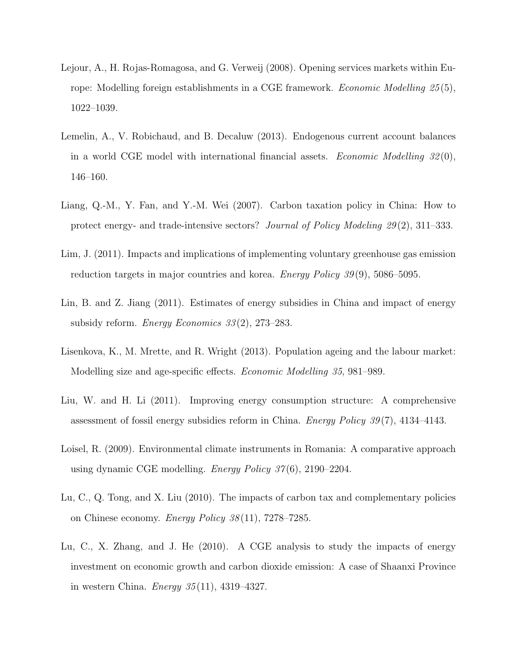- Lejour, A., H. Rojas-Romagosa, and G. Verweij (2008). Opening services markets within Europe: Modelling foreign establishments in a CGE framework. *Economic Modelling 25*(5), 1022–1039.
- Lemelin, A., V. Robichaud, and B. Decaluw (2013). Endogenous current account balances in a world CGE model with international financial assets. *Economic Modelling*  $32(0)$ , 146–160.
- Liang, Q.-M., Y. Fan, and Y.-M. Wei (2007). Carbon taxation policy in China: How to protect energy- and trade-intensive sectors? Journal of Policy Modeling 29 (2), 311–333.
- Lim, J. (2011). Impacts and implications of implementing voluntary greenhouse gas emission reduction targets in major countries and korea. Energy Policy 39 (9), 5086–5095.
- Lin, B. and Z. Jiang (2011). Estimates of energy subsidies in China and impact of energy subsidy reform. Energy Economics  $33(2)$ ,  $273-283$ .
- Lisenkova, K., M. Mrette, and R. Wright (2013). Population ageing and the labour market: Modelling size and age-specific effects. Economic Modelling 35, 981–989.
- Liu, W. and H. Li (2011). Improving energy consumption structure: A comprehensive assessment of fossil energy subsidies reform in China. Energy Policy 39 (7), 4134–4143.
- Loisel, R. (2009). Environmental climate instruments in Romania: A comparative approach using dynamic CGE modelling. *Energy Policy 37*(6), 2190–2204.
- Lu, C., Q. Tong, and X. Liu (2010). The impacts of carbon tax and complementary policies on Chinese economy. *Energy Policy*  $38(11)$ ,  $7278-7285$ .
- Lu, C., X. Zhang, and J. He (2010). A CGE analysis to study the impacts of energy investment on economic growth and carbon dioxide emission: A case of Shaanxi Province in western China. *Energy*  $35(11)$ ,  $4319-4327$ .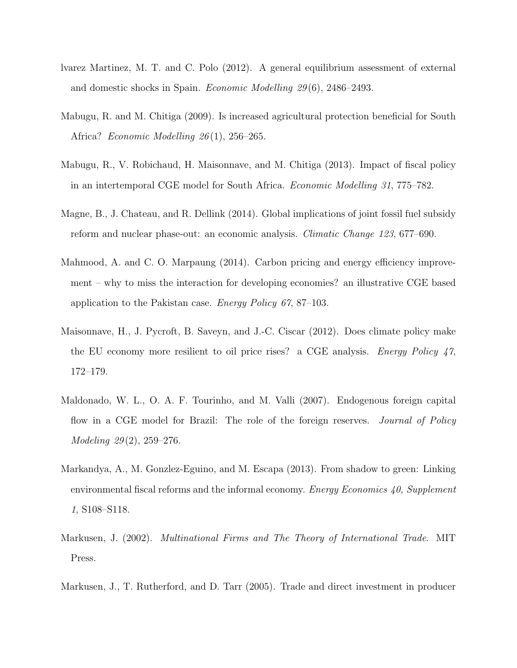- lvarez Martinez, M. T. and C. Polo (2012). A general equilibrium assessment of external and domestic shocks in Spain. Economic Modelling 29 (6), 2486–2493.
- Mabugu, R. and M. Chitiga (2009). Is increased agricultural protection beneficial for South Africa? Economic Modelling 26(1), 256–265.
- Mabugu, R., V. Robichaud, H. Maisonnave, and M. Chitiga (2013). Impact of fiscal policy in an intertemporal CGE model for South Africa. Economic Modelling 31, 775–782.
- Magne, B., J. Chateau, and R. Dellink (2014). Global implications of joint fossil fuel subsidy reform and nuclear phase-out: an economic analysis. *Climatic Change 123*, 677–690.
- Mahmood, A. and C. O. Marpaung (2014). Carbon pricing and energy efficiency improvement – why to miss the interaction for developing economies? an illustrative CGE based application to the Pakistan case. Energy Policy 67, 87–103.
- Maisonnave, H., J. Pycroft, B. Saveyn, and J.-C. Ciscar (2012). Does climate policy make the EU economy more resilient to oil price rises? a CGE analysis. Energy Policy 47, 172–179.
- Maldonado, W. L., O. A. F. Tourinho, and M. Valli (2007). Endogenous foreign capital flow in a CGE model for Brazil: The role of the foreign reserves. *Journal of Policy* Modeling 29(2), 259–276.
- Markandya, A., M. Gonzlez-Eguino, and M. Escapa (2013). From shadow to green: Linking environmental fiscal reforms and the informal economy. *Energy Economics 40, Supplement* 1, S108–S118.
- Markusen, J. (2002). Multinational Firms and The Theory of International Trade. MIT Press.
- Markusen, J., T. Rutherford, and D. Tarr (2005). Trade and direct investment in producer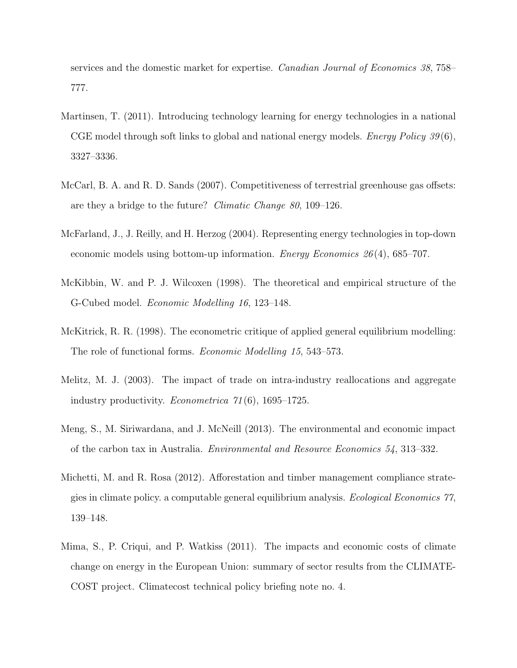services and the domestic market for expertise. Canadian Journal of Economics 38, 758– 777.

- Martinsen, T. (2011). Introducing technology learning for energy technologies in a national CGE model through soft links to global and national energy models. *Energy Policy*  $39(6)$ , 3327–3336.
- McCarl, B. A. and R. D. Sands (2007). Competitiveness of terrestrial greenhouse gas offsets: are they a bridge to the future? Climatic Change 80, 109–126.
- McFarland, J., J. Reilly, and H. Herzog (2004). Representing energy technologies in top-down economic models using bottom-up information. *Energy Economics 26*(4), 685–707.
- McKibbin, W. and P. J. Wilcoxen (1998). The theoretical and empirical structure of the G-Cubed model. Economic Modelling 16, 123–148.
- McKitrick, R. R. (1998). The econometric critique of applied general equilibrium modelling: The role of functional forms. Economic Modelling 15, 543–573.
- Melitz, M. J. (2003). The impact of trade on intra-industry reallocations and aggregate industry productivity. Econometrica 71 (6), 1695–1725.
- Meng, S., M. Siriwardana, and J. McNeill (2013). The environmental and economic impact of the carbon tax in Australia. Environmental and Resource Economics 54, 313–332.
- Michetti, M. and R. Rosa (2012). Afforestation and timber management compliance strategies in climate policy. a computable general equilibrium analysis. Ecological Economics 77, 139–148.
- Mima, S., P. Criqui, and P. Watkiss (2011). The impacts and economic costs of climate change on energy in the European Union: summary of sector results from the CLIMATE-COST project. Climatecost technical policy briefing note no. 4.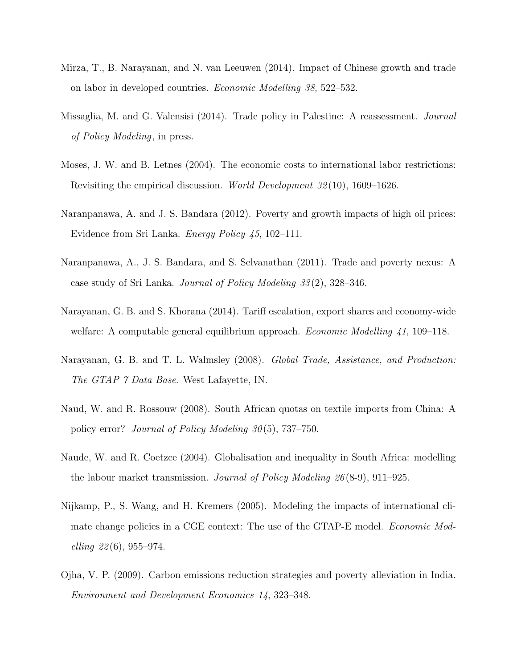- Mirza, T., B. Narayanan, and N. van Leeuwen (2014). Impact of Chinese growth and trade on labor in developed countries. Economic Modelling 38, 522–532.
- Missaglia, M. and G. Valensisi (2014). Trade policy in Palestine: A reassessment. Journal of Policy Modeling, in press.
- Moses, J. W. and B. Letnes (2004). The economic costs to international labor restrictions: Revisiting the empirical discussion. World Development 32 (10), 1609–1626.
- Naranpanawa, A. and J. S. Bandara (2012). Poverty and growth impacts of high oil prices: Evidence from Sri Lanka. Energy Policy 45, 102–111.
- Naranpanawa, A., J. S. Bandara, and S. Selvanathan (2011). Trade and poverty nexus: A case study of Sri Lanka. Journal of Policy Modeling 33 (2), 328–346.
- Narayanan, G. B. and S. Khorana (2014). Tariff escalation, export shares and economy-wide welfare: A computable general equilibrium approach. *Economic Modelling 41*, 109–118.
- Narayanan, G. B. and T. L. Walmsley (2008). Global Trade, Assistance, and Production: The GTAP 7 Data Base. West Lafayette, IN.
- Naud, W. and R. Rossouw (2008). South African quotas on textile imports from China: A policy error? Journal of Policy Modeling 30(5), 737–750.
- Naude, W. and R. Coetzee (2004). Globalisation and inequality in South Africa: modelling the labour market transmission. Journal of Policy Modeling  $26(8-9)$ , 911–925.
- Nijkamp, P., S. Wang, and H. Kremers (2005). Modeling the impacts of international climate change policies in a CGE context: The use of the GTAP-E model. *Economic Mod*elling  $22(6)$ , 955–974.
- Ojha, V. P. (2009). Carbon emissions reduction strategies and poverty alleviation in India. Environment and Development Economics 14, 323–348.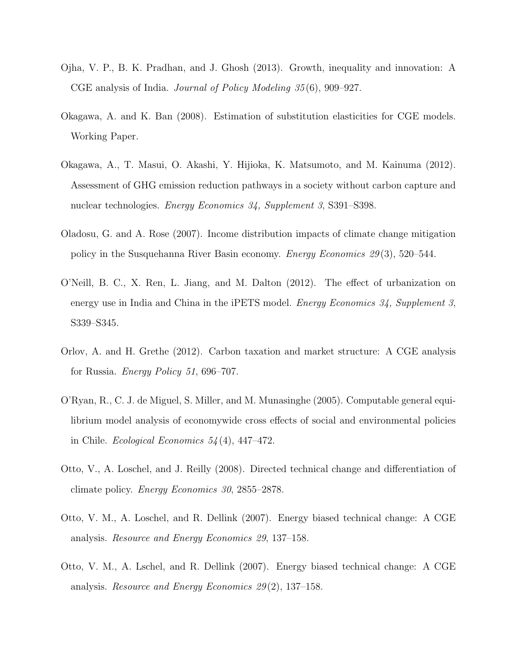- Ojha, V. P., B. K. Pradhan, and J. Ghosh (2013). Growth, inequality and innovation: A CGE analysis of India. Journal of Policy Modeling 35 (6), 909–927.
- Okagawa, A. and K. Ban (2008). Estimation of substitution elasticities for CGE models. Working Paper.
- Okagawa, A., T. Masui, O. Akashi, Y. Hijioka, K. Matsumoto, and M. Kainuma (2012). Assessment of GHG emission reduction pathways in a society without carbon capture and nuclear technologies. Energy Economics 34, Supplement 3, S391–S398.
- Oladosu, G. and A. Rose (2007). Income distribution impacts of climate change mitigation policy in the Susquehanna River Basin economy. Energy Economics 29 (3), 520–544.
- O'Neill, B. C., X. Ren, L. Jiang, and M. Dalton (2012). The effect of urbanization on energy use in India and China in the iPETS model. *Energy Economics 34, Supplement 3,* S339–S345.
- Orlov, A. and H. Grethe (2012). Carbon taxation and market structure: A CGE analysis for Russia. Energy Policy 51, 696–707.
- O'Ryan, R., C. J. de Miguel, S. Miller, and M. Munasinghe (2005). Computable general equilibrium model analysis of economywide cross effects of social and environmental policies in Chile. *Ecological Economics*  $54(4)$ ,  $447-472$ .
- Otto, V., A. Loschel, and J. Reilly (2008). Directed technical change and differentiation of climate policy. Energy Economics 30, 2855–2878.
- Otto, V. M., A. Loschel, and R. Dellink (2007). Energy biased technical change: A CGE analysis. Resource and Energy Economics 29, 137–158.
- Otto, V. M., A. Lschel, and R. Dellink (2007). Energy biased technical change: A CGE analysis. Resource and Energy Economics 29 (2), 137–158.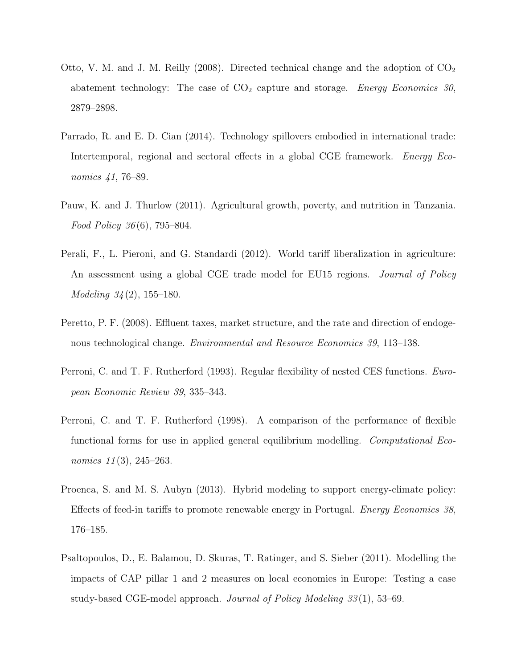- Otto, V. M. and J. M. Reilly (2008). Directed technical change and the adoption of  $CO<sub>2</sub>$ abatement technology: The case of  $CO<sub>2</sub>$  capture and storage. Energy Economics 30, 2879–2898.
- Parrado, R. and E. D. Cian (2014). Technology spillovers embodied in international trade: Intertemporal, regional and sectoral effects in a global CGE framework. *Energy Eco*nomics 41, 76–89.
- Pauw, K. and J. Thurlow (2011). Agricultural growth, poverty, and nutrition in Tanzania. Food Policy 36 (6), 795–804.
- Perali, F., L. Pieroni, and G. Standardi (2012). World tariff liberalization in agriculture: An assessment using a global CGE trade model for EU15 regions. *Journal of Policy* Modeling 34 (2), 155–180.
- Peretto, P. F. (2008). Effluent taxes, market structure, and the rate and direction of endogenous technological change. Environmental and Resource Economics 39, 113–138.
- Perroni, C. and T. F. Rutherford (1993). Regular flexibility of nested CES functions. European Economic Review 39, 335–343.
- Perroni, C. and T. F. Rutherford (1998). A comparison of the performance of flexible functional forms for use in applied general equilibrium modelling. Computational Economics  $11(3)$ ,  $245-263$ .
- Proenca, S. and M. S. Aubyn (2013). Hybrid modeling to support energy-climate policy: Effects of feed-in tariffs to promote renewable energy in Portugal. Energy Economics 38, 176–185.
- Psaltopoulos, D., E. Balamou, D. Skuras, T. Ratinger, and S. Sieber (2011). Modelling the impacts of CAP pillar 1 and 2 measures on local economies in Europe: Testing a case study-based CGE-model approach. *Journal of Policy Modeling 33*(1), 53–69.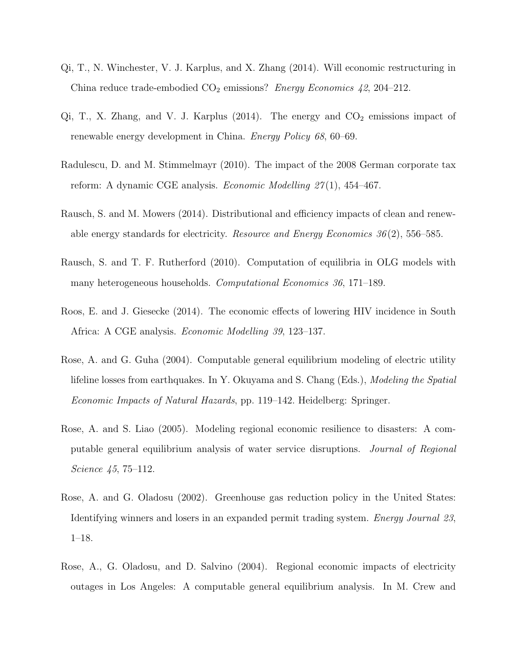- Qi, T., N. Winchester, V. J. Karplus, and X. Zhang (2014). Will economic restructuring in China reduce trade-embodied  $CO<sub>2</sub>$  emissions? *Energy Economics 42*, 204–212.
- Qi, T., X. Zhang, and V. J. Karplus  $(2014)$ . The energy and  $CO<sub>2</sub>$  emissions impact of renewable energy development in China. Energy Policy 68, 60–69.
- Radulescu, D. and M. Stimmelmayr (2010). The impact of the 2008 German corporate tax reform: A dynamic CGE analysis. *Economic Modelling 27*(1), 454–467.
- Rausch, S. and M. Mowers (2014). Distributional and efficiency impacts of clean and renewable energy standards for electricity. *Resource and Energy Economics*  $36(2)$ , 556–585.
- Rausch, S. and T. F. Rutherford (2010). Computation of equilibria in OLG models with many heterogeneous households. Computational Economics 36, 171–189.
- Roos, E. and J. Giesecke (2014). The economic effects of lowering HIV incidence in South Africa: A CGE analysis. Economic Modelling 39, 123–137.
- Rose, A. and G. Guha (2004). Computable general equilibrium modeling of electric utility lifeline losses from earthquakes. In Y. Okuyama and S. Chang (Eds.), Modeling the Spatial Economic Impacts of Natural Hazards, pp. 119–142. Heidelberg: Springer.
- Rose, A. and S. Liao (2005). Modeling regional economic resilience to disasters: A computable general equilibrium analysis of water service disruptions. Journal of Regional Science 45, 75–112.
- Rose, A. and G. Oladosu (2002). Greenhouse gas reduction policy in the United States: Identifying winners and losers in an expanded permit trading system. Energy Journal 23, 1–18.
- Rose, A., G. Oladosu, and D. Salvino (2004). Regional economic impacts of electricity outages in Los Angeles: A computable general equilibrium analysis. In M. Crew and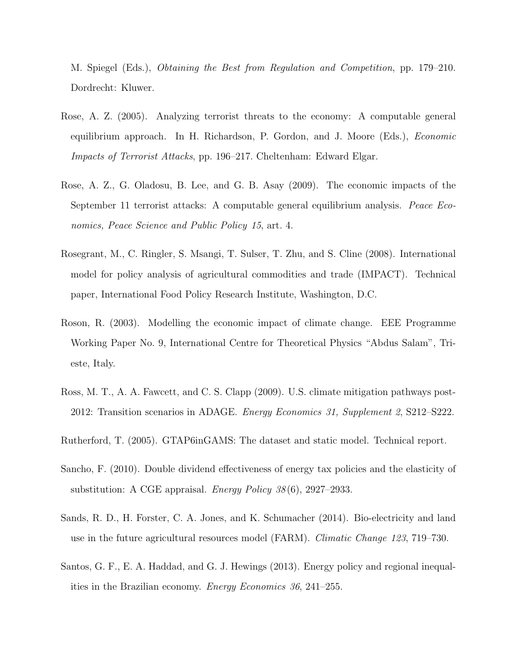M. Spiegel (Eds.), Obtaining the Best from Regulation and Competition, pp. 179–210. Dordrecht: Kluwer.

- Rose, A. Z. (2005). Analyzing terrorist threats to the economy: A computable general equilibrium approach. In H. Richardson, P. Gordon, and J. Moore (Eds.), Economic Impacts of Terrorist Attacks, pp. 196–217. Cheltenham: Edward Elgar.
- Rose, A. Z., G. Oladosu, B. Lee, and G. B. Asay (2009). The economic impacts of the September 11 terrorist attacks: A computable general equilibrium analysis. Peace Economics, Peace Science and Public Policy 15, art. 4.
- Rosegrant, M., C. Ringler, S. Msangi, T. Sulser, T. Zhu, and S. Cline (2008). International model for policy analysis of agricultural commodities and trade (IMPACT). Technical paper, International Food Policy Research Institute, Washington, D.C.
- Roson, R. (2003). Modelling the economic impact of climate change. EEE Programme Working Paper No. 9, International Centre for Theoretical Physics "Abdus Salam", Trieste, Italy.
- Ross, M. T., A. A. Fawcett, and C. S. Clapp (2009). U.S. climate mitigation pathways post-2012: Transition scenarios in ADAGE. Energy Economics 31, Supplement 2, S212–S222.
- Rutherford, T. (2005). GTAP6inGAMS: The dataset and static model. Technical report.
- Sancho, F. (2010). Double dividend effectiveness of energy tax policies and the elasticity of substitution: A CGE appraisal. *Energy Policy 38*(6), 2927–2933.
- Sands, R. D., H. Forster, C. A. Jones, and K. Schumacher (2014). Bio-electricity and land use in the future agricultural resources model (FARM). Climatic Change 123, 719–730.
- Santos, G. F., E. A. Haddad, and G. J. Hewings (2013). Energy policy and regional inequalities in the Brazilian economy. Energy Economics 36, 241–255.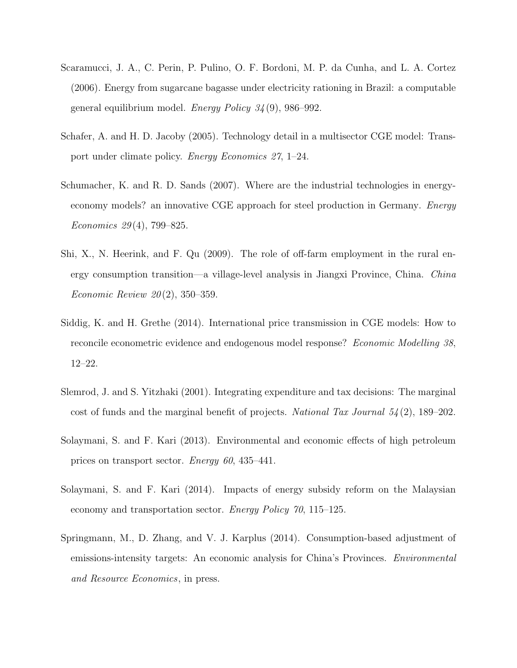- Scaramucci, J. A., C. Perin, P. Pulino, O. F. Bordoni, M. P. da Cunha, and L. A. Cortez (2006). Energy from sugarcane bagasse under electricity rationing in Brazil: a computable general equilibrium model. Energy Policy  $34(9)$ , 986–992.
- Schafer, A. and H. D. Jacoby (2005). Technology detail in a multisector CGE model: Transport under climate policy. Energy Economics 27, 1–24.
- Schumacher, K. and R. D. Sands (2007). Where are the industrial technologies in energyeconomy models? an innovative CGE approach for steel production in Germany. Energy Economics 29 (4), 799–825.
- Shi, X., N. Heerink, and F. Qu (2009). The role of off-farm employment in the rural energy consumption transition—a village-level analysis in Jiangxi Province, China. China *Economic Review 20*(2), 350–359.
- Siddig, K. and H. Grethe (2014). International price transmission in CGE models: How to reconcile econometric evidence and endogenous model response? Economic Modelling 38, 12–22.
- Slemrod, J. and S. Yitzhaki (2001). Integrating expenditure and tax decisions: The marginal cost of funds and the marginal benefit of projects. National Tax Journal  $54(2)$ , 189–202.
- Solaymani, S. and F. Kari (2013). Environmental and economic effects of high petroleum prices on transport sector. Energy 60, 435–441.
- Solaymani, S. and F. Kari (2014). Impacts of energy subsidy reform on the Malaysian economy and transportation sector. Energy Policy 70, 115–125.
- Springmann, M., D. Zhang, and V. J. Karplus (2014). Consumption-based adjustment of emissions-intensity targets: An economic analysis for China's Provinces. Environmental and Resource Economics, in press.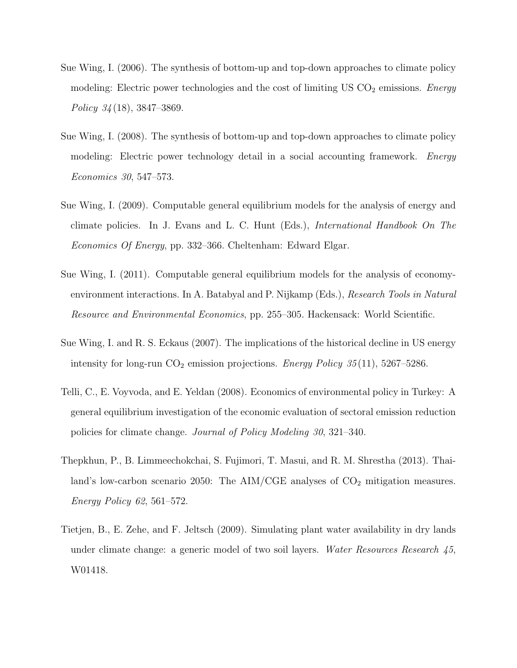- Sue Wing, I. (2006). The synthesis of bottom-up and top-down approaches to climate policy modeling: Electric power technologies and the cost of limiting US  $CO<sub>2</sub>$  emissions. Energy Policy  $34(18)$ ,  $3847-3869$ .
- Sue Wing, I. (2008). The synthesis of bottom-up and top-down approaches to climate policy modeling: Electric power technology detail in a social accounting framework. Energy Economics 30, 547–573.
- Sue Wing, I. (2009). Computable general equilibrium models for the analysis of energy and climate policies. In J. Evans and L. C. Hunt (Eds.), International Handbook On The Economics Of Energy, pp. 332–366. Cheltenham: Edward Elgar.
- Sue Wing, I. (2011). Computable general equilibrium models for the analysis of economyenvironment interactions. In A. Batabyal and P. Nijkamp (Eds.), Research Tools in Natural Resource and Environmental Economics, pp. 255–305. Hackensack: World Scientific.
- Sue Wing, I. and R. S. Eckaus (2007). The implications of the historical decline in US energy intensity for long-run  $CO<sub>2</sub>$  emission projections. Energy Policy 35(11), 5267–5286.
- Telli, C., E. Voyvoda, and E. Yeldan (2008). Economics of environmental policy in Turkey: A general equilibrium investigation of the economic evaluation of sectoral emission reduction policies for climate change. Journal of Policy Modeling 30, 321–340.
- Thepkhun, P., B. Limmeechokchai, S. Fujimori, T. Masui, and R. M. Shrestha (2013). Thailand's low-carbon scenario 2050: The AIM/CGE analyses of  $CO<sub>2</sub>$  mitigation measures. Energy Policy 62, 561–572.
- Tietjen, B., E. Zehe, and F. Jeltsch (2009). Simulating plant water availability in dry lands under climate change: a generic model of two soil layers. Water Resources Research 45, W01418.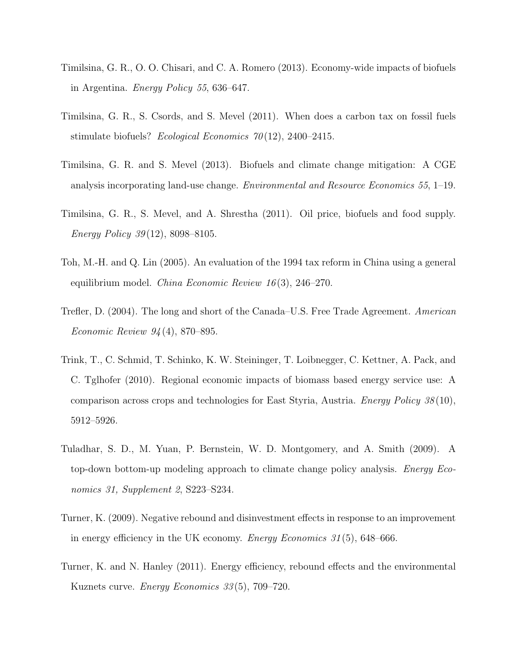- Timilsina, G. R., O. O. Chisari, and C. A. Romero (2013). Economy-wide impacts of biofuels in Argentina. Energy Policy 55, 636–647.
- Timilsina, G. R., S. Csords, and S. Mevel (2011). When does a carbon tax on fossil fuels stimulate biofuels? Ecological Economics  $70(12)$ , 2400–2415.
- Timilsina, G. R. and S. Mevel (2013). Biofuels and climate change mitigation: A CGE analysis incorporating land-use change. Environmental and Resource Economics 55, 1–19.
- Timilsina, G. R., S. Mevel, and A. Shrestha (2011). Oil price, biofuels and food supply. Energy Policy 39 (12), 8098–8105.
- Toh, M.-H. and Q. Lin (2005). An evaluation of the 1994 tax reform in China using a general equilibrium model. *China Economic Review 16* $(3)$ , 246–270.
- Trefler, D. (2004). The long and short of the Canada–U.S. Free Trade Agreement. American Economic Review 94 (4), 870–895.
- Trink, T., C. Schmid, T. Schinko, K. W. Steininger, T. Loibnegger, C. Kettner, A. Pack, and C. Tglhofer (2010). Regional economic impacts of biomass based energy service use: A comparison across crops and technologies for East Styria, Austria. Energy Policy 38 (10), 5912–5926.
- Tuladhar, S. D., M. Yuan, P. Bernstein, W. D. Montgomery, and A. Smith (2009). A top-down bottom-up modeling approach to climate change policy analysis. Energy Economics 31, Supplement 2, S223–S234.
- Turner, K. (2009). Negative rebound and disinvestment effects in response to an improvement in energy efficiency in the UK economy. *Energy Economics* 31(5), 648–666.
- Turner, K. and N. Hanley (2011). Energy efficiency, rebound effects and the environmental Kuznets curve. Energy Economics 33 (5), 709–720.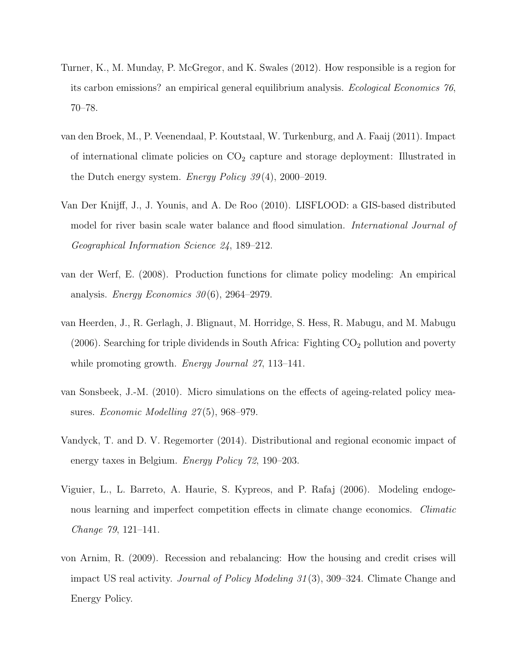- Turner, K., M. Munday, P. McGregor, and K. Swales (2012). How responsible is a region for its carbon emissions? an empirical general equilibrium analysis. Ecological Economics 76, 70–78.
- van den Broek, M., P. Veenendaal, P. Koutstaal, W. Turkenburg, and A. Faaij (2011). Impact of international climate policies on  $CO<sub>2</sub>$  capture and storage deployment: Illustrated in the Dutch energy system. Energy Policy  $39(4)$ , 2000–2019.
- Van Der Knijff, J., J. Younis, and A. De Roo (2010). LISFLOOD: a GIS-based distributed model for river basin scale water balance and flood simulation. *International Journal of* Geographical Information Science 24, 189–212.
- van der Werf, E. (2008). Production functions for climate policy modeling: An empirical analysis. Energy Economics  $30(6)$ , 2964–2979.
- van Heerden, J., R. Gerlagh, J. Blignaut, M. Horridge, S. Hess, R. Mabugu, and M. Mabugu (2006). Searching for triple dividends in South Africa: Fighting  $CO<sub>2</sub>$  pollution and poverty while promoting growth. *Energy Journal 27*, 113–141.
- van Sonsbeek, J.-M. (2010). Micro simulations on the effects of ageing-related policy measures. *Economic Modelling 27*(5), 968–979.
- Vandyck, T. and D. V. Regemorter (2014). Distributional and regional economic impact of energy taxes in Belgium. Energy Policy 72, 190–203.
- Viguier, L., L. Barreto, A. Haurie, S. Kypreos, and P. Rafaj (2006). Modeling endogenous learning and imperfect competition effects in climate change economics. Climatic Change 79, 121–141.
- von Arnim, R. (2009). Recession and rebalancing: How the housing and credit crises will impact US real activity. Journal of Policy Modeling 31 (3), 309–324. Climate Change and Energy Policy.